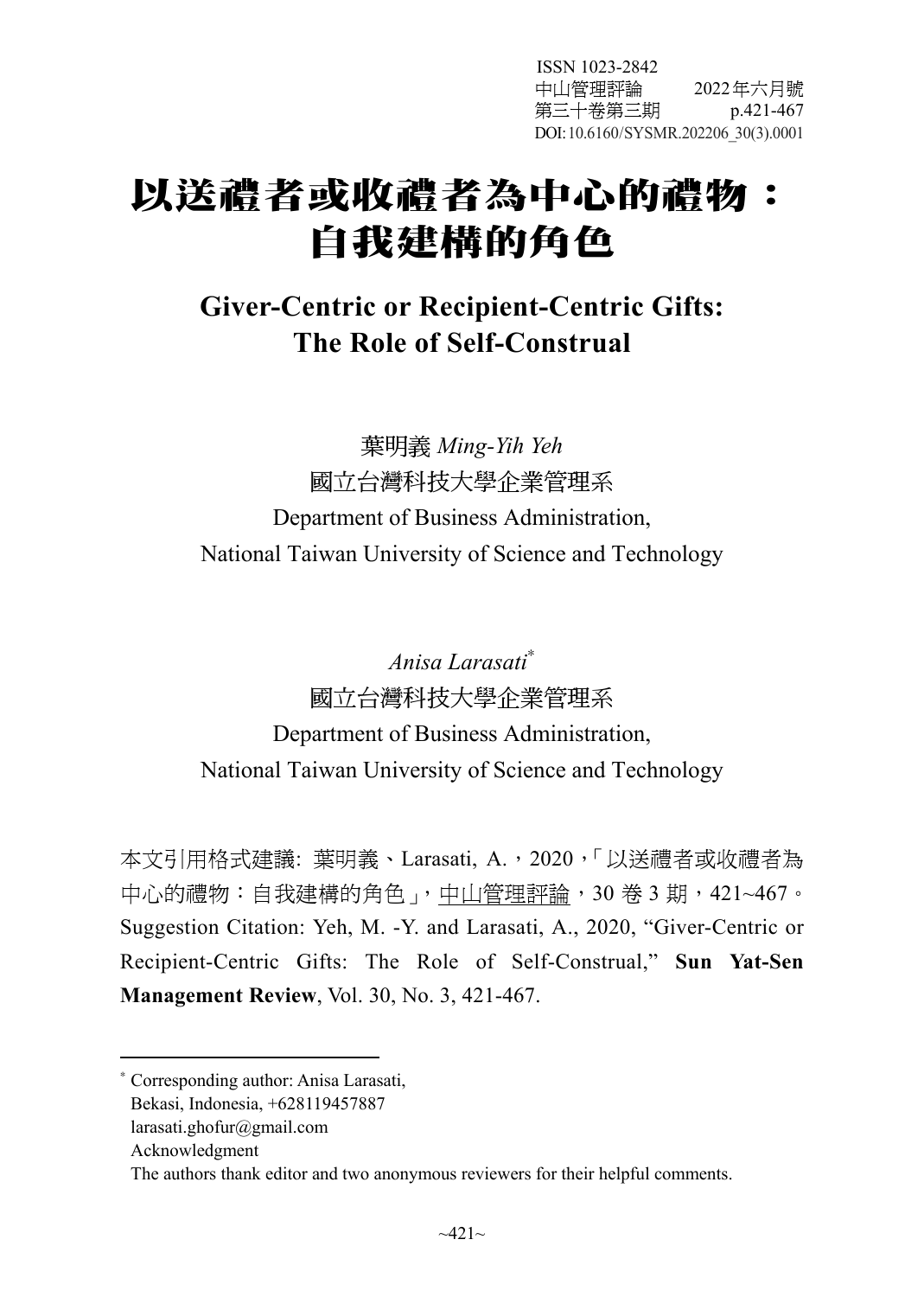ISSN 1023-2842 中山管理評論 2022年六月號 第三十卷第三期 p.421-467 DOI: 10.6160/SYSMR.202206\_30(3).0001

# 以送禮者或收禮者為中心的禮物: 自我建構的角色

# **Giver-Centric or Recipient-Centric Gifts: The Role of Self-Construal**

葉明義 *Ming-Yih Yeh* 國立台灣科技大學企業管理系 Department of Business Administration, National Taiwan University of Science and Technology

*Anisa Larasati*<sup>∗</sup> 國立台灣科技大學企業管理系 Department of Business Administration, National Taiwan University of Science and Technology

本文引用格式建議: 葉明義、Larasati, A., 2020, 「以送禮者或收禮者為 中心的禮物:自我建構的角色」,中山管理評論,30 卷 3 期,421~467。 Suggestion Citation: Yeh, M. -Y. and Larasati, A., 2020, "Giver-Centric or Recipient-Centric Gifts: The Role of Self-Construal," **Sun Yat-Sen Management Review**, Vol. 30, No. 3, 421-467.

 $\overline{a}$ 

<sup>∗</sup> Corresponding author: Anisa Larasati,

Bekasi, Indonesia, +628119457887

larasati.ghofur@gmail.com

Acknowledgment

The authors thank editor and two anonymous reviewers for their helpful comments.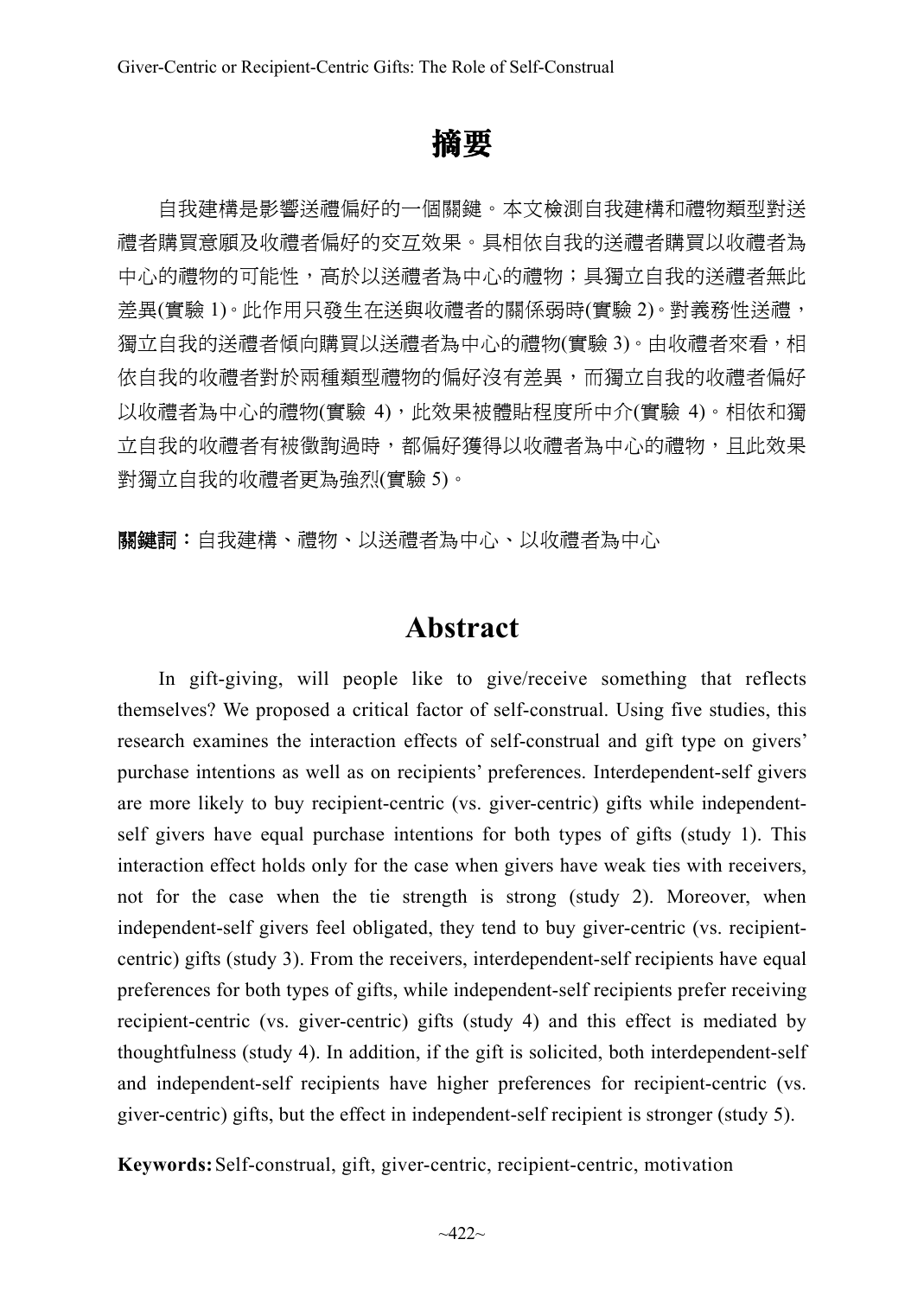# 摘要

自我建構是影響送禮偏好的一個關鍵。本文檢測自我建構和禮物類型對送 禮者購買意願及收禮者偏好的交互效果。具相依自我的送禮者購買以收禮者為 中心的禮物的可能性,高於以送禮者為中心的禮物;具獨立自我的送禮者無此 差異(實驗 1)。此作用只發生在送與收禮者的關係弱時(實驗 2)。對義務性送禮, 獨立自我的送禮者傾向購買以送禮者為中心的禮物(實驗 3)。由收禮者來看,相 依自我的收禮者對於兩種類型禮物的偏好沒有差異,而獨立自我的收禮者偏好 以收禮者為中心的禮物(實驗 4),此效果被體貼程度所中介(實驗 4)。相依和獨 立自我的收禮者有被徵詢過時,都偏好獲得以收禮者為中心的禮物,且此效果 對獨立自我的收禮者更為強烈(實驗 5)。

關鍵詞:自我建構、禮物、以送禮者為中心、以收禮者為中心

# **Abstract**

In gift-giving, will people like to give/receive something that reflects themselves? We proposed a critical factor of self-construal. Using five studies, this research examines the interaction effects of self-construal and gift type on givers' purchase intentions as well as on recipients' preferences. Interdependent-self givers are more likely to buy recipient-centric (vs. giver-centric) gifts while independentself givers have equal purchase intentions for both types of gifts (study 1). This interaction effect holds only for the case when givers have weak ties with receivers, not for the case when the tie strength is strong (study 2). Moreover, when independent-self givers feel obligated, they tend to buy giver-centric (vs. recipientcentric) gifts (study 3). From the receivers, interdependent-self recipients have equal preferences for both types of gifts, while independent-self recipients prefer receiving recipient-centric (vs. giver-centric) gifts (study 4) and this effect is mediated by thoughtfulness (study 4). In addition, if the gift is solicited, both interdependent-self and independent-self recipients have higher preferences for recipient-centric (vs. giver-centric) gifts, but the effect in independent-self recipient is stronger (study 5).

**Keywords:**Self-construal, gift, giver-centric, recipient-centric, motivation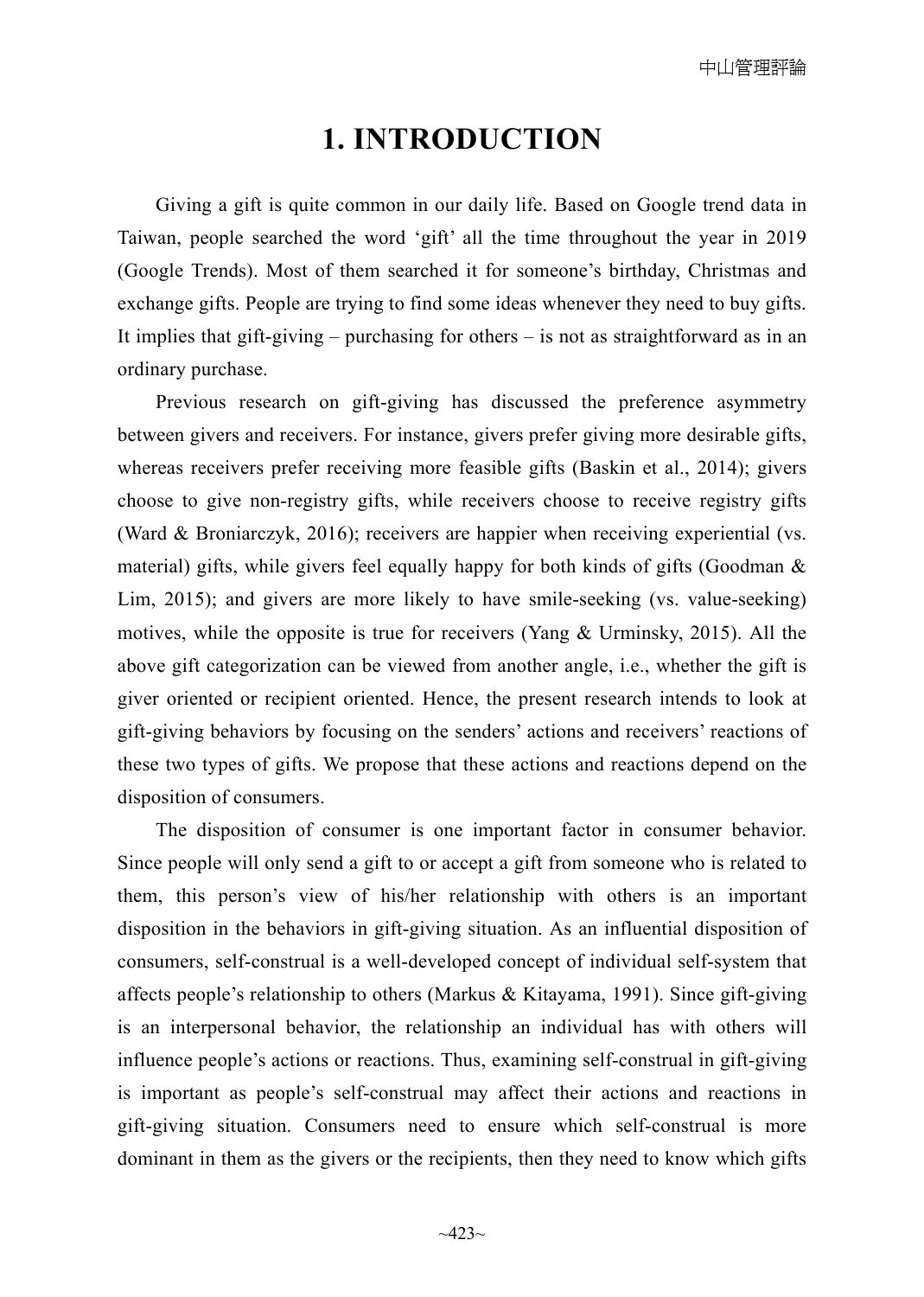# **1. INTRODUCTION**

Giving a gift is quite common in our daily life. Based on Google trend data in Taiwan, people searched the word 'gift' all the time throughout the year in 2019 (Google Trends). Most of them searched it for someone's birthday, Christmas and exchange gifts. People are trying to find some ideas whenever they need to buy gifts. It implies that gift-giving – purchasing for others – is not as straightforward as in an ordinary purchase.

Previous research on gift-giving has discussed the preference asymmetry between givers and receivers. For instance, givers prefer giving more desirable gifts, whereas receivers prefer receiving more feasible gifts (Baskin et al., 2014); givers choose to give non-registry gifts, while receivers choose to receive registry gifts (Ward & Broniarczyk, 2016); receivers are happier when receiving experiential (vs. material) gifts, while givers feel equally happy for both kinds of gifts (Goodman  $\&$ Lim, 2015); and givers are more likely to have smile-seeking (vs. value-seeking) motives, while the opposite is true for receivers (Yang  $\&$  Urminsky, 2015). All the above gift categorization can be viewed from another angle, i.e., whether the gift is giver oriented or recipient oriented. Hence, the present research intends to look at gift-giving behaviors by focusing on the senders' actions and receivers' reactions of these two types of gifts. We propose that these actions and reactions depend on the disposition of consumers.

The disposition of consumer is one important factor in consumer behavior. Since people will only send a gift to or accept a gift from someone who is related to them, this person's view of his/her relationship with others is an important disposition in the behaviors in gift-giving situation. As an influential disposition of consumers, self-construal is a well-developed concept of individual self-system that affects people's relationship to others (Markus & Kitayama, 1991). Since gift-giving is an interpersonal behavior, the relationship an individual has with others will influence people's actions or reactions. Thus, examining self-construal in gift-giving is important as people's self-construal may affect their actions and reactions in gift-giving situation. Consumers need to ensure which self-construal is more dominant in them as the givers or the recipients, then they need to know which gifts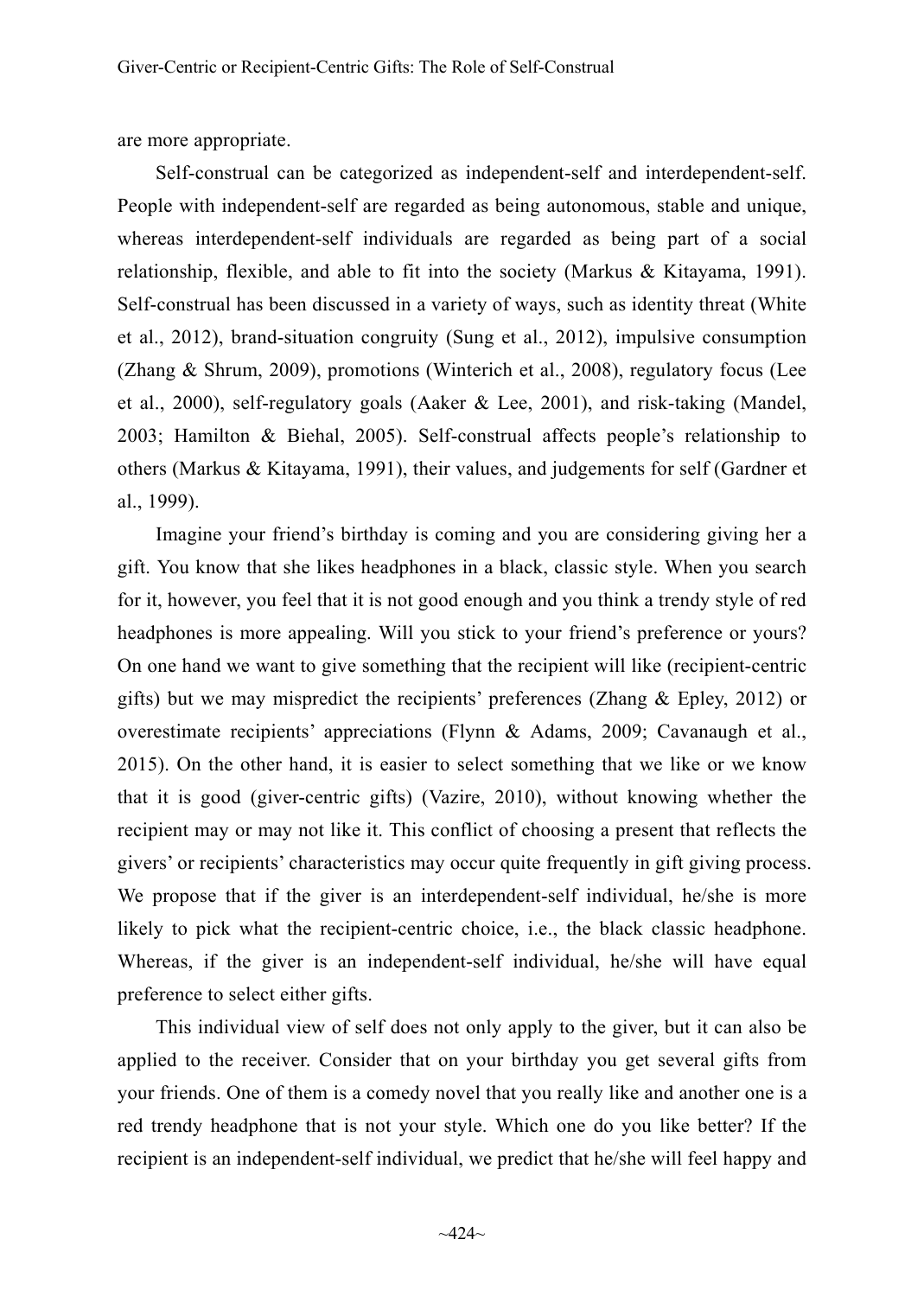are more appropriate.

Self-construal can be categorized as independent-self and interdependent-self. People with independent-self are regarded as being autonomous, stable and unique, whereas interdependent-self individuals are regarded as being part of a social relationship, flexible, and able to fit into the society (Markus  $\&$  Kitayama, 1991). Self-construal has been discussed in a variety of ways, such as identity threat (White et al., 2012), brand-situation congruity (Sung et al., 2012), impulsive consumption (Zhang & Shrum, 2009), promotions (Winterich et al., 2008), regulatory focus (Lee et al., 2000), self-regulatory goals (Aaker & Lee, 2001), and risk-taking (Mandel, 2003; Hamilton & Biehal, 2005). Self-construal affects people's relationship to others (Markus & Kitayama, 1991), their values, and judgements for self (Gardner et al., 1999).

Imagine your friend's birthday is coming and you are considering giving her a gift. You know that she likes headphones in a black, classic style. When you search for it, however, you feel that it is not good enough and you think a trendy style of red headphones is more appealing. Will you stick to your friend's preference or yours? On one hand we want to give something that the recipient will like (recipient-centric gifts) but we may mispredict the recipients' preferences (Zhang & Epley, 2012) or overestimate recipients' appreciations (Flynn & Adams, 2009; Cavanaugh et al., 2015). On the other hand, it is easier to select something that we like or we know that it is good (giver-centric gifts) (Vazire, 2010), without knowing whether the recipient may or may not like it. This conflict of choosing a present that reflects the givers' or recipients' characteristics may occur quite frequently in gift giving process. We propose that if the giver is an interdependent-self individual, he/she is more likely to pick what the recipient-centric choice, i.e., the black classic headphone. Whereas, if the giver is an independent-self individual, he/she will have equal preference to select either gifts.

This individual view of self does not only apply to the giver, but it can also be applied to the receiver. Consider that on your birthday you get several gifts from your friends. One of them is a comedy novel that you really like and another one is a red trendy headphone that is not your style. Which one do you like better? If the recipient is an independent-self individual, we predict that he/she will feel happy and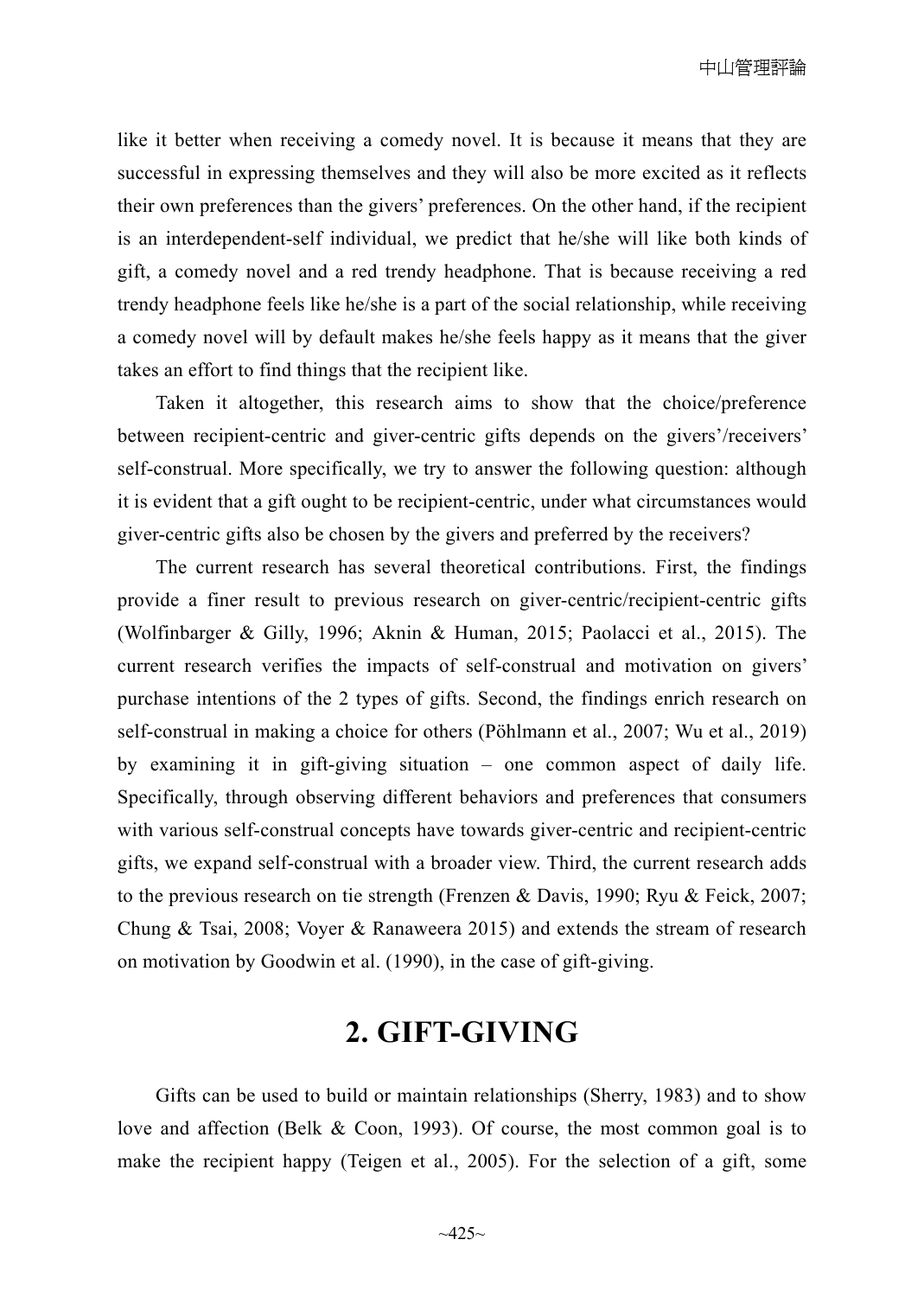like it better when receiving a comedy novel. It is because it means that they are successful in expressing themselves and they will also be more excited as it reflects their own preferences than the givers' preferences. On the other hand, if the recipient is an interdependent-self individual, we predict that he/she will like both kinds of gift, a comedy novel and a red trendy headphone. That is because receiving a red trendy headphone feels like he/she is a part of the social relationship, while receiving a comedy novel will by default makes he/she feels happy as it means that the giver takes an effort to find things that the recipient like.

Taken it altogether, this research aims to show that the choice/preference between recipient-centric and giver-centric gifts depends on the givers'/receivers' self-construal. More specifically, we try to answer the following question: although it is evident that a gift ought to be recipient-centric, under what circumstances would giver-centric gifts also be chosen by the givers and preferred by the receivers?

The current research has several theoretical contributions. First, the findings provide a finer result to previous research on giver-centric/recipient-centric gifts (Wolfinbarger & Gilly, 1996; Aknin & Human, 2015; Paolacci et al., 2015). The current research verifies the impacts of self-construal and motivation on givers' purchase intentions of the 2 types of gifts. Second, the findings enrich research on self-construal in making a choice for others (Pöhlmann et al., 2007; Wu et al., 2019) by examining it in gift-giving situation – one common aspect of daily life. Specifically, through observing different behaviors and preferences that consumers with various self-construal concepts have towards giver-centric and recipient-centric gifts, we expand self-construal with a broader view. Third, the current research adds to the previous research on tie strength (Frenzen & Davis, 1990; Ryu & Feick, 2007; Chung & Tsai, 2008; Voyer & Ranaweera 2015) and extends the stream of research on motivation by Goodwin et al. (1990), in the case of gift-giving.

# **2. GIFT-GIVING**

Gifts can be used to build or maintain relationships (Sherry, 1983) and to show love and affection (Belk & Coon, 1993). Of course, the most common goal is to make the recipient happy (Teigen et al., 2005). For the selection of a gift, some

 $~125~$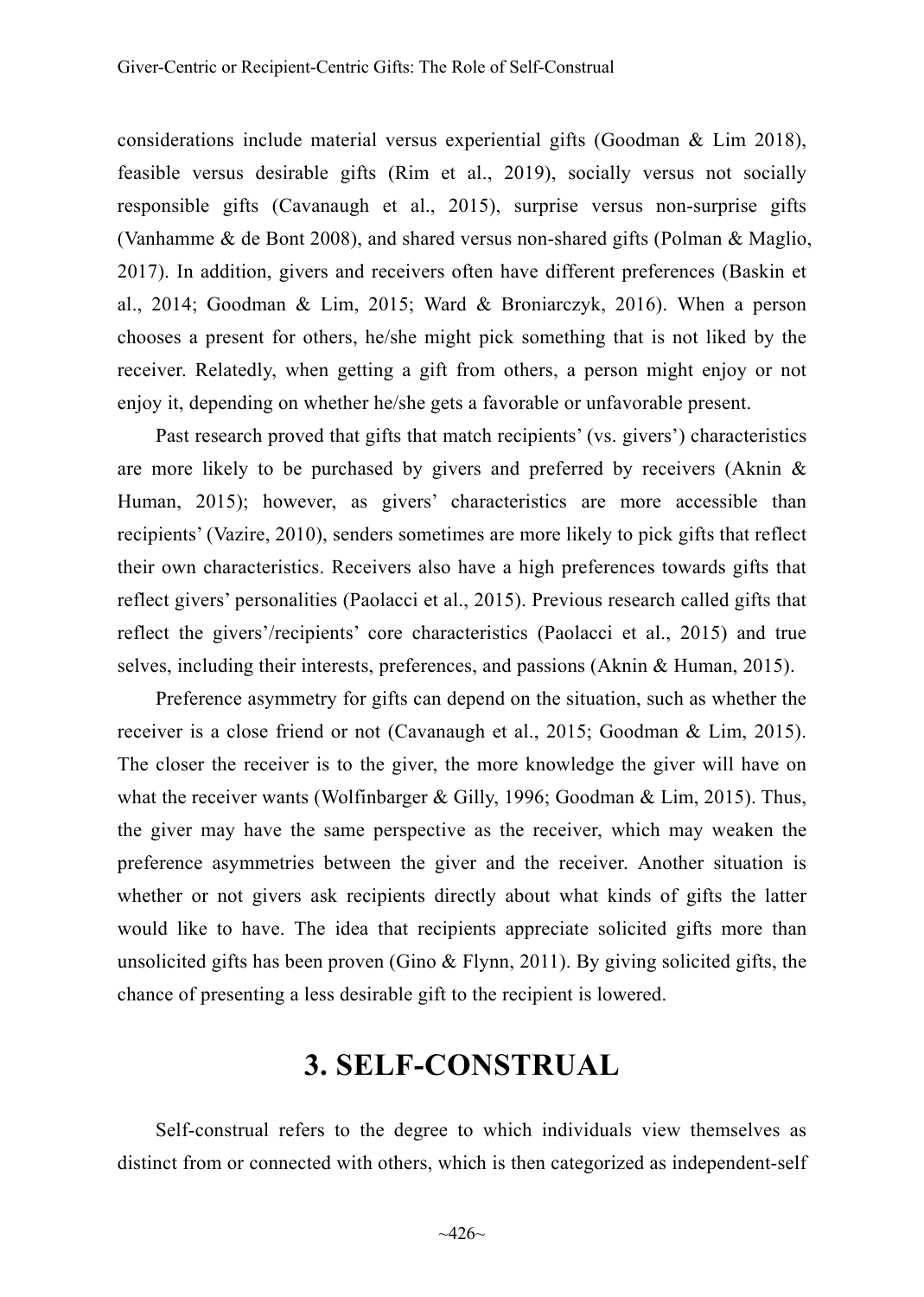considerations include material versus experiential gifts (Goodman & Lim 2018), feasible versus desirable gifts (Rim et al., 2019), socially versus not socially responsible gifts (Cavanaugh et al., 2015), surprise versus non-surprise gifts (Vanhamme & de Bont 2008), and shared versus non-shared gifts (Polman & Maglio, 2017). In addition, givers and receivers often have different preferences (Baskin et al., 2014; Goodman & Lim, 2015; Ward & Broniarczyk, 2016). When a person chooses a present for others, he/she might pick something that is not liked by the receiver. Relatedly, when getting a gift from others, a person might enjoy or not enjoy it, depending on whether he/she gets a favorable or unfavorable present.

Past research proved that gifts that match recipients' (vs. givers') characteristics are more likely to be purchased by givers and preferred by receivers (Aknin  $\&$ Human, 2015); however, as givers' characteristics are more accessible than recipients' (Vazire, 2010), senders sometimes are more likely to pick gifts that reflect their own characteristics. Receivers also have a high preferences towards gifts that reflect givers' personalities (Paolacci et al., 2015). Previous research called gifts that reflect the givers'/recipients' core characteristics (Paolacci et al., 2015) and true selves, including their interests, preferences, and passions (Aknin & Human, 2015).

Preference asymmetry for gifts can depend on the situation, such as whether the receiver is a close friend or not (Cavanaugh et al., 2015; Goodman & Lim, 2015). The closer the receiver is to the giver, the more knowledge the giver will have on what the receiver wants (Wolfinbarger  $\&$  Gilly, 1996; Goodman  $\&$  Lim, 2015). Thus, the giver may have the same perspective as the receiver, which may weaken the preference asymmetries between the giver and the receiver. Another situation is whether or not givers ask recipients directly about what kinds of gifts the latter would like to have. The idea that recipients appreciate solicited gifts more than unsolicited gifts has been proven (Gino  $\&$  Flynn, 2011). By giving solicited gifts, the chance of presenting a less desirable gift to the recipient is lowered.

# **3. SELF-CONSTRUAL**

Self-construal refers to the degree to which individuals view themselves as distinct from or connected with others, which is then categorized as independent-self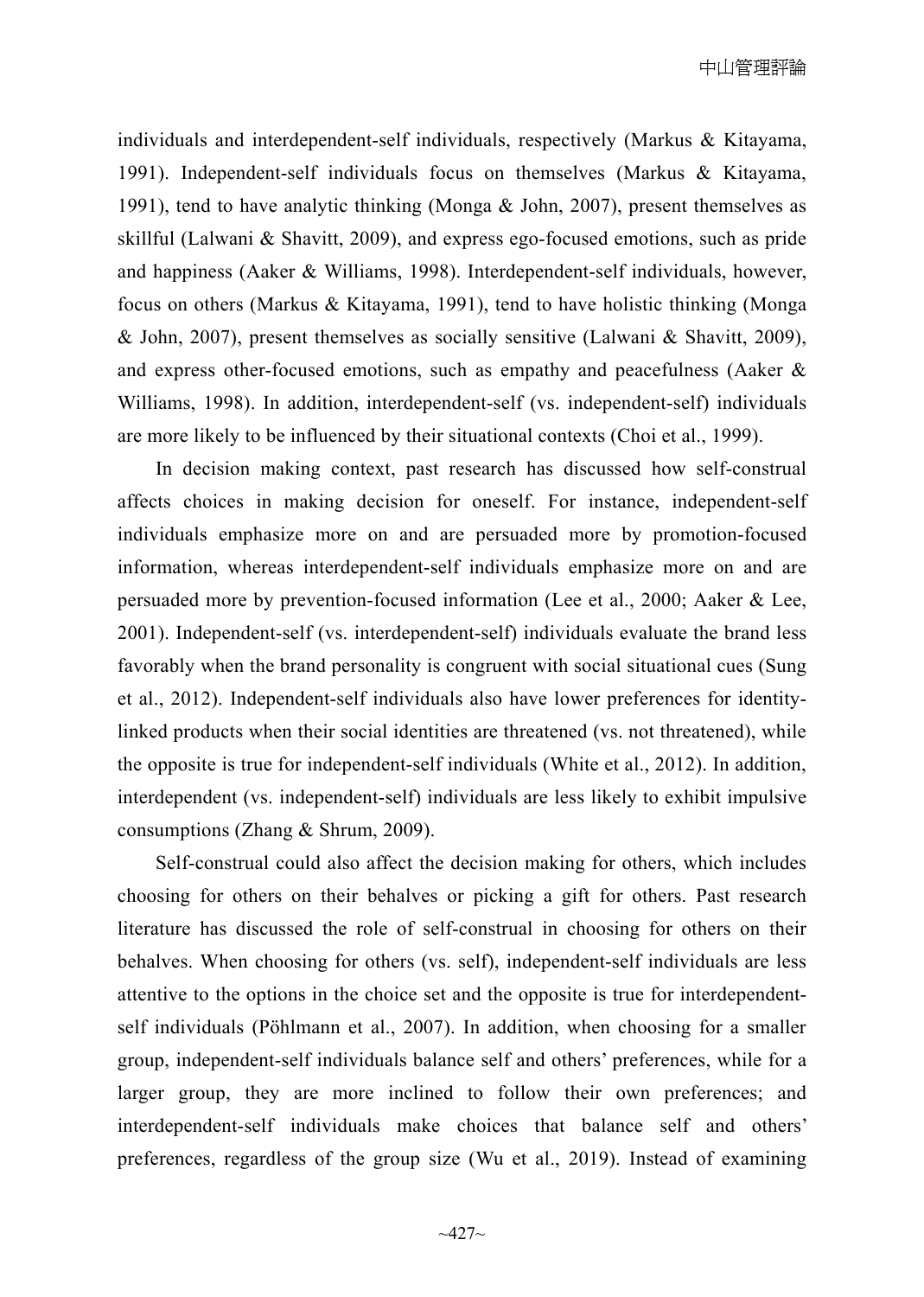individuals and interdependent-self individuals, respectively (Markus & Kitayama, 1991). Independent-self individuals focus on themselves (Markus & Kitayama, 1991), tend to have analytic thinking (Monga  $&$  John, 2007), present themselves as skillful (Lalwani & Shavitt, 2009), and express ego-focused emotions, such as pride and happiness (Aaker & Williams, 1998). Interdependent-self individuals, however, focus on others (Markus & Kitayama, 1991), tend to have holistic thinking (Monga & John, 2007), present themselves as socially sensitive (Lalwani & Shavitt, 2009), and express other-focused emotions, such as empathy and peacefulness (Aaker & Williams, 1998). In addition, interdependent-self (vs. independent-self) individuals are more likely to be influenced by their situational contexts (Choi et al., 1999).

In decision making context, past research has discussed how self-construal affects choices in making decision for oneself. For instance, independent-self individuals emphasize more on and are persuaded more by promotion-focused information, whereas interdependent-self individuals emphasize more on and are persuaded more by prevention-focused information (Lee et al., 2000; Aaker & Lee, 2001). Independent-self (vs. interdependent-self) individuals evaluate the brand less favorably when the brand personality is congruent with social situational cues (Sung et al., 2012). Independent-self individuals also have lower preferences for identitylinked products when their social identities are threatened (vs. not threatened), while the opposite is true for independent-self individuals (White et al., 2012). In addition, interdependent (vs. independent-self) individuals are less likely to exhibit impulsive consumptions (Zhang & Shrum, 2009).

Self-construal could also affect the decision making for others, which includes choosing for others on their behalves or picking a gift for others. Past research literature has discussed the role of self-construal in choosing for others on their behalves. When choosing for others (vs. self), independent-self individuals are less attentive to the options in the choice set and the opposite is true for interdependentself individuals (Pöhlmann et al., 2007). In addition, when choosing for a smaller group, independent-self individuals balance self and others' preferences, while for a larger group, they are more inclined to follow their own preferences; and interdependent-self individuals make choices that balance self and others' preferences, regardless of the group size (Wu et al., 2019). Instead of examining

 $~127~$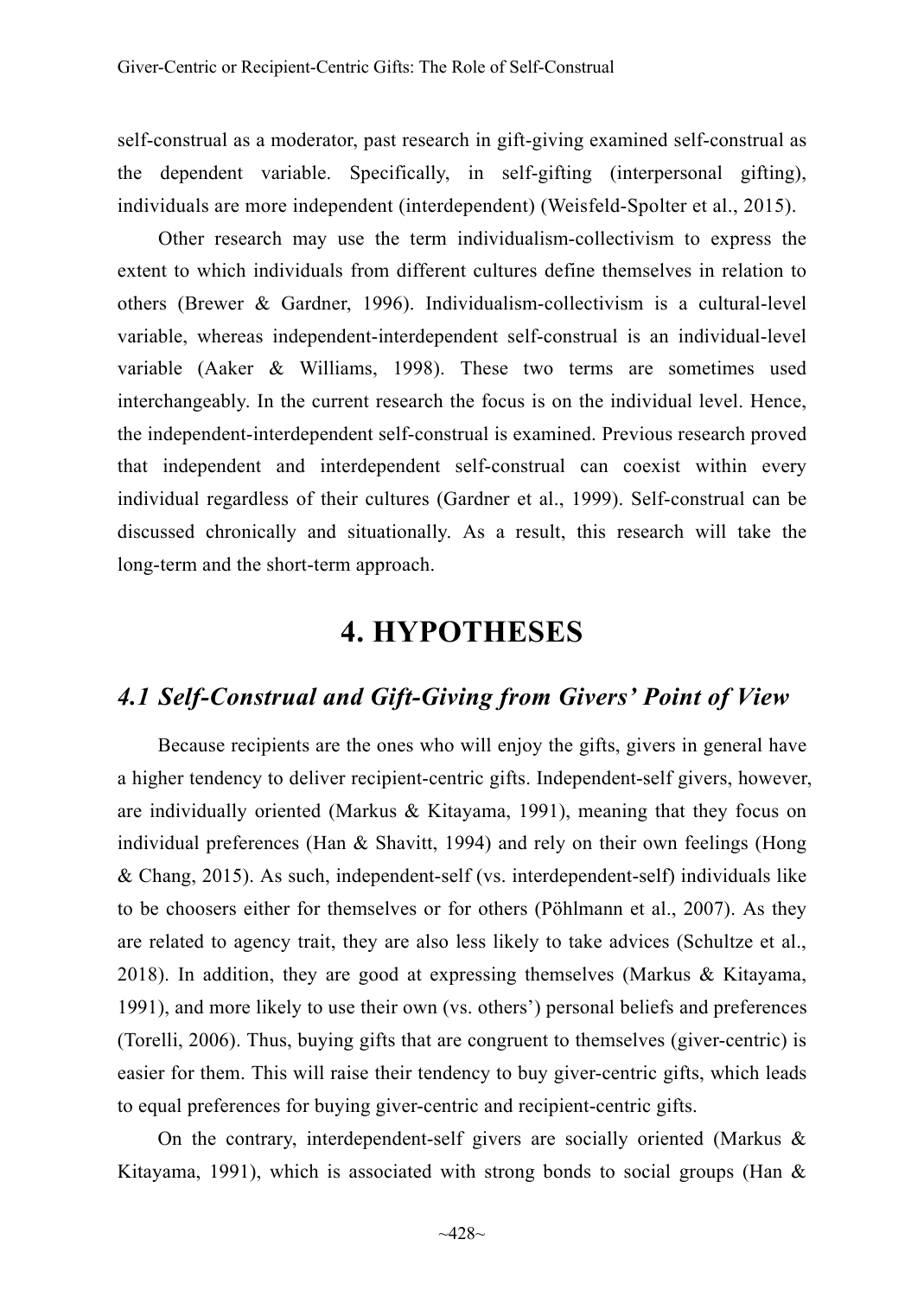self-construal as a moderator, past research in gift-giving examined self-construal as the dependent variable. Specifically, in self-gifting (interpersonal gifting), individuals are more independent (interdependent) (Weisfeld-Spolter et al., 2015).

Other research may use the term individualism-collectivism to express the extent to which individuals from different cultures define themselves in relation to others (Brewer & Gardner, 1996). Individualism-collectivism is a cultural-level variable, whereas independent-interdependent self-construal is an individual-level variable (Aaker & Williams, 1998). These two terms are sometimes used interchangeably. In the current research the focus is on the individual level. Hence, the independent-interdependent self-construal is examined. Previous research proved that independent and interdependent self-construal can coexist within every individual regardless of their cultures (Gardner et al., 1999). Self-construal can be discussed chronically and situationally. As a result, this research will take the long-term and the short-term approach.

# **4. HYPOTHESES**

## *4.1 Self-Construal and Gift-Giving from Givers' Point of View*

Because recipients are the ones who will enjoy the gifts, givers in general have a higher tendency to deliver recipient-centric gifts. Independent-self givers, however, are individually oriented (Markus  $\&$  Kitayama, 1991), meaning that they focus on individual preferences (Han & Shavitt, 1994) and rely on their own feelings (Hong & Chang, 2015). As such, independent-self (vs. interdependent-self) individuals like to be choosers either for themselves or for others (Pöhlmann et al., 2007). As they are related to agency trait, they are also less likely to take advices (Schultze et al., 2018). In addition, they are good at expressing themselves (Markus & Kitayama, 1991), and more likely to use their own (vs. others') personal beliefs and preferences (Torelli, 2006). Thus, buying gifts that are congruent to themselves (giver-centric) is easier for them. This will raise their tendency to buy giver-centric gifts, which leads to equal preferences for buying giver-centric and recipient-centric gifts.

On the contrary, interdependent-self givers are socially oriented (Markus & Kitayama, 1991), which is associated with strong bonds to social groups (Han  $\&$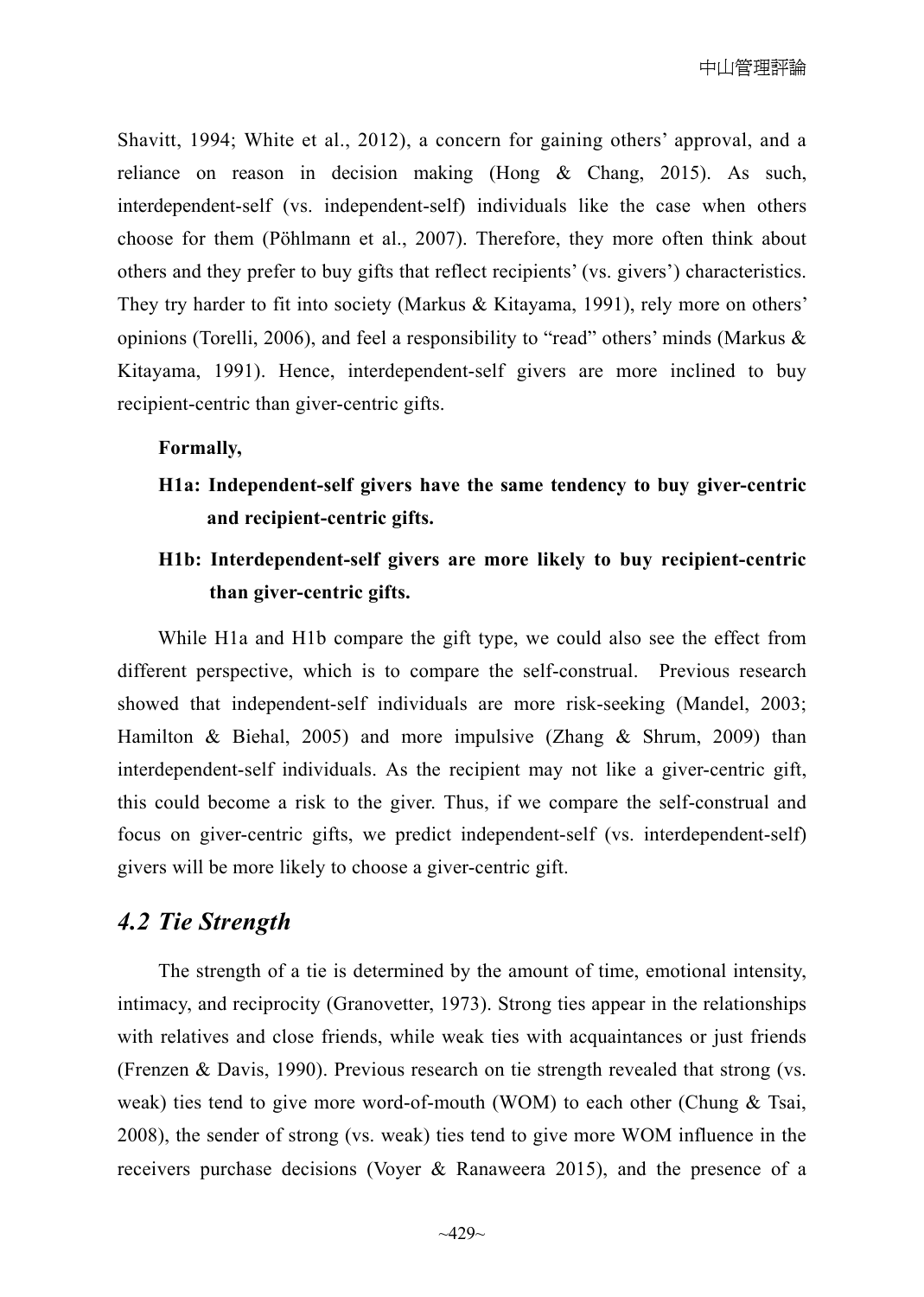Shavitt, 1994; White et al., 2012), a concern for gaining others' approval, and a reliance on reason in decision making (Hong & Chang, 2015). As such, interdependent-self (vs. independent-self) individuals like the case when others choose for them (Pöhlmann et al., 2007). Therefore, they more often think about others and they prefer to buy gifts that reflect recipients' (vs. givers') characteristics. They try harder to fit into society (Markus & Kitayama, 1991), rely more on others' opinions (Torelli, 2006), and feel a responsibility to "read" others' minds (Markus  $\&$ Kitayama, 1991). Hence, interdependent-self givers are more inclined to buy recipient-centric than giver-centric gifts.

#### **Formally,**

**H1a: Independent-self givers have the same tendency to buy giver-centric and recipient-centric gifts.** 

## **H1b: Interdependent-self givers are more likely to buy recipient-centric than giver-centric gifts.**

While H1a and H1b compare the gift type, we could also see the effect from different perspective, which is to compare the self-construal. Previous research showed that independent-self individuals are more risk-seeking (Mandel, 2003; Hamilton & Biehal, 2005) and more impulsive (Zhang & Shrum, 2009) than interdependent-self individuals. As the recipient may not like a giver-centric gift, this could become a risk to the giver. Thus, if we compare the self-construal and focus on giver-centric gifts, we predict independent-self (vs. interdependent-self) givers will be more likely to choose a giver-centric gift.

## *4.2 Tie Strength*

The strength of a tie is determined by the amount of time, emotional intensity, intimacy, and reciprocity (Granovetter, 1973). Strong ties appear in the relationships with relatives and close friends, while weak ties with acquaintances or just friends (Frenzen & Davis, 1990). Previous research on tie strength revealed that strong (vs. weak) ties tend to give more word-of-mouth (WOM) to each other (Chung & Tsai, 2008), the sender of strong (vs. weak) ties tend to give more WOM influence in the receivers purchase decisions (Voyer & Ranaweera 2015), and the presence of a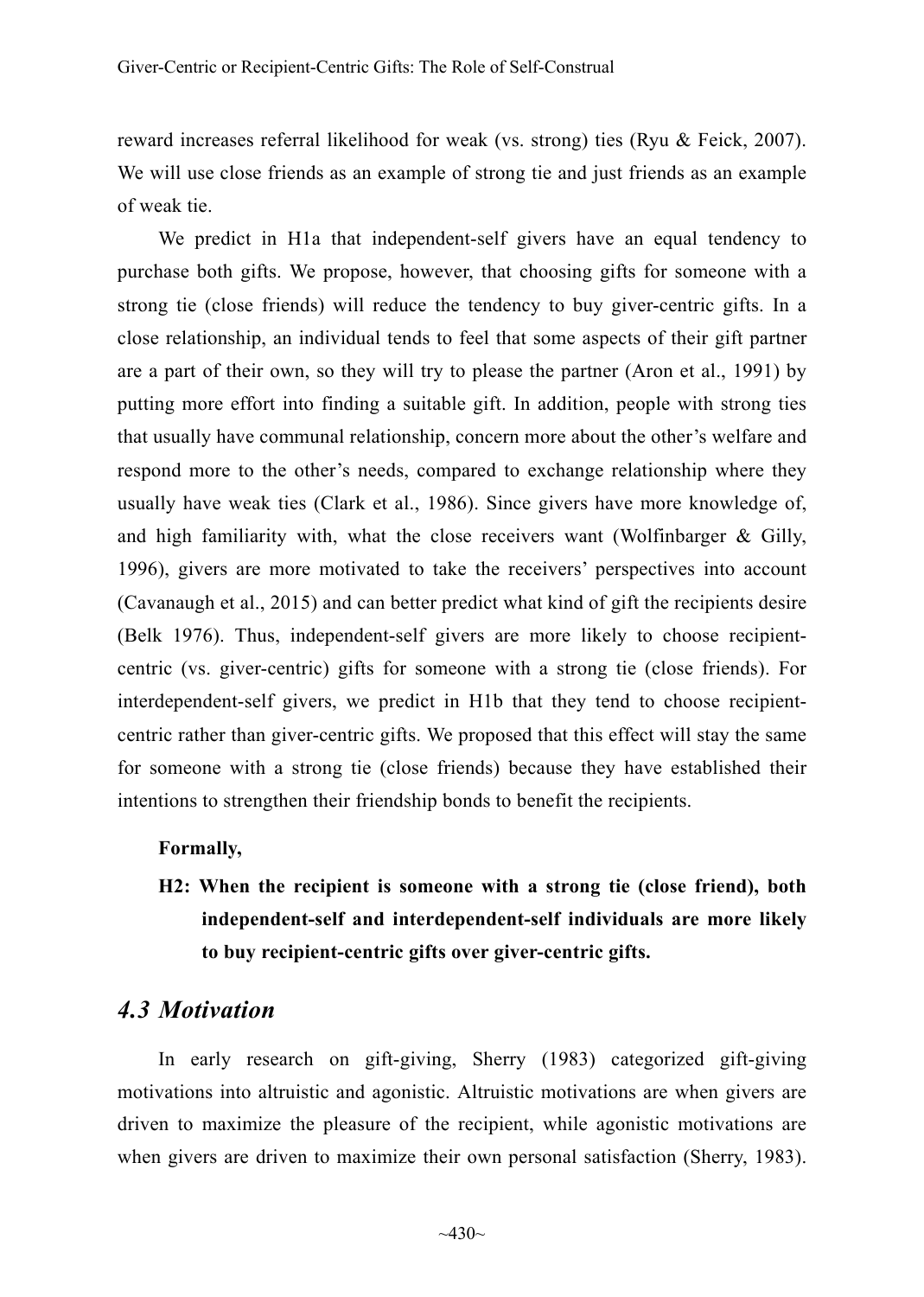reward increases referral likelihood for weak (vs. strong) ties (Ryu & Feick, 2007). We will use close friends as an example of strong tie and just friends as an example of weak tie.

We predict in H1a that independent-self givers have an equal tendency to purchase both gifts. We propose, however, that choosing gifts for someone with a strong tie (close friends) will reduce the tendency to buy giver-centric gifts. In a close relationship, an individual tends to feel that some aspects of their gift partner are a part of their own, so they will try to please the partner (Aron et al., 1991) by putting more effort into finding a suitable gift. In addition, people with strong ties that usually have communal relationship, concern more about the other's welfare and respond more to the other's needs, compared to exchange relationship where they usually have weak ties (Clark et al., 1986). Since givers have more knowledge of, and high familiarity with, what the close receivers want (Wolfinbarger & Gilly, 1996), givers are more motivated to take the receivers' perspectives into account (Cavanaugh et al., 2015) and can better predict what kind of gift the recipients desire (Belk 1976). Thus, independent-self givers are more likely to choose recipientcentric (vs. giver-centric) gifts for someone with a strong tie (close friends). For interdependent-self givers, we predict in H1b that they tend to choose recipientcentric rather than giver-centric gifts. We proposed that this effect will stay the same for someone with a strong tie (close friends) because they have established their intentions to strengthen their friendship bonds to benefit the recipients.

#### **Formally,**

**H2: When the recipient is someone with a strong tie (close friend), both independent-self and interdependent-self individuals are more likely to buy recipient-centric gifts over giver-centric gifts.** 

## *4.3 Motivation*

In early research on gift-giving, Sherry (1983) categorized gift-giving motivations into altruistic and agonistic. Altruistic motivations are when givers are driven to maximize the pleasure of the recipient, while agonistic motivations are when givers are driven to maximize their own personal satisfaction (Sherry, 1983).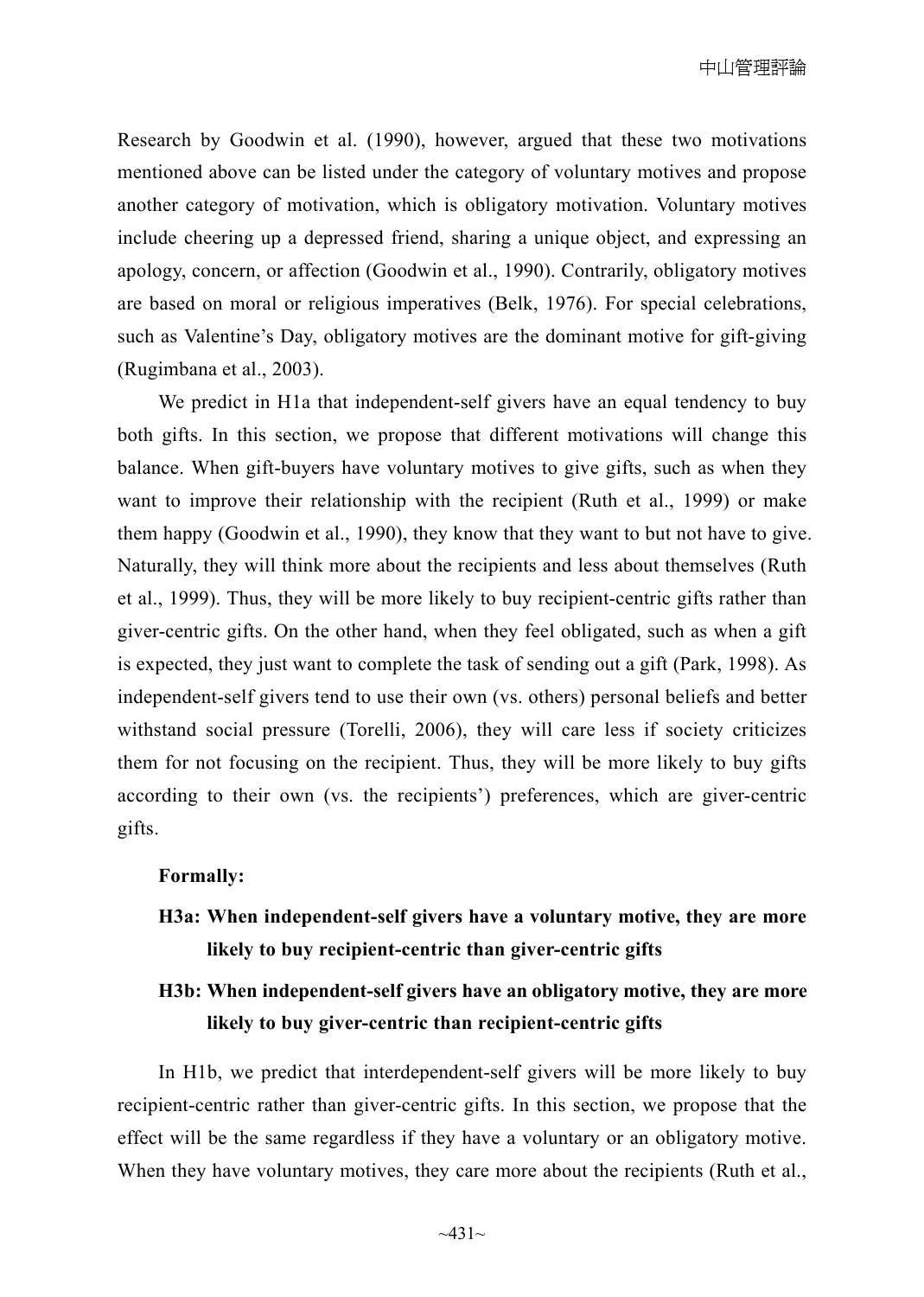Research by Goodwin et al. (1990), however, argued that these two motivations mentioned above can be listed under the category of voluntary motives and propose another category of motivation, which is obligatory motivation. Voluntary motives include cheering up a depressed friend, sharing a unique object, and expressing an apology, concern, or affection (Goodwin et al., 1990). Contrarily, obligatory motives are based on moral or religious imperatives (Belk, 1976). For special celebrations, such as Valentine's Day, obligatory motives are the dominant motive for gift-giving (Rugimbana et al., 2003).

We predict in H<sub>1</sub>a that independent-self givers have an equal tendency to buy both gifts. In this section, we propose that different motivations will change this balance. When gift-buyers have voluntary motives to give gifts, such as when they want to improve their relationship with the recipient (Ruth et al., 1999) or make them happy (Goodwin et al., 1990), they know that they want to but not have to give. Naturally, they will think more about the recipients and less about themselves (Ruth et al., 1999). Thus, they will be more likely to buy recipient-centric gifts rather than giver-centric gifts. On the other hand, when they feel obligated, such as when a gift is expected, they just want to complete the task of sending out a gift (Park, 1998). As independent-self givers tend to use their own (vs. others) personal beliefs and better withstand social pressure (Torelli, 2006), they will care less if society criticizes them for not focusing on the recipient. Thus, they will be more likely to buy gifts according to their own (vs. the recipients') preferences, which are giver-centric gifts.

#### **Formally:**

**H3a: When independent-self givers have a voluntary motive, they are more likely to buy recipient-centric than giver-centric gifts** 

## **H3b: When independent-self givers have an obligatory motive, they are more likely to buy giver-centric than recipient-centric gifts**

In H1b, we predict that interdependent-self givers will be more likely to buy recipient-centric rather than giver-centric gifts. In this section, we propose that the effect will be the same regardless if they have a voluntary or an obligatory motive. When they have voluntary motives, they care more about the recipients (Ruth et al.,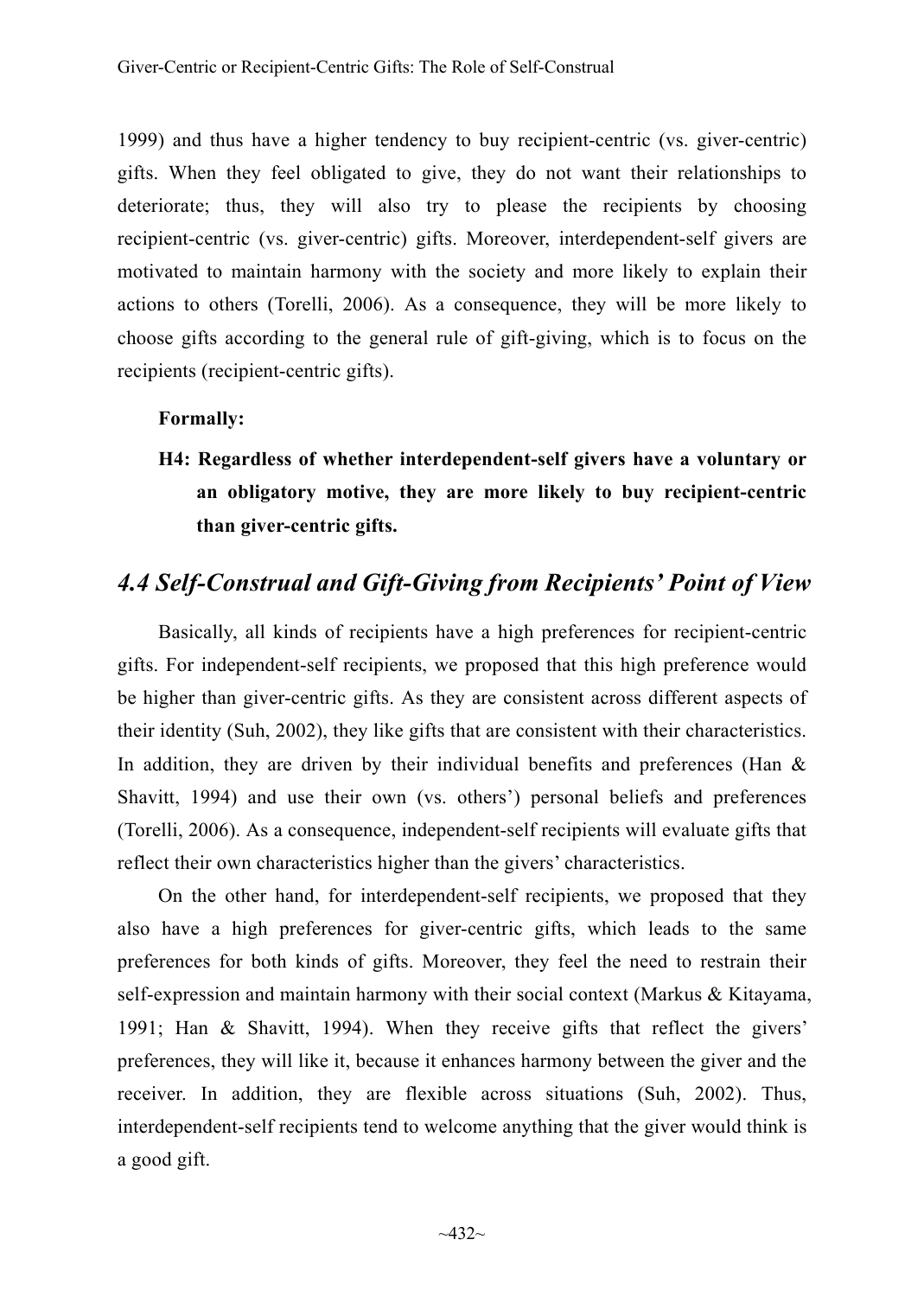1999) and thus have a higher tendency to buy recipient-centric (vs. giver-centric) gifts. When they feel obligated to give, they do not want their relationships to deteriorate; thus, they will also try to please the recipients by choosing recipient-centric (vs. giver-centric) gifts. Moreover, interdependent-self givers are motivated to maintain harmony with the society and more likely to explain their actions to others (Torelli, 2006). As a consequence, they will be more likely to choose gifts according to the general rule of gift-giving, which is to focus on the recipients (recipient-centric gifts).

#### **Formally:**

**H4: Regardless of whether interdependent-self givers have a voluntary or an obligatory motive, they are more likely to buy recipient-centric than giver-centric gifts.** 

## *4.4 Self-Construal and Gift-Giving from Recipients' Point of View*

Basically, all kinds of recipients have a high preferences for recipient-centric gifts. For independent-self recipients, we proposed that this high preference would be higher than giver-centric gifts. As they are consistent across different aspects of their identity (Suh, 2002), they like gifts that are consistent with their characteristics. In addition, they are driven by their individual benefits and preferences (Han  $\&$ Shavitt, 1994) and use their own (vs. others') personal beliefs and preferences (Torelli, 2006). As a consequence, independent-self recipients will evaluate gifts that reflect their own characteristics higher than the givers' characteristics.

On the other hand, for interdependent-self recipients, we proposed that they also have a high preferences for giver-centric gifts, which leads to the same preferences for both kinds of gifts. Moreover, they feel the need to restrain their self-expression and maintain harmony with their social context (Markus & Kitayama, 1991; Han & Shavitt, 1994). When they receive gifts that reflect the givers' preferences, they will like it, because it enhances harmony between the giver and the receiver. In addition, they are flexible across situations (Suh, 2002). Thus, interdependent-self recipients tend to welcome anything that the giver would think is a good gift.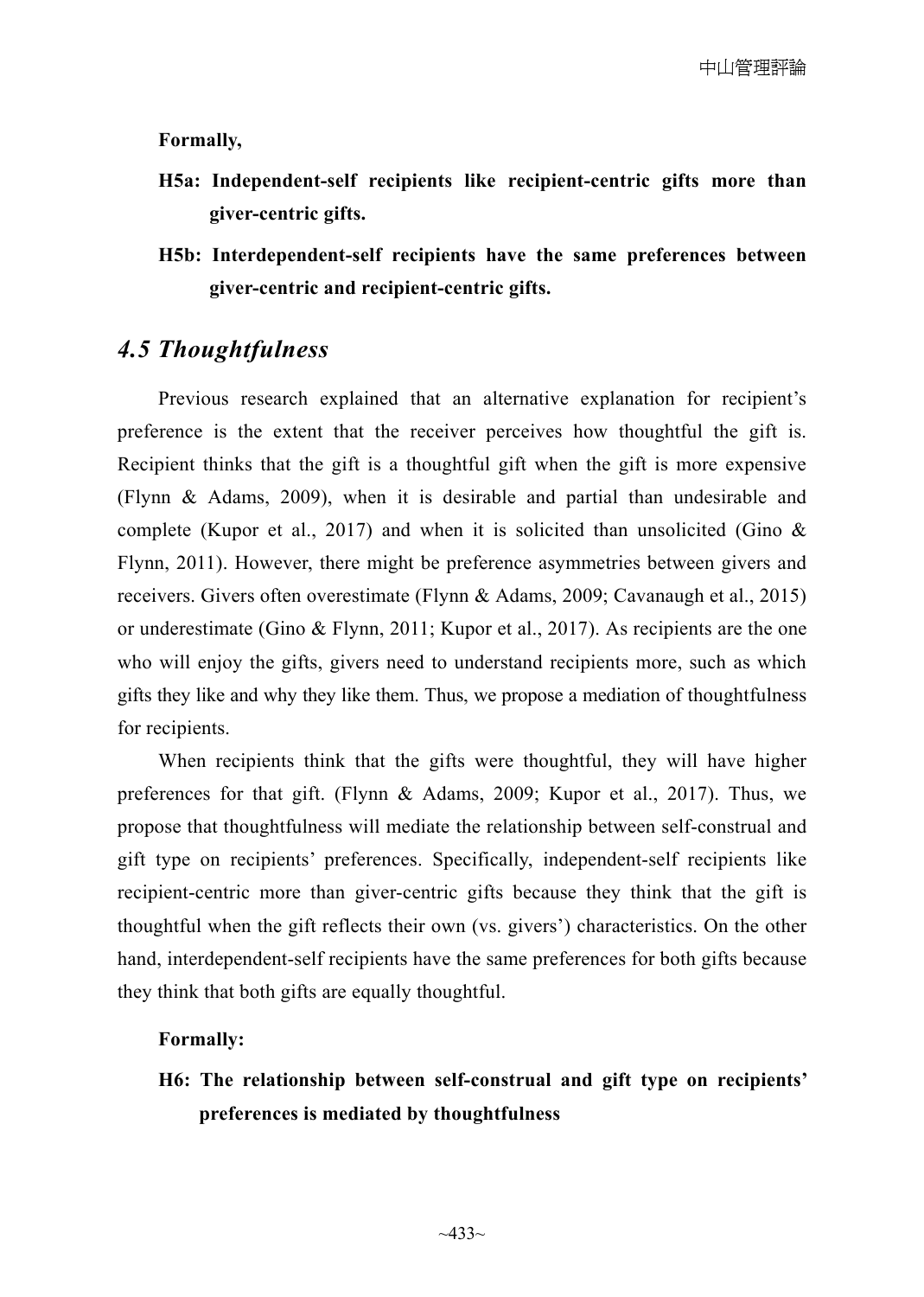#### **Formally,**

- **H5a: Independent-self recipients like recipient-centric gifts more than giver-centric gifts.**
- **H5b: Interdependent-self recipients have the same preferences between giver-centric and recipient-centric gifts.**

## *4.5 Thoughtfulness*

Previous research explained that an alternative explanation for recipient's preference is the extent that the receiver perceives how thoughtful the gift is. Recipient thinks that the gift is a thoughtful gift when the gift is more expensive (Flynn & Adams, 2009), when it is desirable and partial than undesirable and complete (Kupor et al., 2017) and when it is solicited than unsolicited (Gino  $\&$ Flynn, 2011). However, there might be preference asymmetries between givers and receivers. Givers often overestimate (Flynn & Adams, 2009; Cavanaugh et al., 2015) or underestimate (Gino & Flynn, 2011; Kupor et al., 2017). As recipients are the one who will enjoy the gifts, givers need to understand recipients more, such as which gifts they like and why they like them. Thus, we propose a mediation of thoughtfulness for recipients.

When recipients think that the gifts were thoughtful, they will have higher preferences for that gift. (Flynn & Adams, 2009; Kupor et al., 2017). Thus, we propose that thoughtfulness will mediate the relationship between self-construal and gift type on recipients' preferences. Specifically, independent-self recipients like recipient-centric more than giver-centric gifts because they think that the gift is thoughtful when the gift reflects their own (vs. givers') characteristics. On the other hand, interdependent-self recipients have the same preferences for both gifts because they think that both gifts are equally thoughtful.

#### **Formally:**

**H6: The relationship between self-construal and gift type on recipients' preferences is mediated by thoughtfulness**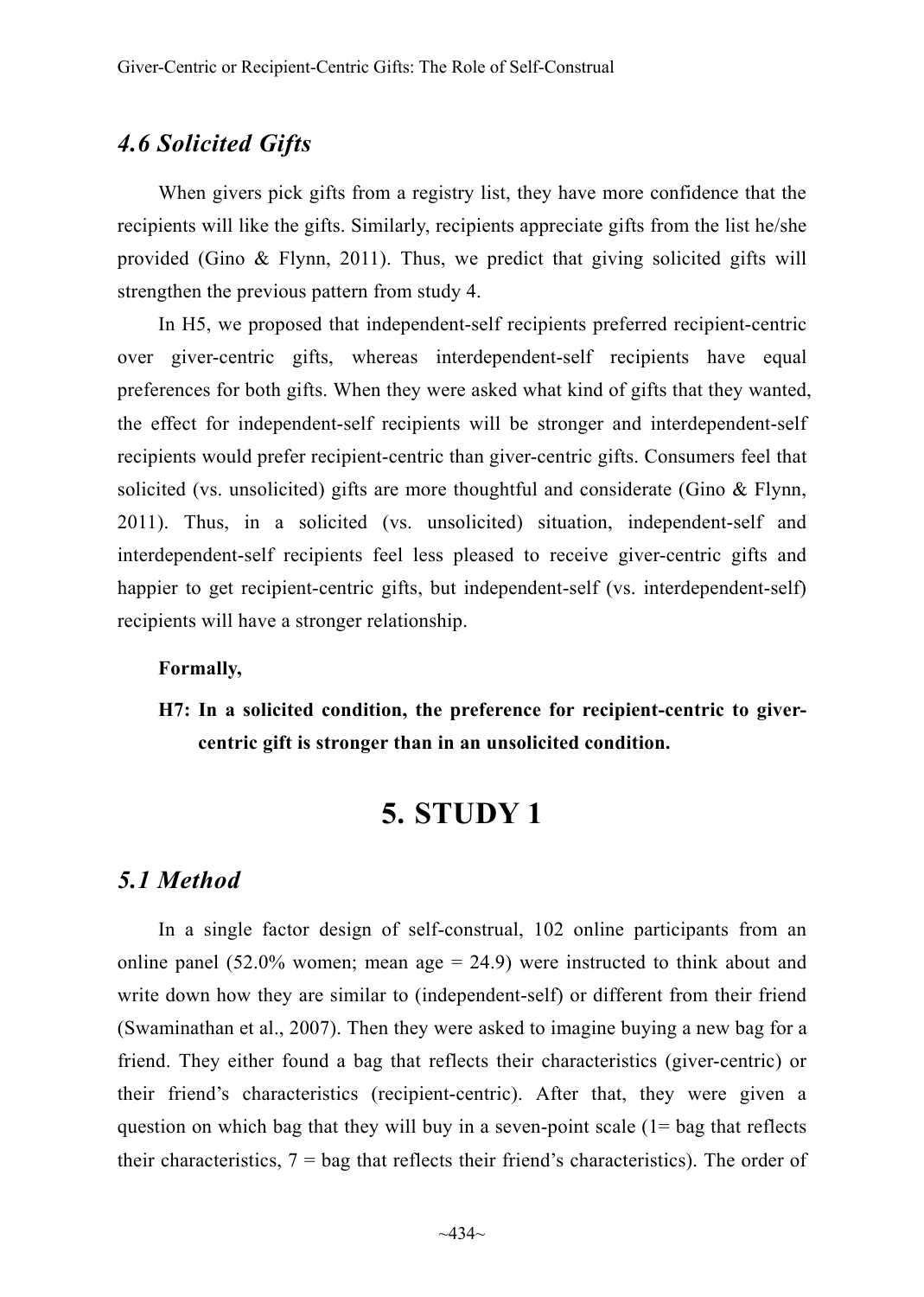## *4.6 Solicited Gifts*

When givers pick gifts from a registry list, they have more confidence that the recipients will like the gifts. Similarly, recipients appreciate gifts from the list he/she provided (Gino  $\&$  Flynn, 2011). Thus, we predict that giving solicited gifts will strengthen the previous pattern from study 4.

In H5, we proposed that independent-self recipients preferred recipient-centric over giver-centric gifts, whereas interdependent-self recipients have equal preferences for both gifts. When they were asked what kind of gifts that they wanted, the effect for independent-self recipients will be stronger and interdependent-self recipients would prefer recipient-centric than giver-centric gifts. Consumers feel that solicited (vs. unsolicited) gifts are more thoughtful and considerate (Gino & Flynn, 2011). Thus, in a solicited (vs. unsolicited) situation, independent-self and interdependent-self recipients feel less pleased to receive giver-centric gifts and happier to get recipient-centric gifts, but independent-self (vs. interdependent-self) recipients will have a stronger relationship.

#### **Formally,**

**H7: In a solicited condition, the preference for recipient-centric to givercentric gift is stronger than in an unsolicited condition.** 

## **5. STUDY 1**

#### *5.1 Method*

In a single factor design of self-construal, 102 online participants from an online panel  $(52.0\%$  women; mean age = 24.9) were instructed to think about and write down how they are similar to (independent-self) or different from their friend (Swaminathan et al., 2007). Then they were asked to imagine buying a new bag for a friend. They either found a bag that reflects their characteristics (giver-centric) or their friend's characteristics (recipient-centric). After that, they were given a question on which bag that they will buy in a seven-point scale (1= bag that reflects their characteristics,  $7 = \text{bag}$  that reflects their friend's characteristics). The order of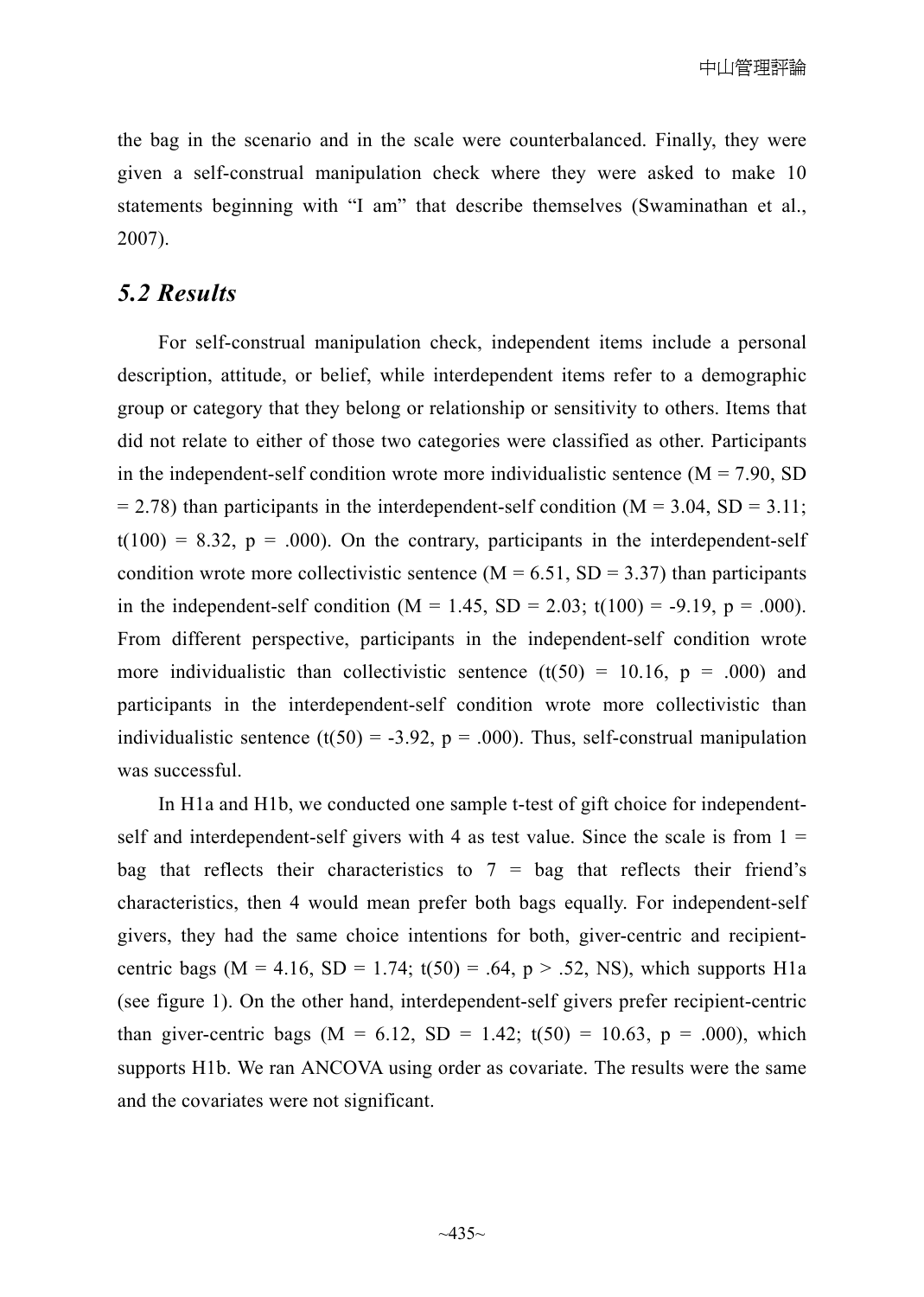the bag in the scenario and in the scale were counterbalanced. Finally, they were given a self-construal manipulation check where they were asked to make 10 statements beginning with "I am" that describe themselves (Swaminathan et al., 2007).

## *5.2 Results*

For self-construal manipulation check, independent items include a personal description, attitude, or belief, while interdependent items refer to a demographic group or category that they belong or relationship or sensitivity to others. Items that did not relate to either of those two categories were classified as other. Participants in the independent-self condition wrote more individualistic sentence  $(M = 7.90, SD)$  $= 2.78$ ) than participants in the interdependent-self condition (M = 3.04, SD = 3.11;  $t(100) = 8.32$ ,  $p = .000$ ). On the contrary, participants in the interdependent-self condition wrote more collectivistic sentence  $(M = 6.51, SD = 3.37)$  than participants in the independent-self condition ( $M = 1.45$ ,  $SD = 2.03$ ; t(100) = -9.19, p = .000). From different perspective, participants in the independent-self condition wrote more individualistic than collectivistic sentence (t(50) = 10.16,  $p = .000$ ) and participants in the interdependent-self condition wrote more collectivistic than individualistic sentence (t(50) = -3.92,  $p = .000$ ). Thus, self-construal manipulation was successful.

In H1a and H1b, we conducted one sample t-test of gift choice for independentself and interdependent-self givers with 4 as test value. Since the scale is from  $1 =$ bag that reflects their characteristics to  $7 =$  bag that reflects their friend's characteristics, then 4 would mean prefer both bags equally. For independent-self givers, they had the same choice intentions for both, giver-centric and recipientcentric bags (M = 4.16, SD = 1.74;  $t(50) = .64$ , p > .52, NS), which supports H1a (see figure 1). On the other hand, interdependent-self givers prefer recipient-centric than giver-centric bags ( $M = 6.12$ ,  $SD = 1.42$ ;  $t(50) = 10.63$ ,  $p = .000$ ), which supports H1b. We ran ANCOVA using order as covariate. The results were the same and the covariates were not significant.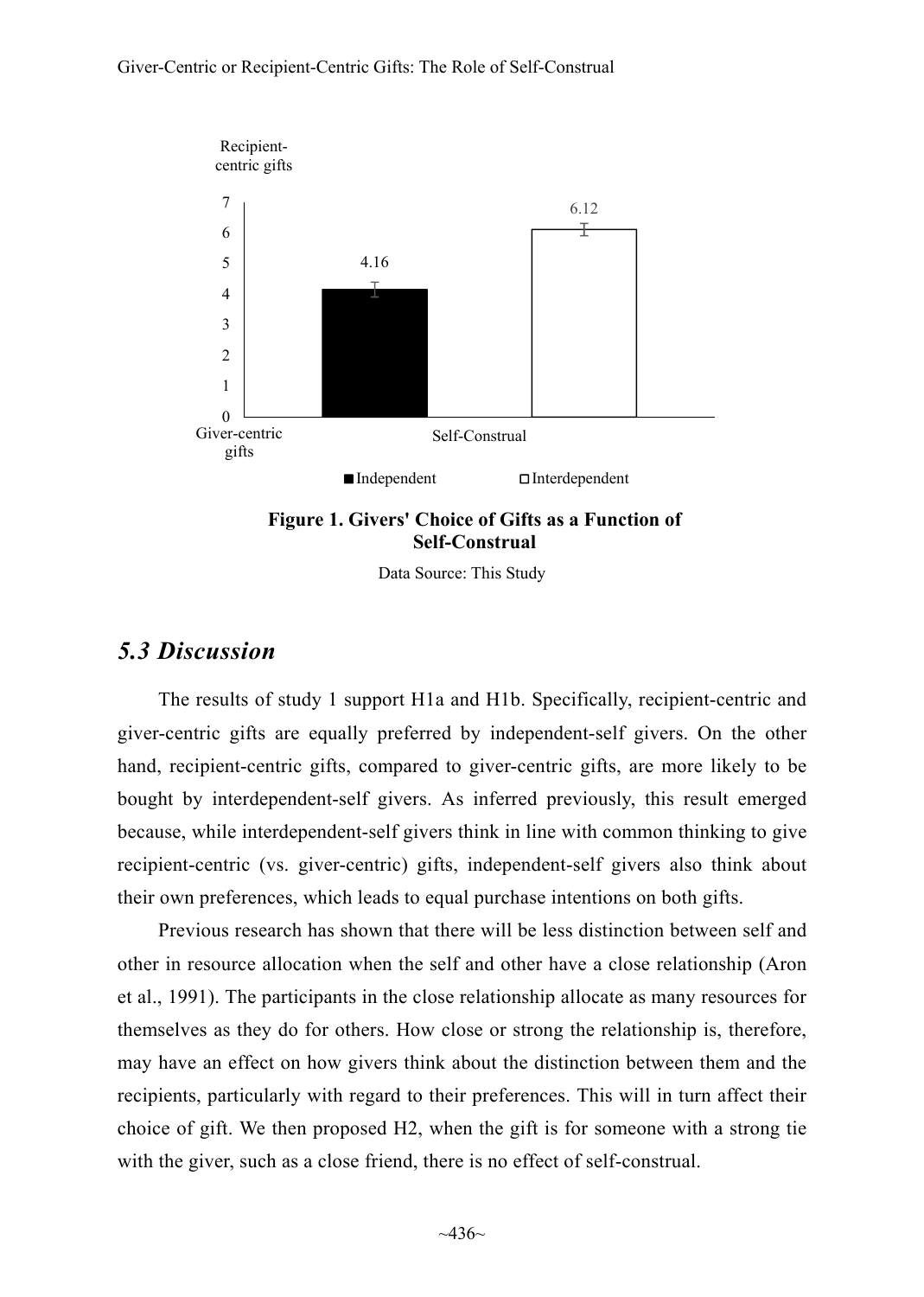

**Figure 1. Givers' Choice of Gifts as a Function of Self-Construal**

Data Source: This Study

## *5.3 Discussion*

The results of study 1 support H1a and H1b. Specifically, recipient-centric and giver-centric gifts are equally preferred by independent-self givers. On the other hand, recipient-centric gifts, compared to giver-centric gifts, are more likely to be bought by interdependent-self givers. As inferred previously, this result emerged because, while interdependent-self givers think in line with common thinking to give recipient-centric (vs. giver-centric) gifts, independent-self givers also think about their own preferences, which leads to equal purchase intentions on both gifts.

Previous research has shown that there will be less distinction between self and other in resource allocation when the self and other have a close relationship (Aron et al., 1991). The participants in the close relationship allocate as many resources for themselves as they do for others. How close or strong the relationship is, therefore, may have an effect on how givers think about the distinction between them and the recipients, particularly with regard to their preferences. This will in turn affect their choice of gift. We then proposed H2, when the gift is for someone with a strong tie with the giver, such as a close friend, there is no effect of self-construal.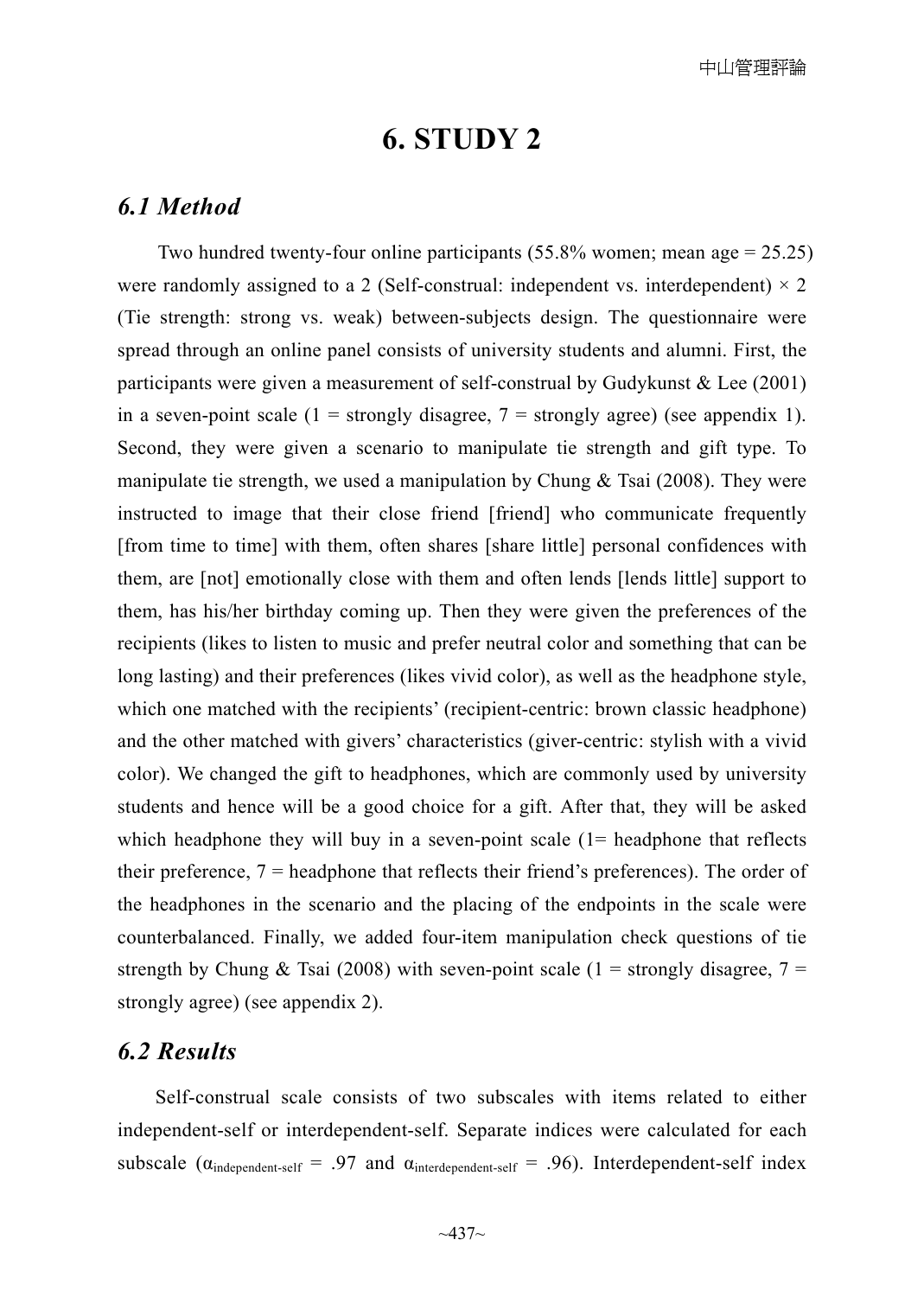# **6. STUDY 2**

#### *6.1 Method*

Two hundred twenty-four online participants  $(55.8\%$  women; mean age = 25.25) were randomly assigned to a 2 (Self-construal: independent vs. interdependent)  $\times$  2 (Tie strength: strong vs. weak) between-subjects design. The questionnaire were spread through an online panel consists of university students and alumni. First, the participants were given a measurement of self-construal by Gudykunst & Lee (2001) in a seven-point scale  $(1 =$  strongly disagree,  $7 =$  strongly agree) (see appendix 1). Second, they were given a scenario to manipulate tie strength and gift type. To manipulate tie strength, we used a manipulation by Chung  $\&$  Tsai (2008). They were instructed to image that their close friend [friend] who communicate frequently [from time to time] with them, often shares [share little] personal confidences with them, are [not] emotionally close with them and often lends [lends little] support to them, has his/her birthday coming up. Then they were given the preferences of the recipients (likes to listen to music and prefer neutral color and something that can be long lasting) and their preferences (likes vivid color), as well as the headphone style, which one matched with the recipients' (recipient-centric: brown classic headphone) and the other matched with givers' characteristics (giver-centric: stylish with a vivid color). We changed the gift to headphones, which are commonly used by university students and hence will be a good choice for a gift. After that, they will be asked which headphone they will buy in a seven-point scale  $(1=$  headphone that reflects their preference, 7 = headphone that reflects their friend's preferences). The order of the headphones in the scenario and the placing of the endpoints in the scale were counterbalanced. Finally, we added four-item manipulation check questions of tie strength by Chung & Tsai (2008) with seven-point scale (1 = strongly disagree, 7 = strongly agree) (see appendix 2).

### *6.2 Results*

Self-construal scale consists of two subscales with items related to either independent-self or interdependent-self. Separate indices were calculated for each subscale ( $\alpha_{\text{independent-self}} = .97$  and  $\alpha_{\text{interdependent-self}} = .96$ ). Interdependent-self index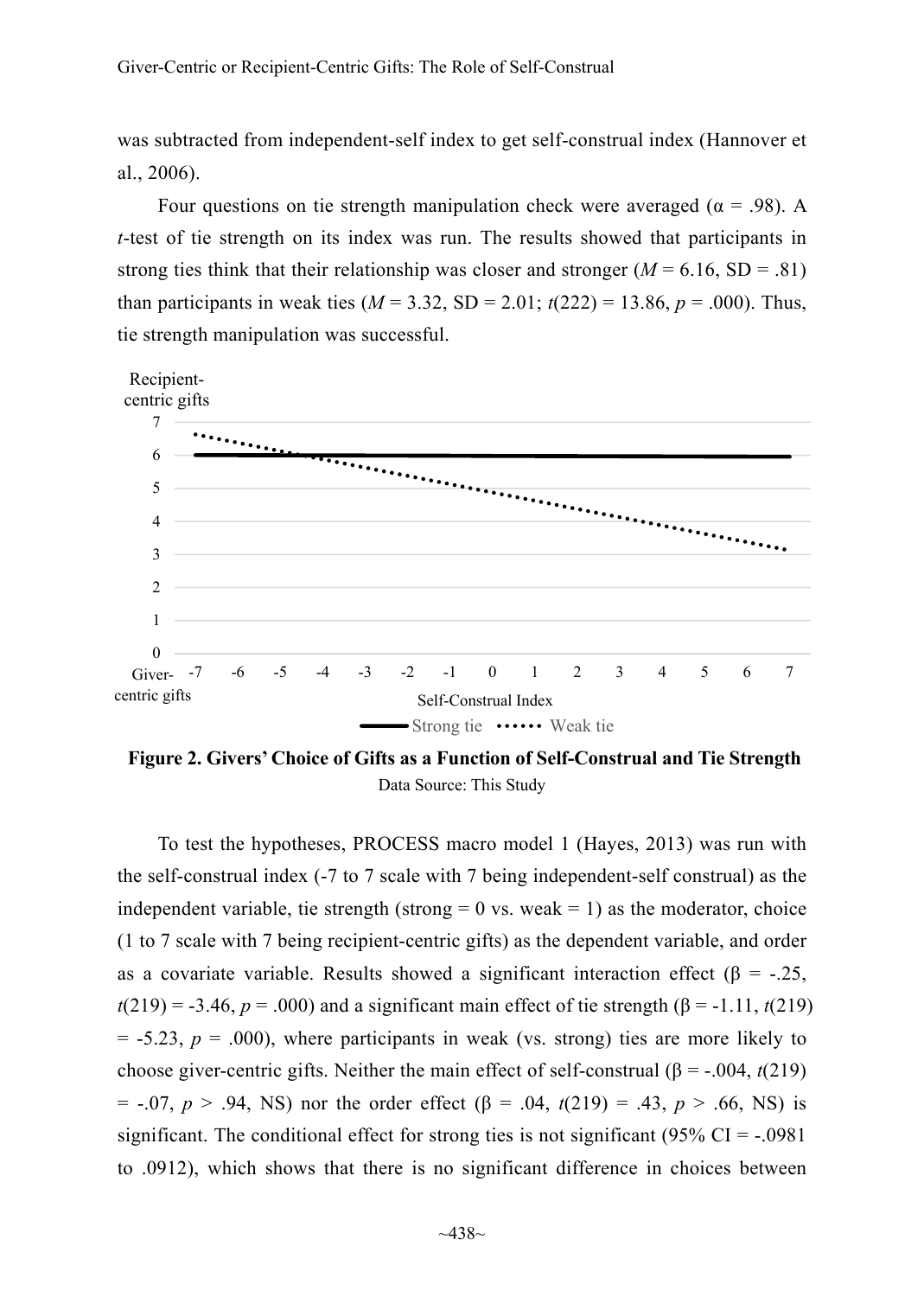was subtracted from independent-self index to get self-construal index (Hannover et al., 2006).

Four questions on tie strength manipulation check were averaged ( $\alpha$  = .98). A *t*-test of tie strength on its index was run. The results showed that participants in strong ties think that their relationship was closer and stronger  $(M = 6.16, SD = .81)$ than participants in weak ties  $(M = 3.32, SD = 2.01; t(222) = 13.86, p = .000)$ . Thus, tie strength manipulation was successful.



**Figure 2. Givers' Choice of Gifts as a Function of Self-Construal and Tie Strength**  Data Source: This Study

To test the hypotheses, PROCESS macro model 1 (Hayes, 2013) was run with the self-construal index (-7 to 7 scale with 7 being independent-self construal) as the independent variable, tie strength (strong  $= 0$  vs. weak  $= 1$ ) as the moderator, choice (1 to 7 scale with 7 being recipient-centric gifts) as the dependent variable, and order as a covariate variable. Results showed a significant interaction effect ( $\beta = -.25$ ,  $t(219) = -3.46$ ,  $p = .000$ ) and a significant main effect of tie strength ( $\beta = -1.11$ ,  $t(219)$ )  $=$  -5.23,  $p = .000$ ), where participants in weak (vs. strong) ties are more likely to choose giver-centric gifts. Neither the main effect of self-construal  $(\beta = -0.004, t(219))$ = -.07, *p* > .94, NS) nor the order effect (β = .04, *t*(219) = .43, *p* > .66, NS) is significant. The conditional effect for strong ties is not significant (95%  $CI = -0.0981$ ) to .0912), which shows that there is no significant difference in choices between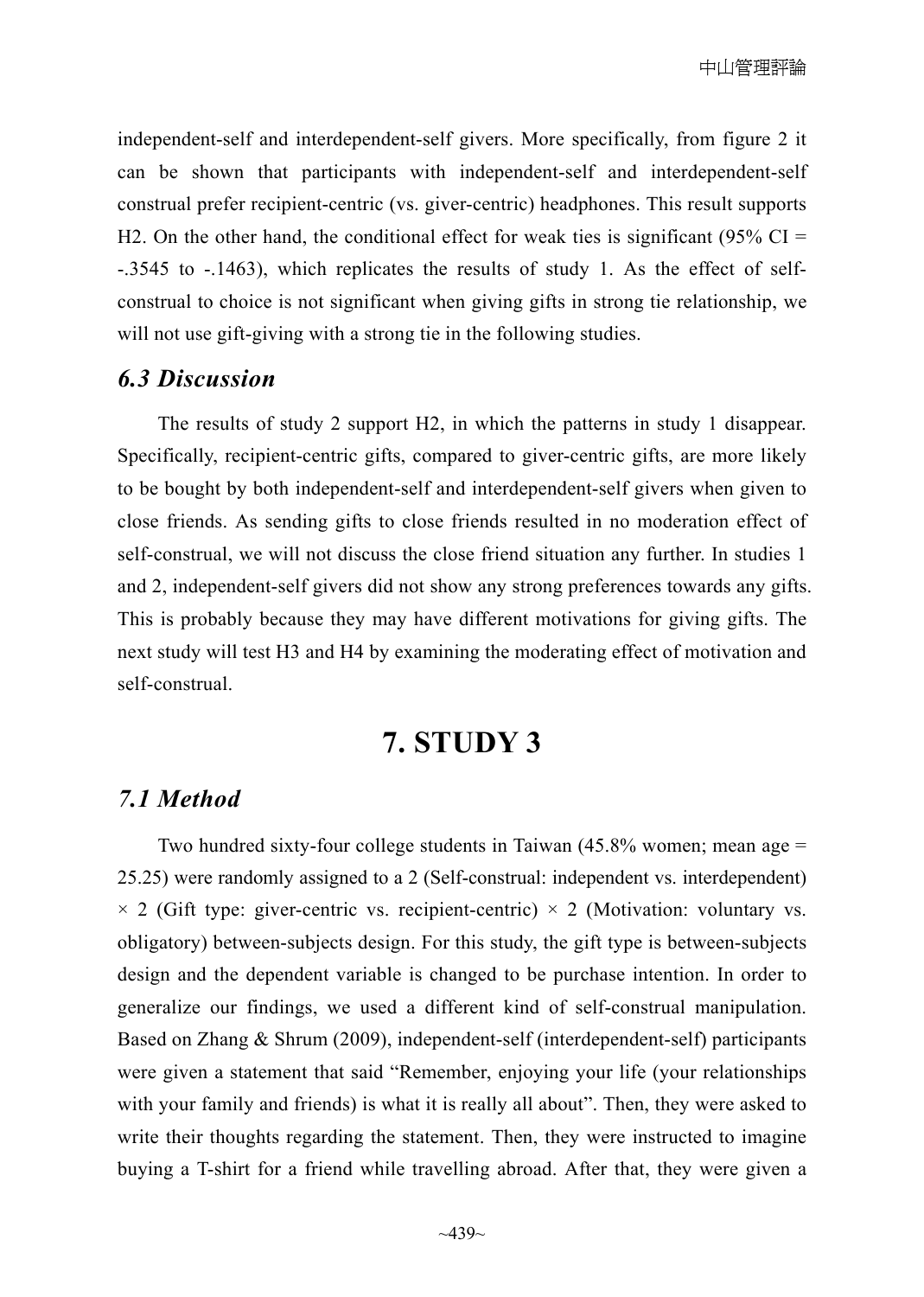independent-self and interdependent-self givers. More specifically, from figure 2 it can be shown that participants with independent-self and interdependent-self construal prefer recipient-centric (vs. giver-centric) headphones. This result supports H2. On the other hand, the conditional effect for weak ties is significant (95% CI = -.3545 to -.1463), which replicates the results of study 1. As the effect of selfconstrual to choice is not significant when giving gifts in strong tie relationship, we will not use gift-giving with a strong tie in the following studies.

#### *6.3 Discussion*

The results of study 2 support H2, in which the patterns in study 1 disappear. Specifically, recipient-centric gifts, compared to giver-centric gifts, are more likely to be bought by both independent-self and interdependent-self givers when given to close friends. As sending gifts to close friends resulted in no moderation effect of self-construal, we will not discuss the close friend situation any further. In studies 1 and 2, independent-self givers did not show any strong preferences towards any gifts. This is probably because they may have different motivations for giving gifts. The next study will test H3 and H4 by examining the moderating effect of motivation and self-construal.

# **7. STUDY 3**

#### *7.1 Method*

Two hundred sixty-four college students in Taiwan (45.8% women; mean age = 25.25) were randomly assigned to a 2 (Self-construal: independent vs. interdependent)  $\times$  2 (Gift type: giver-centric vs. recipient-centric)  $\times$  2 (Motivation: voluntary vs. obligatory) between-subjects design. For this study, the gift type is between-subjects design and the dependent variable is changed to be purchase intention. In order to generalize our findings, we used a different kind of self-construal manipulation. Based on Zhang & Shrum (2009), independent-self (interdependent-self) participants were given a statement that said "Remember, enjoying your life (your relationships with your family and friends) is what it is really all about". Then, they were asked to write their thoughts regarding the statement. Then, they were instructed to imagine buying a T-shirt for a friend while travelling abroad. After that, they were given a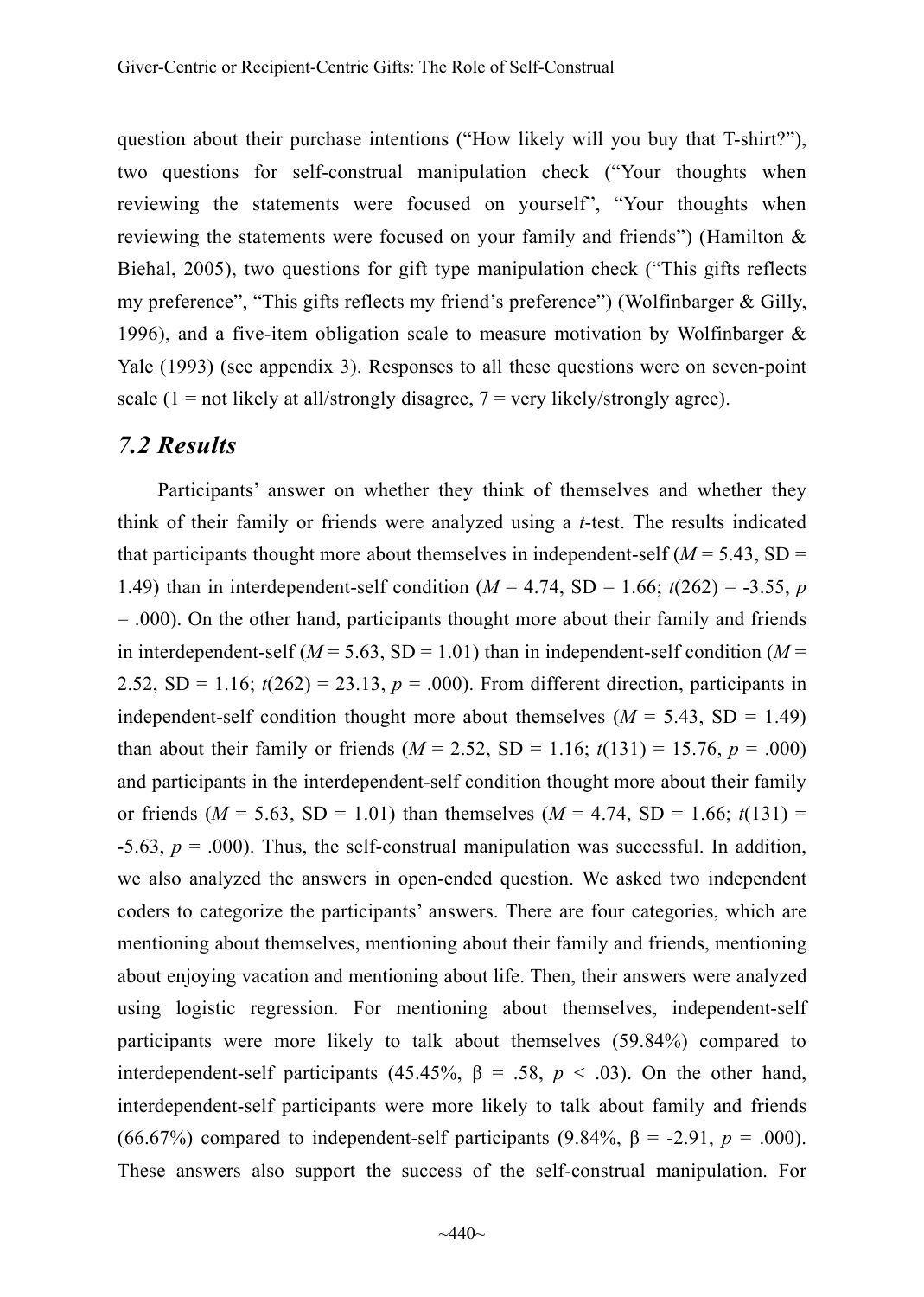question about their purchase intentions ("How likely will you buy that T-shirt?"), two questions for self-construal manipulation check ("Your thoughts when reviewing the statements were focused on yourself", "Your thoughts when reviewing the statements were focused on your family and friends") (Hamilton  $\&$ Biehal, 2005), two questions for gift type manipulation check ("This gifts reflects my preference", "This gifts reflects my friend's preference") (Wolfinbarger & Gilly, 1996), and a five-item obligation scale to measure motivation by Wolfinbarger  $\&$ Yale (1993) (see appendix 3). Responses to all these questions were on seven-point scale  $(1 = not likely at all/strongly disagree, 7 = very likely/strongly agree).$ 

#### *7.2 Results*

Participants' answer on whether they think of themselves and whether they think of their family or friends were analyzed using a *t*-test. The results indicated that participants thought more about themselves in independent-self  $(M = 5.43, SD =$ 1.49) than in interdependent-self condition ( $M = 4.74$ , SD = 1.66;  $t(262) = -3.55$ , *p*  $=$  .000). On the other hand, participants thought more about their family and friends in interdependent-self ( $M = 5.63$ , SD = 1.01) than in independent-self condition ( $M =$ 2.52,  $SD = 1.16$ ;  $t(262) = 23.13$ ,  $p = .000$ ). From different direction, participants in independent-self condition thought more about themselves  $(M = 5.43, SD = 1.49)$ than about their family or friends  $(M = 2.52, SD = 1.16; t(131) = 15.76, p = .000)$ and participants in the interdependent-self condition thought more about their family or friends  $(M = 5.63, SD = 1.01)$  than themselves  $(M = 4.74, SD = 1.66; t(131) =$  $-5.63$ ,  $p = .000$ ). Thus, the self-construal manipulation was successful. In addition, we also analyzed the answers in open-ended question. We asked two independent coders to categorize the participants' answers. There are four categories, which are mentioning about themselves, mentioning about their family and friends, mentioning about enjoying vacation and mentioning about life. Then, their answers were analyzed using logistic regression. For mentioning about themselves, independent-self participants were more likely to talk about themselves (59.84%) compared to interdependent-self participants (45.45%,  $\beta$  = .58,  $p < .03$ ). On the other hand, interdependent-self participants were more likely to talk about family and friends (66.67%) compared to independent-self participants (9.84%, β = -2.91, *p* = .000). These answers also support the success of the self-construal manipulation. For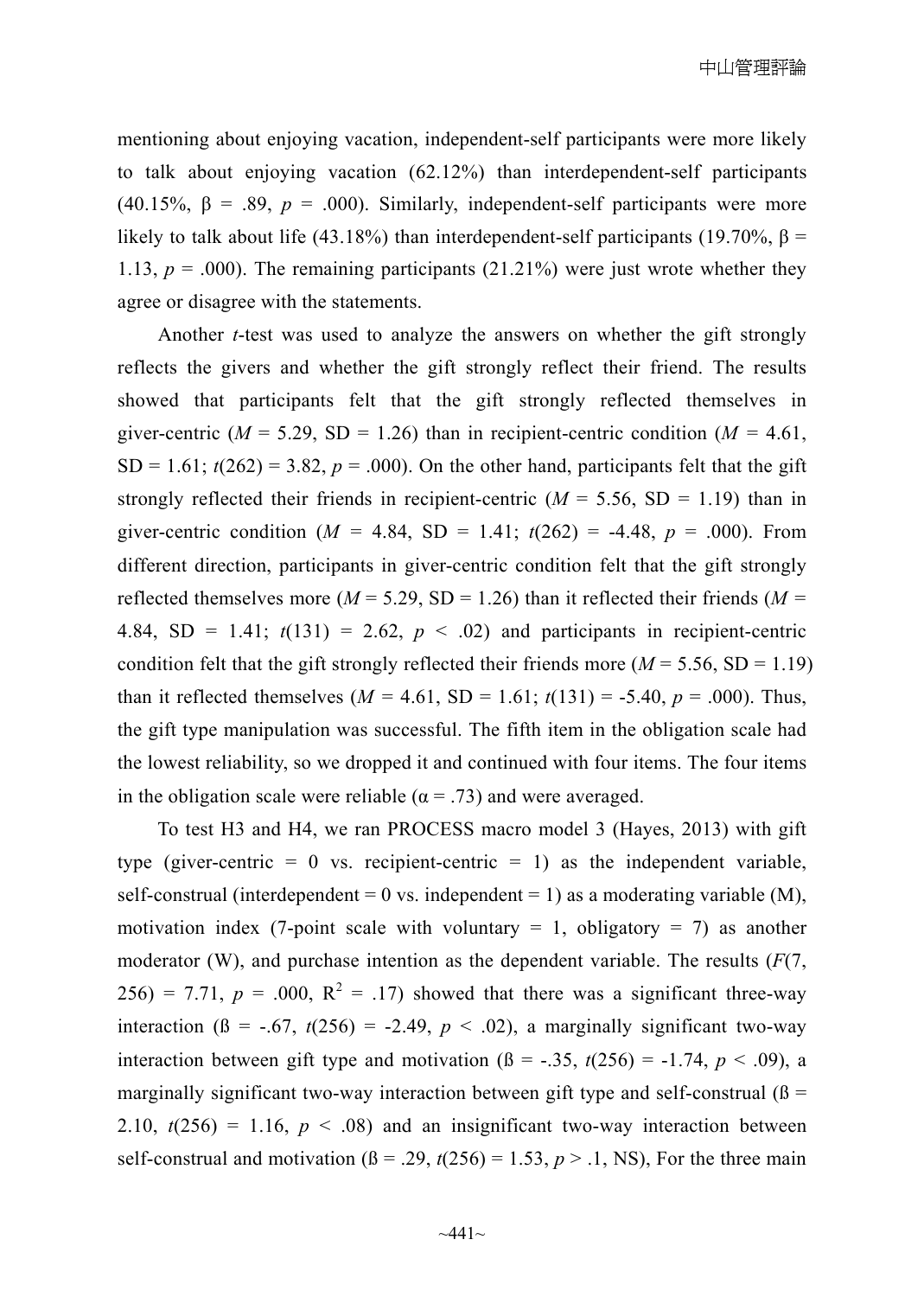mentioning about enjoying vacation, independent-self participants were more likely to talk about enjoying vacation (62.12%) than interdependent-self participants (40.15%,  $\beta$  = .89,  $p$  = .000). Similarly, independent-self participants were more likely to talk about life (43.18%) than interdependent-self participants (19.70%,  $β =$ 1.13,  $p = .000$ ). The remaining participants  $(21.21\%)$  were just wrote whether they agree or disagree with the statements.

Another *t*-test was used to analyze the answers on whether the gift strongly reflects the givers and whether the gift strongly reflect their friend. The results showed that participants felt that the gift strongly reflected themselves in giver-centric ( $M = 5.29$ , SD = 1.26) than in recipient-centric condition ( $M = 4.61$ ,  $SD = 1.61$ ;  $t(262) = 3.82$ ,  $p = .000$ ). On the other hand, participants felt that the gift strongly reflected their friends in recipient-centric  $(M = 5.56, SD = 1.19)$  than in giver-centric condition ( $M = 4.84$ , SD = 1.41;  $t(262) = -4.48$ ,  $p = .000$ ). From different direction, participants in giver-centric condition felt that the gift strongly reflected themselves more ( $M = 5.29$ , SD = 1.26) than it reflected their friends ( $M =$ 4.84, SD = 1.41;  $t(131) = 2.62$ ,  $p < .02$ ) and participants in recipient-centric condition felt that the gift strongly reflected their friends more ( $M = 5.56$ , SD = 1.19) than it reflected themselves  $(M = 4.61, SD = 1.61; t(131) = -5.40, p = .000)$ . Thus, the gift type manipulation was successful. The fifth item in the obligation scale had the lowest reliability, so we dropped it and continued with four items. The four items in the obligation scale were reliable ( $\alpha$  = .73) and were averaged.

To test H3 and H4, we ran PROCESS macro model 3 (Hayes, 2013) with gift type (giver-centric  $= 0$  vs. recipient-centric  $= 1$ ) as the independent variable, self-construal (interdependent = 0 vs. independent = 1) as a moderating variable  $(M)$ , motivation index (7-point scale with voluntary  $= 1$ , obligatory  $= 7$ ) as another moderator (W), and purchase intention as the dependent variable. The results  $(F(7, \mathbb{C}))$  $256$ ) = 7.71,  $p = .000$ ,  $R^2 = .17$ ) showed that there was a significant three-way interaction ( $\beta$  = -.67,  $t(256)$  = -2.49,  $p < .02$ ), a marginally significant two-way interaction between gift type and motivation  $(\beta = -.35, t(256) = -1.74, p < .09)$ , a marginally significant two-way interaction between gift type and self-construal  $(\beta =$ 2.10,  $t(256) = 1.16$ ,  $p < .08$ ) and an insignificant two-way interaction between self-construal and motivation  $(β = .29, t(256) = 1.53, p > .1, NS)$ , For the three main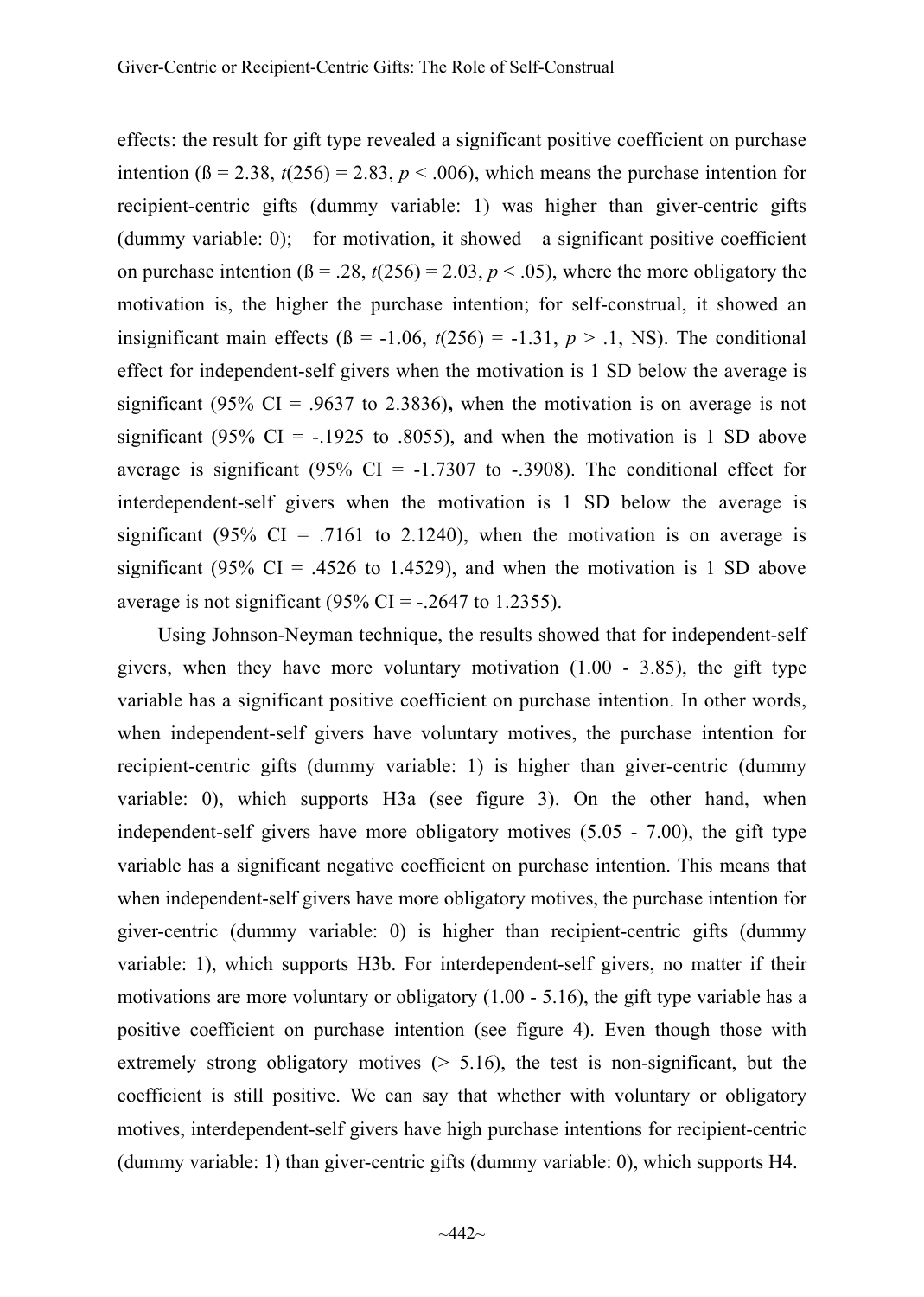effects: the result for gift type revealed a significant positive coefficient on purchase intention ( $\beta$  = 2.38,  $t(256)$  = 2.83,  $p < .006$ ), which means the purchase intention for recipient-centric gifts (dummy variable: 1) was higher than giver-centric gifts (dummy variable: 0); for motivation, it showed a significant positive coefficient on purchase intention  $(\beta = .28, t(256) = 2.03, p < .05)$ , where the more obligatory the motivation is, the higher the purchase intention; for self-construal, it showed an insignificant main effects ( $\beta$  = -1.06,  $t(256)$  = -1.31,  $p > 0.1$ , NS). The conditional effect for independent-self givers when the motivation is 1 SD below the average is significant (95% CI = .9637 to 2.3836), when the motivation is on average is not significant (95% CI =  $-.1925$  to .8055), and when the motivation is 1 SD above average is significant (95% CI =  $-1.7307$  to  $-0.3908$ ). The conditional effect for interdependent-self givers when the motivation is 1 SD below the average is significant (95% CI = .7161 to 2.1240), when the motivation is on average is significant (95% CI = .4526 to 1.4529), and when the motivation is 1 SD above average is not significant  $(95\% \text{ CI} = -.2647 \text{ to } 1.2355)$ .

Using Johnson-Neyman technique, the results showed that for independent-self givers, when they have more voluntary motivation  $(1.00 - 3.85)$ , the gift type variable has a significant positive coefficient on purchase intention. In other words, when independent-self givers have voluntary motives, the purchase intention for recipient-centric gifts (dummy variable: 1) is higher than giver-centric (dummy variable: 0), which supports H3a (see figure 3). On the other hand, when independent-self givers have more obligatory motives (5.05 - 7.00), the gift type variable has a significant negative coefficient on purchase intention. This means that when independent-self givers have more obligatory motives, the purchase intention for giver-centric (dummy variable: 0) is higher than recipient-centric gifts (dummy variable: 1), which supports H3b. For interdependent-self givers, no matter if their motivations are more voluntary or obligatory  $(1.00 - 5.16)$ , the gift type variable has a positive coefficient on purchase intention (see figure 4). Even though those with extremely strong obligatory motives  $(5.16)$ , the test is non-significant, but the coefficient is still positive. We can say that whether with voluntary or obligatory motives, interdependent-self givers have high purchase intentions for recipient-centric (dummy variable: 1) than giver-centric gifts (dummy variable: 0), which supports H4.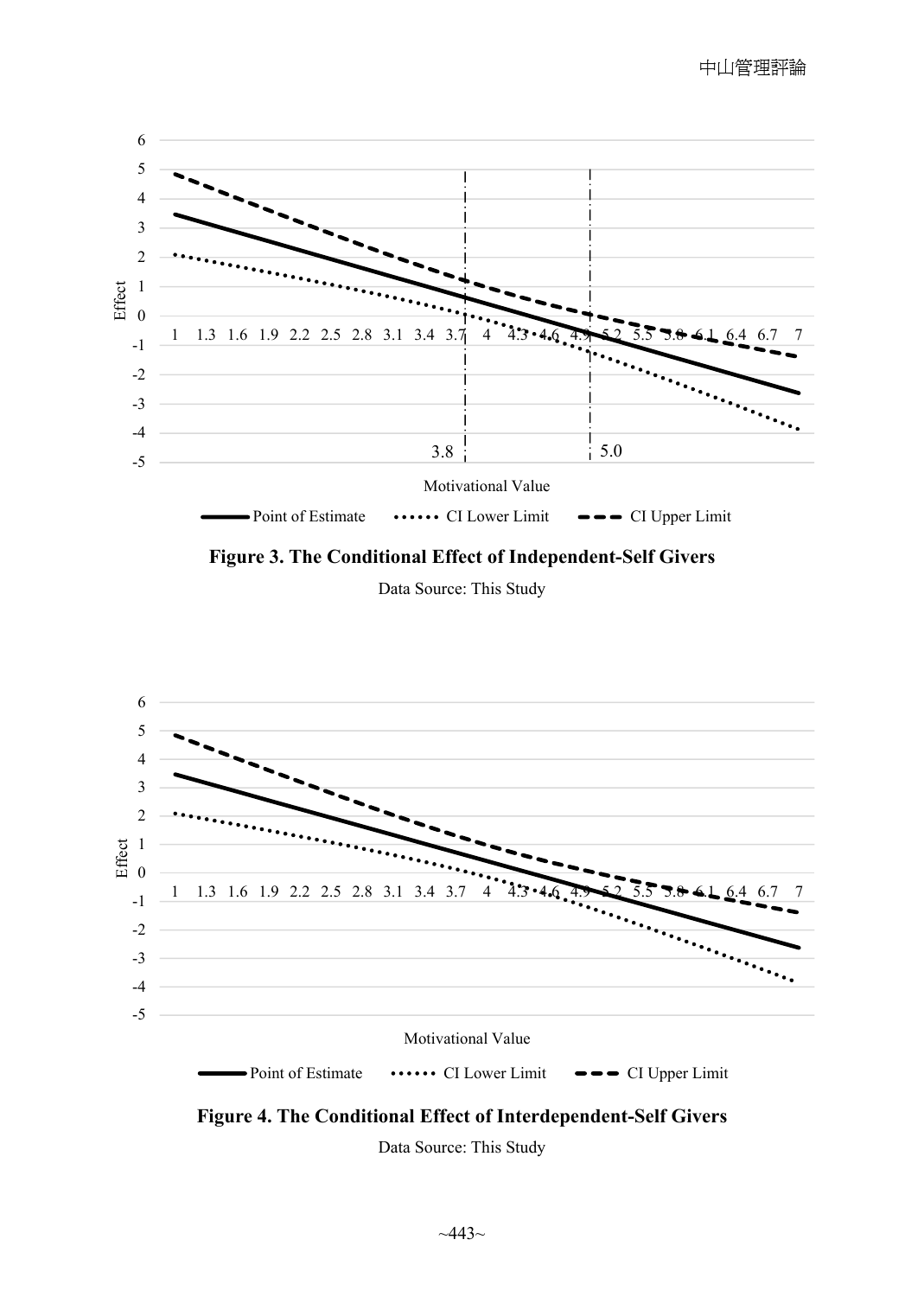

**Figure 3. The Conditional Effect of Independent-Self Givers** 

Data Source: This Study





Data Source: This Study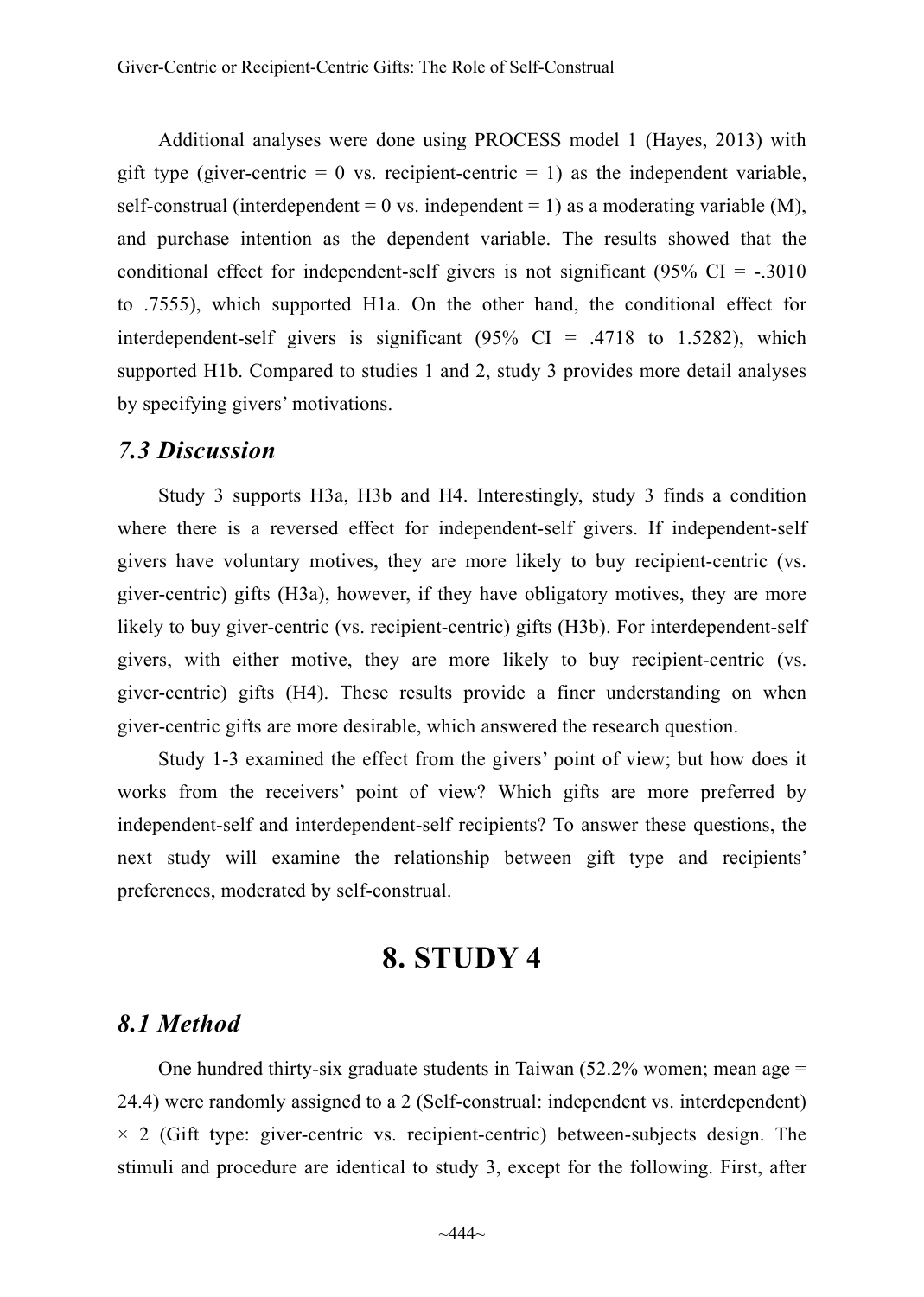Additional analyses were done using PROCESS model 1 (Hayes, 2013) with gift type (giver-centric  $= 0$  vs. recipient-centric  $= 1$ ) as the independent variable, self-construal (interdependent = 0 vs. independent = 1) as a moderating variable  $(M)$ , and purchase intention as the dependent variable. The results showed that the conditional effect for independent-self givers is not significant  $(95\% \text{ CI} = -.3010)$ to .7555), which supported H1a. On the other hand, the conditional effect for interdependent-self givers is significant  $(95\% \text{ CI} = .4718 \text{ to } 1.5282)$ , which supported H1b. Compared to studies 1 and 2, study 3 provides more detail analyses by specifying givers' motivations.

#### *7.3 Discussion*

Study 3 supports H3a, H3b and H4. Interestingly, study 3 finds a condition where there is a reversed effect for independent-self givers. If independent-self givers have voluntary motives, they are more likely to buy recipient-centric (vs. giver-centric) gifts (H3a), however, if they have obligatory motives, they are more likely to buy giver-centric (vs. recipient-centric) gifts (H3b). For interdependent-self givers, with either motive, they are more likely to buy recipient-centric (vs. giver-centric) gifts (H4). These results provide a finer understanding on when giver-centric gifts are more desirable, which answered the research question.

Study 1-3 examined the effect from the givers' point of view; but how does it works from the receivers' point of view? Which gifts are more preferred by independent-self and interdependent-self recipients? To answer these questions, the next study will examine the relationship between gift type and recipients' preferences, moderated by self-construal.

# **8. STUDY 4**

#### *8.1 Method*

One hundred thirty-six graduate students in Taiwan  $(52.2\%$  women; mean age = 24.4) were randomly assigned to a 2 (Self-construal: independent vs. interdependent)  $\times$  2 (Gift type: giver-centric vs. recipient-centric) between-subjects design. The stimuli and procedure are identical to study 3, except for the following. First, after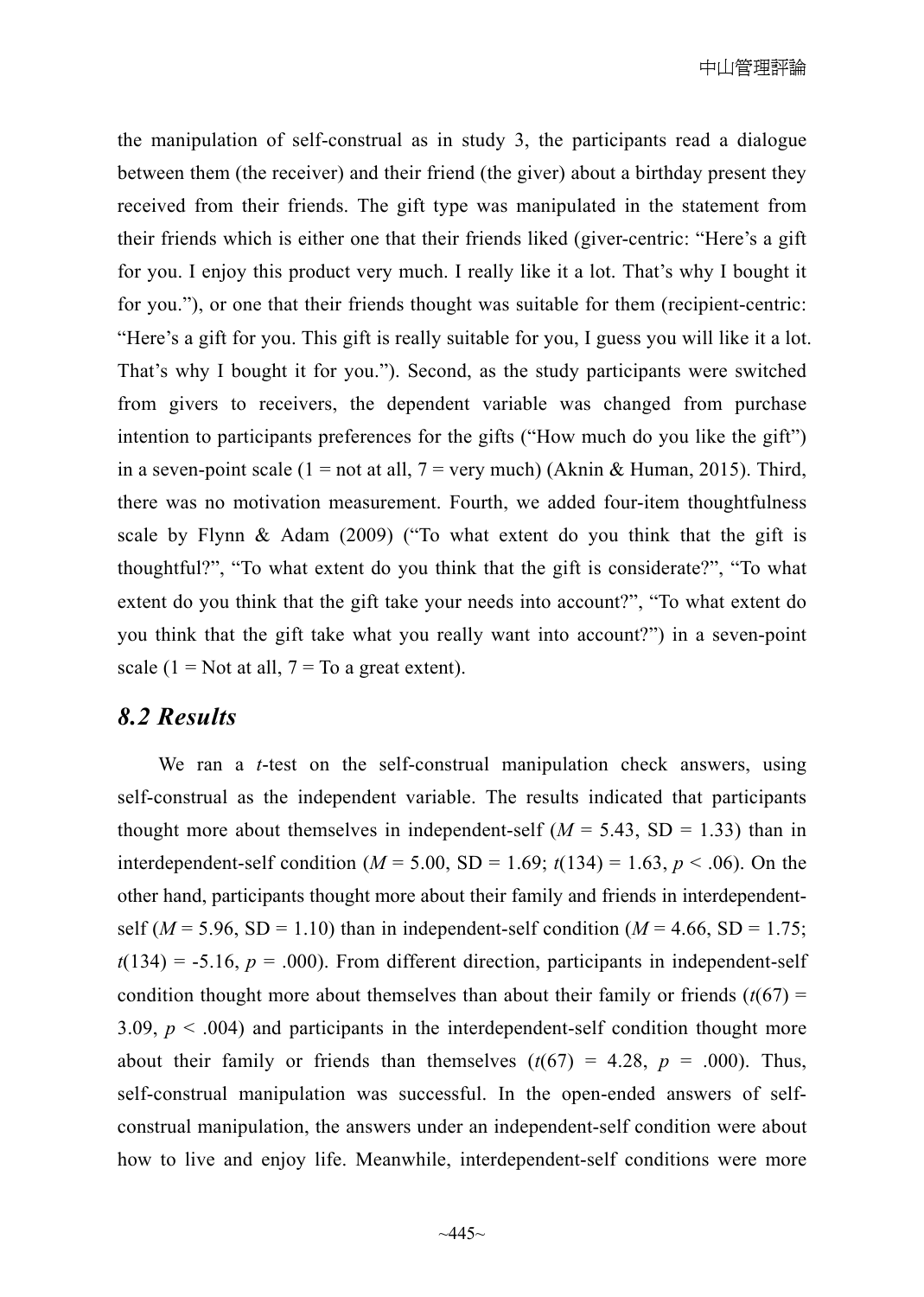the manipulation of self-construal as in study 3, the participants read a dialogue between them (the receiver) and their friend (the giver) about a birthday present they received from their friends. The gift type was manipulated in the statement from their friends which is either one that their friends liked (giver-centric: "Here's a gift for you. I enjoy this product very much. I really like it a lot. That's why I bought it for you."), or one that their friends thought was suitable for them (recipient-centric: "Here's a gift for you. This gift is really suitable for you, I guess you will like it a lot. That's why I bought it for you."). Second, as the study participants were switched from givers to receivers, the dependent variable was changed from purchase intention to participants preferences for the gifts ("How much do you like the gift") in a seven-point scale (1 = not at all, 7 = very much) (Aknin & Human, 2015). Third, there was no motivation measurement. Fourth, we added four-item thoughtfulness scale by Flynn  $\&$  Adam (2009) ("To what extent do you think that the gift is thoughtful?", "To what extent do you think that the gift is considerate?", "To what extent do you think that the gift take your needs into account?", "To what extent do you think that the gift take what you really want into account?") in a seven-point scale (1 = Not at all,  $7 =$  To a great extent).

#### *8.2 Results*

We ran a *t*-test on the self-construal manipulation check answers, using self-construal as the independent variable. The results indicated that participants thought more about themselves in independent-self  $(M = 5.43, SD = 1.33)$  than in interdependent-self condition ( $M = 5.00$ , SD = 1.69;  $t(134) = 1.63$ ,  $p < .06$ ). On the other hand, participants thought more about their family and friends in interdependentself ( $M = 5.96$ , SD = 1.10) than in independent-self condition ( $M = 4.66$ , SD = 1.75;  $t(134) = -5.16$ ,  $p = .000$ ). From different direction, participants in independent-self condition thought more about themselves than about their family or friends  $(t(67) =$ 3.09,  $p < .004$ ) and participants in the interdependent-self condition thought more about their family or friends than themselves  $(t(67) = 4.28, p = .000)$ . Thus, self-construal manipulation was successful. In the open-ended answers of selfconstrual manipulation, the answers under an independent-self condition were about how to live and enjoy life. Meanwhile, interdependent-self conditions were more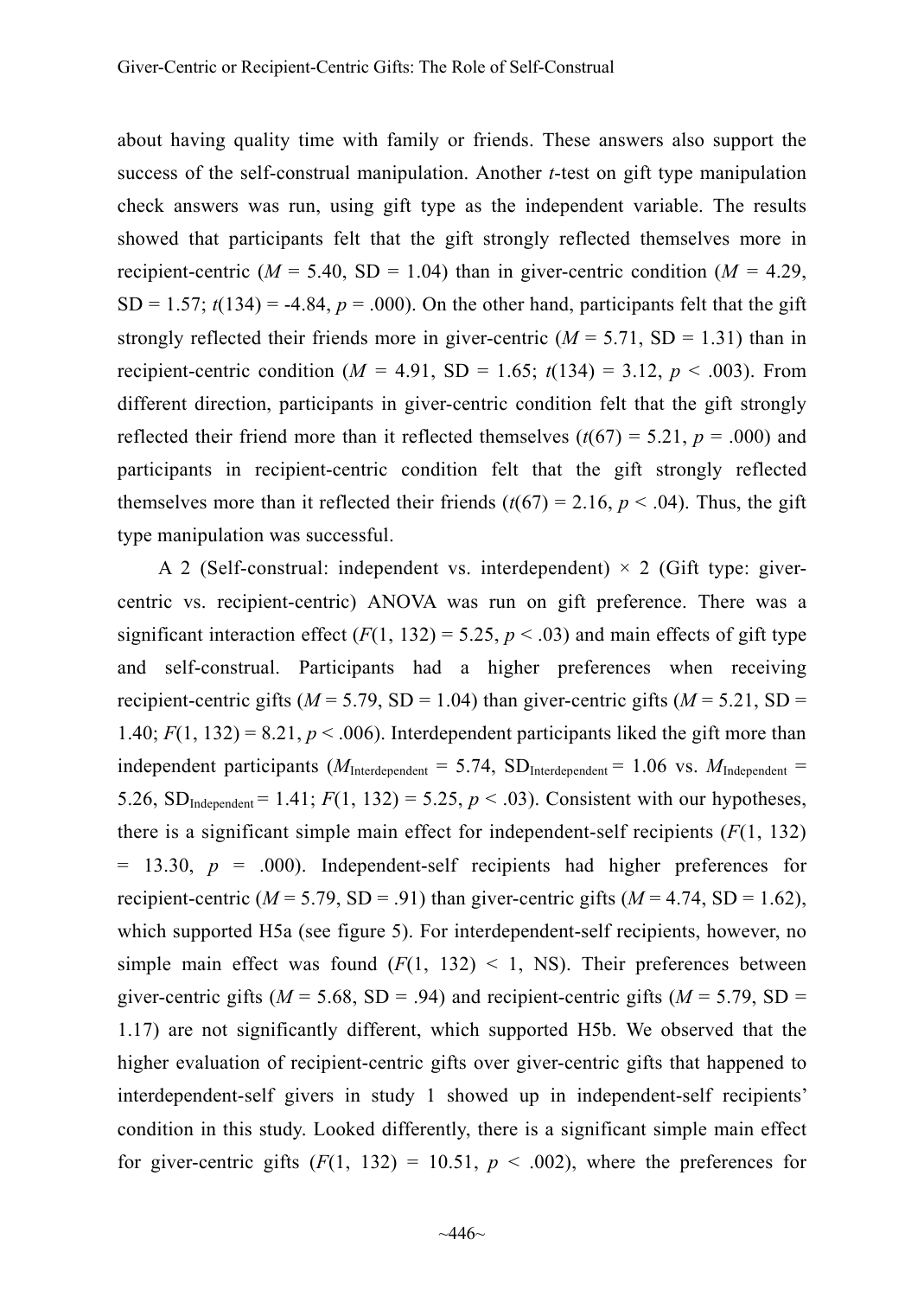about having quality time with family or friends. These answers also support the success of the self-construal manipulation. Another *t*-test on gift type manipulation check answers was run, using gift type as the independent variable. The results showed that participants felt that the gift strongly reflected themselves more in recipient-centric ( $M = 5.40$ , SD = 1.04) than in giver-centric condition ( $M = 4.29$ ,  $SD = 1.57$ ;  $t(134) = -4.84$ ,  $p = .000$ ). On the other hand, participants felt that the gift strongly reflected their friends more in giver-centric  $(M = 5.71, SD = 1.31)$  than in recipient-centric condition  $(M = 4.91, SD = 1.65; t(134) = 3.12, p < .003$ ). From different direction, participants in giver-centric condition felt that the gift strongly reflected their friend more than it reflected themselves  $(t(67) = 5.21, p = .000)$  and participants in recipient-centric condition felt that the gift strongly reflected themselves more than it reflected their friends  $(t(67) = 2.16, p < .04)$ . Thus, the gift type manipulation was successful.

A 2 (Self-construal: independent vs. interdependent)  $\times$  2 (Gift type: givercentric vs. recipient-centric) ANOVA was run on gift preference. There was a significant interaction effect  $(F(1, 132) = 5.25, p < .03)$  and main effects of gift type and self-construal. Participants had a higher preferences when receiving recipient-centric gifts ( $M = 5.79$ , SD = 1.04) than giver-centric gifts ( $M = 5.21$ , SD = 1.40;  $F(1, 132) = 8.21$ ,  $p < .006$ ). Interdependent participants liked the gift more than independent participants ( $M_{\text{Interdependent}} = 5.74$ ,  $SD_{\text{Interdependent}} = 1.06$  vs.  $M_{\text{Independent}} =$ 5.26,  $SD_{Independent} = 1.41$ ;  $F(1, 132) = 5.25$ ,  $p < .03$ ). Consistent with our hypotheses, there is a significant simple main effect for independent-self recipients  $(F(1, 132))$  $= 13.30, p = .000$ . Independent-self recipients had higher preferences for recipient-centric ( $M = 5.79$ , SD = .91) than giver-centric gifts ( $M = 4.74$ , SD = 1.62), which supported H5a (see figure 5). For interdependent-self recipients, however, no simple main effect was found  $(F(1, 132) < 1, NS)$ . Their preferences between giver-centric gifts ( $M = 5.68$ , SD = .94) and recipient-centric gifts ( $M = 5.79$ , SD = 1.17) are not significantly different, which supported H5b. We observed that the higher evaluation of recipient-centric gifts over giver-centric gifts that happened to interdependent-self givers in study 1 showed up in independent-self recipients' condition in this study. Looked differently, there is a significant simple main effect for giver-centric gifts  $(F(1, 132) = 10.51, p < .002)$ , where the preferences for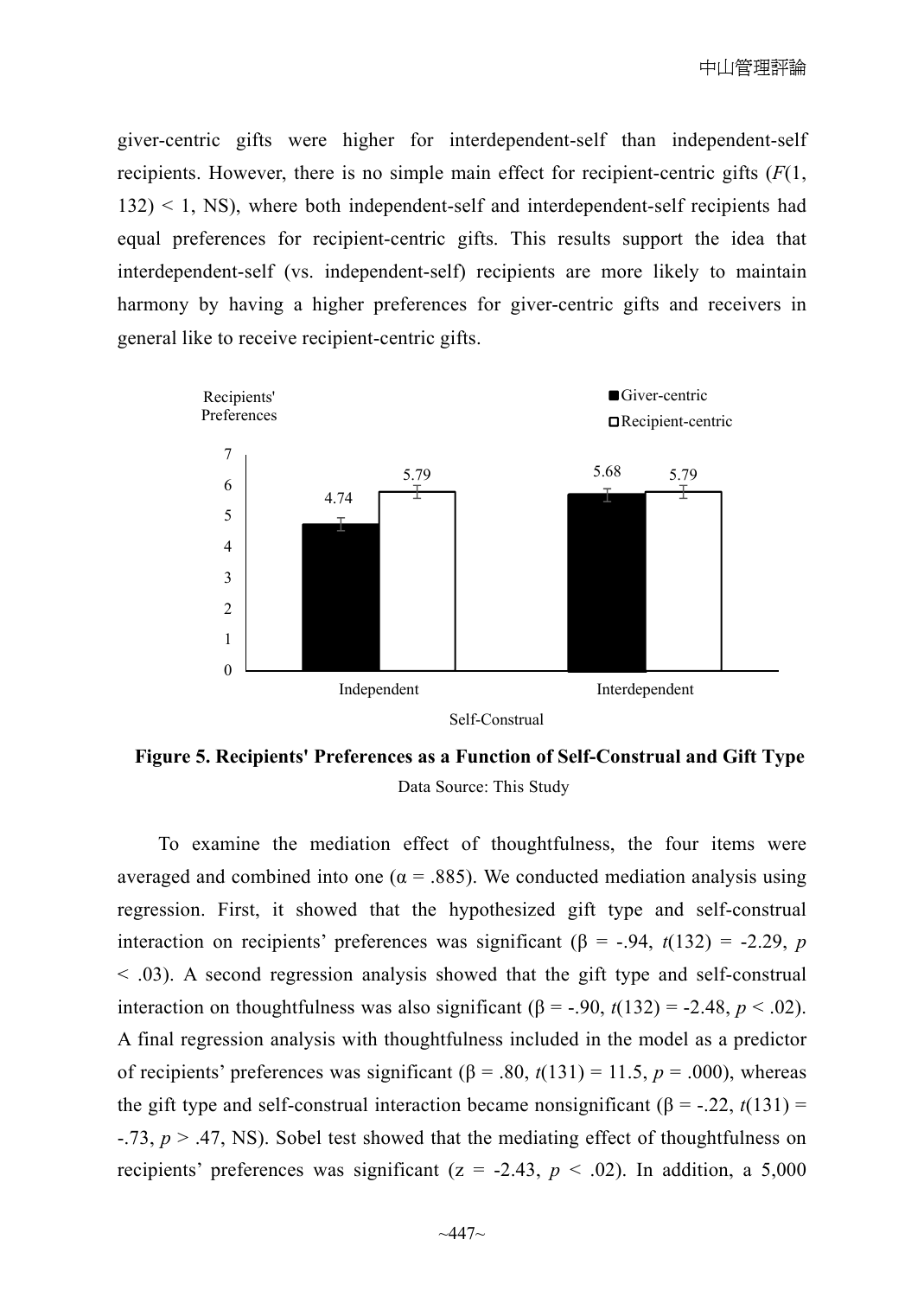giver-centric gifts were higher for interdependent-self than independent-self recipients. However, there is no simple main effect for recipient-centric gifts (*F*(1,  $132$ )  $\leq$  1, NS), where both independent-self and interdependent-self recipients had equal preferences for recipient-centric gifts. This results support the idea that interdependent-self (vs. independent-self) recipients are more likely to maintain harmony by having a higher preferences for giver-centric gifts and receivers in general like to receive recipient-centric gifts.



**Figure 5. Recipients' Preferences as a Function of Self-Construal and Gift Type**  Data Source: This Study

To examine the mediation effect of thoughtfulness, the four items were averaged and combined into one ( $\alpha$  = .885). We conducted mediation analysis using regression. First, it showed that the hypothesized gift type and self-construal interaction on recipients' preferences was significant ( $\beta$  = -.94, *t*(132) = -2.29, *p* < .03). A second regression analysis showed that the gift type and self-construal interaction on thoughtfulness was also significant  $(β = -.90, t(132) = -2.48, p < .02)$ . A final regression analysis with thoughtfulness included in the model as a predictor of recipients' preferences was significant  $(β = .80, t(131) = 11.5, p = .000)$ , whereas the gift type and self-construal interaction became nonsignificant ( $\beta$  = -.22, *t*(131) = -.73, *p* > .47, NS). Sobel test showed that the mediating effect of thoughtfulness on recipients' preferences was significant  $(z = -2.43, p < .02)$ . In addition, a 5,000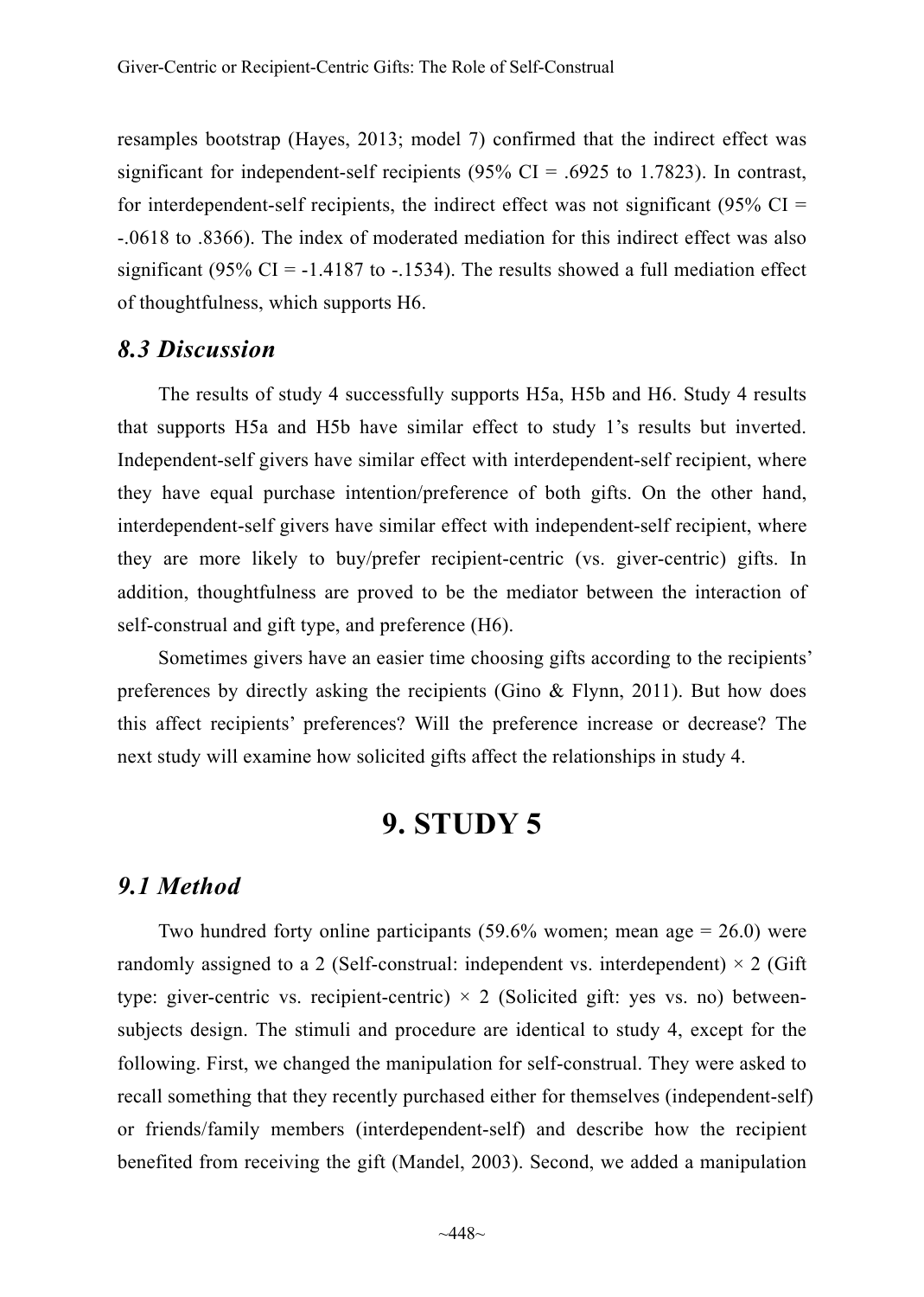resamples bootstrap (Hayes, 2013; model 7) confirmed that the indirect effect was significant for independent-self recipients  $(95\% \text{ CI} = .6925 \text{ to } 1.7823)$ . In contrast, for interdependent-self recipients, the indirect effect was not significant (95%  $CI =$ -.0618 to .8366). The index of moderated mediation for this indirect effect was also significant (95% CI =  $-1.4187$  to  $-1534$ ). The results showed a full mediation effect of thoughtfulness, which supports H6.

#### *8.3 Discussion*

The results of study 4 successfully supports H5a, H5b and H6. Study 4 results that supports H5a and H5b have similar effect to study 1's results but inverted. Independent-self givers have similar effect with interdependent-self recipient, where they have equal purchase intention/preference of both gifts. On the other hand, interdependent-self givers have similar effect with independent-self recipient, where they are more likely to buy/prefer recipient-centric (vs. giver-centric) gifts. In addition, thoughtfulness are proved to be the mediator between the interaction of self-construal and gift type, and preference (H6).

Sometimes givers have an easier time choosing gifts according to the recipients' preferences by directly asking the recipients (Gino & Flynn, 2011). But how does this affect recipients' preferences? Will the preference increase or decrease? The next study will examine how solicited gifts affect the relationships in study 4.

# **9. STUDY 5**

#### *9.1 Method*

Two hundred forty online participants  $(59.6\%$  women; mean age = 26.0) were randomly assigned to a 2 (Self-construal: independent vs. interdependent)  $\times$  2 (Gift type: giver-centric vs. recipient-centric)  $\times$  2 (Solicited gift: yes vs. no) betweensubjects design. The stimuli and procedure are identical to study 4, except for the following. First, we changed the manipulation for self-construal. They were asked to recall something that they recently purchased either for themselves (independent-self) or friends/family members (interdependent-self) and describe how the recipient benefited from receiving the gift (Mandel, 2003). Second, we added a manipulation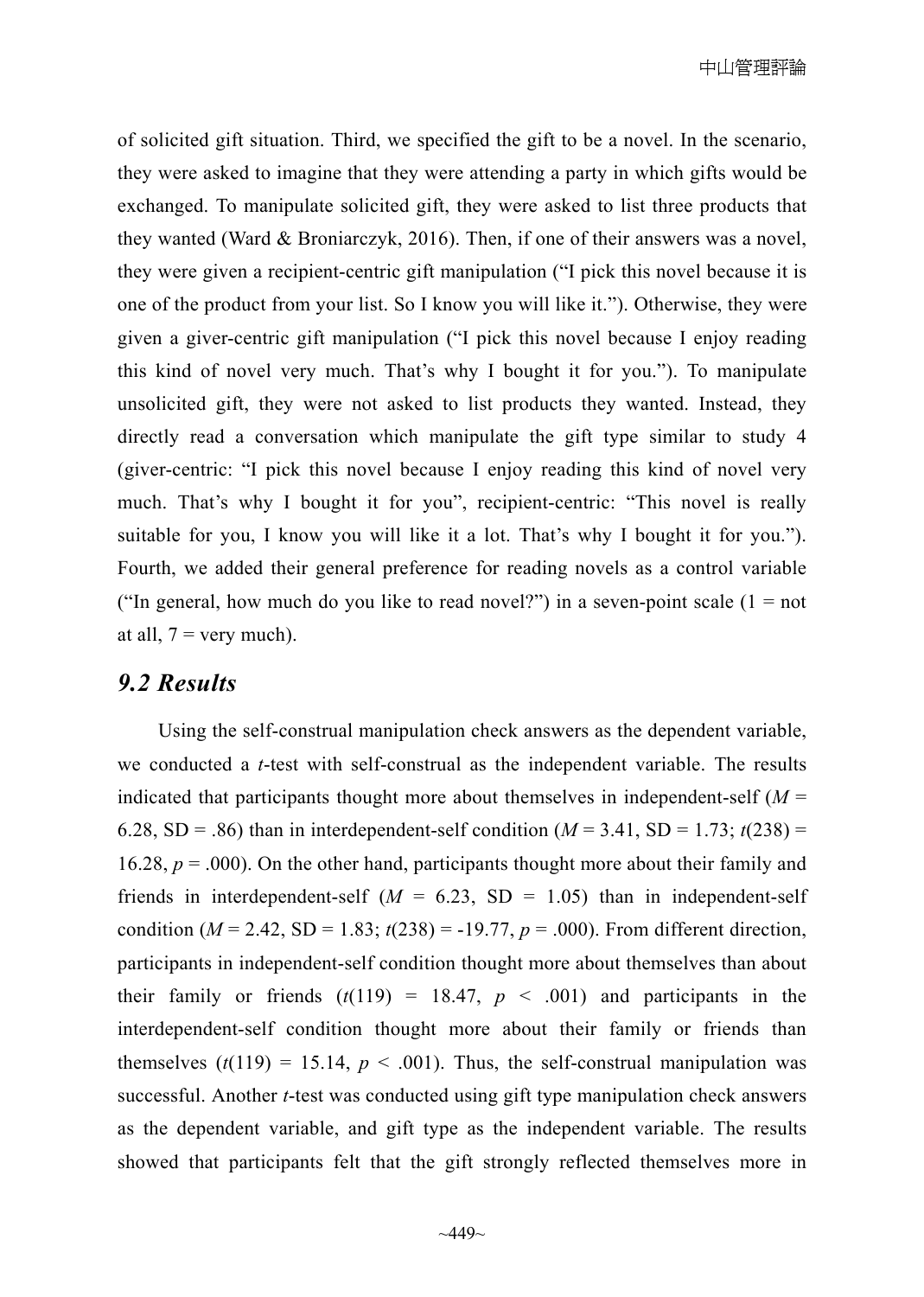of solicited gift situation. Third, we specified the gift to be a novel. In the scenario, they were asked to imagine that they were attending a party in which gifts would be exchanged. To manipulate solicited gift, they were asked to list three products that they wanted (Ward & Broniarczyk, 2016). Then, if one of their answers was a novel, they were given a recipient-centric gift manipulation ("I pick this novel because it is one of the product from your list. So I know you will like it."). Otherwise, they were given a giver-centric gift manipulation ("I pick this novel because I enjoy reading this kind of novel very much. That's why I bought it for you."). To manipulate unsolicited gift, they were not asked to list products they wanted. Instead, they directly read a conversation which manipulate the gift type similar to study 4 (giver-centric: "I pick this novel because I enjoy reading this kind of novel very much. That's why I bought it for you", recipient-centric: "This novel is really suitable for you, I know you will like it a lot. That's why I bought it for you."). Fourth, we added their general preference for reading novels as a control variable ("In general, how much do you like to read novel?") in a seven-point scale  $(1 = not$ at all,  $7 =$  very much).

#### *9.2 Results*

Using the self-construal manipulation check answers as the dependent variable, we conducted a *t*-test with self-construal as the independent variable. The results indicated that participants thought more about themselves in independent-self  $(M =$ 6.28, SD = .86) than in interdependent-self condition  $(M = 3.41, SD = 1.73; t(238) =$ 16.28,  $p = .000$ ). On the other hand, participants thought more about their family and friends in interdependent-self  $(M = 6.23, SD = 1.05)$  than in independent-self condition ( $M = 2.42$ , SD = 1.83;  $t(238) = -19.77$ ,  $p = .000$ ). From different direction, participants in independent-self condition thought more about themselves than about their family or friends  $(t(119) = 18.47, p < .001)$  and participants in the interdependent-self condition thought more about their family or friends than themselves  $(t(119) = 15.14, p < .001)$ . Thus, the self-construal manipulation was successful. Another *t*-test was conducted using gift type manipulation check answers as the dependent variable, and gift type as the independent variable. The results showed that participants felt that the gift strongly reflected themselves more in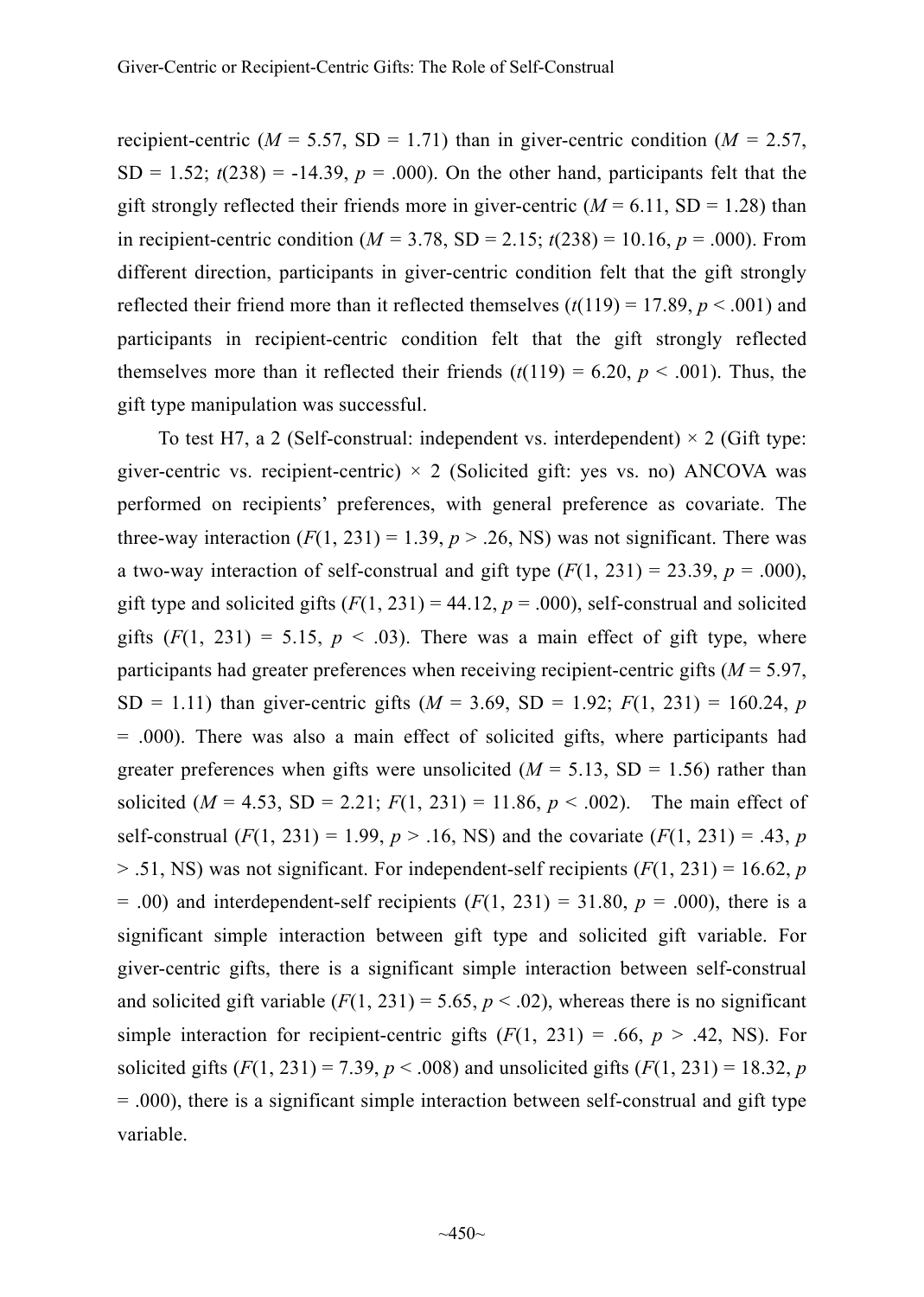recipient-centric ( $M = 5.57$ , SD = 1.71) than in giver-centric condition ( $M = 2.57$ ,  $SD = 1.52$ ;  $t(238) = -14.39$ ,  $p = .000$ ). On the other hand, participants felt that the gift strongly reflected their friends more in giver-centric  $(M = 6.11, SD = 1.28)$  than in recipient-centric condition ( $M = 3.78$ , SD = 2.15;  $t(238) = 10.16$ ,  $p = .000$ ). From different direction, participants in giver-centric condition felt that the gift strongly reflected their friend more than it reflected themselves  $(t(119) = 17.89, p < .001)$  and participants in recipient-centric condition felt that the gift strongly reflected themselves more than it reflected their friends  $(t(119) = 6.20, p < .001)$ . Thus, the gift type manipulation was successful.

To test H7, a 2 (Self-construal: independent vs. interdependent)  $\times$  2 (Gift type: giver-centric vs. recipient-centric)  $\times$  2 (Solicited gift: yes vs. no) ANCOVA was performed on recipients' preferences, with general preference as covariate. The three-way interaction  $(F(1, 231) = 1.39, p > .26$ , NS) was not significant. There was a two-way interaction of self-construal and gift type  $(F(1, 231) = 23.39, p = .000)$ , gift type and solicited gifts  $(F(1, 231) = 44.12, p = .000)$ , self-construal and solicited gifts  $(F(1, 231) = 5.15, p < .03)$ . There was a main effect of gift type, where participants had greater preferences when receiving recipient-centric gifts (*M* = 5.97, SD = 1.11) than giver-centric gifts  $(M = 3.69, SD = 1.92; F(1, 231) = 160.24, p$ = .000). There was also a main effect of solicited gifts, where participants had greater preferences when gifts were unsolicited  $(M = 5.13, SD = 1.56)$  rather than solicited  $(M = 4.53, SD = 2.21; F(1, 231) = 11.86, p < .002)$ . The main effect of self-construal  $(F(1, 231) = 1.99, p > .16$ , NS) and the covariate  $(F(1, 231) = .43, p$  $> .51$ , NS) was not significant. For independent-self recipients ( $F(1, 231) = 16.62$ , *p*  $= .00$ ) and interdependent-self recipients ( $F(1, 231) = 31.80$ ,  $p = .000$ ), there is a significant simple interaction between gift type and solicited gift variable. For giver-centric gifts, there is a significant simple interaction between self-construal and solicited gift variable  $(F(1, 231) = 5.65, p < .02)$ , whereas there is no significant simple interaction for recipient-centric gifts  $(F(1, 231) = .66, p > .42, NS)$ . For solicited gifts  $(F(1, 231) = 7.39, p < .008)$  and unsolicited gifts  $(F(1, 231) = 18.32, p$ = .000), there is a significant simple interaction between self-construal and gift type variable.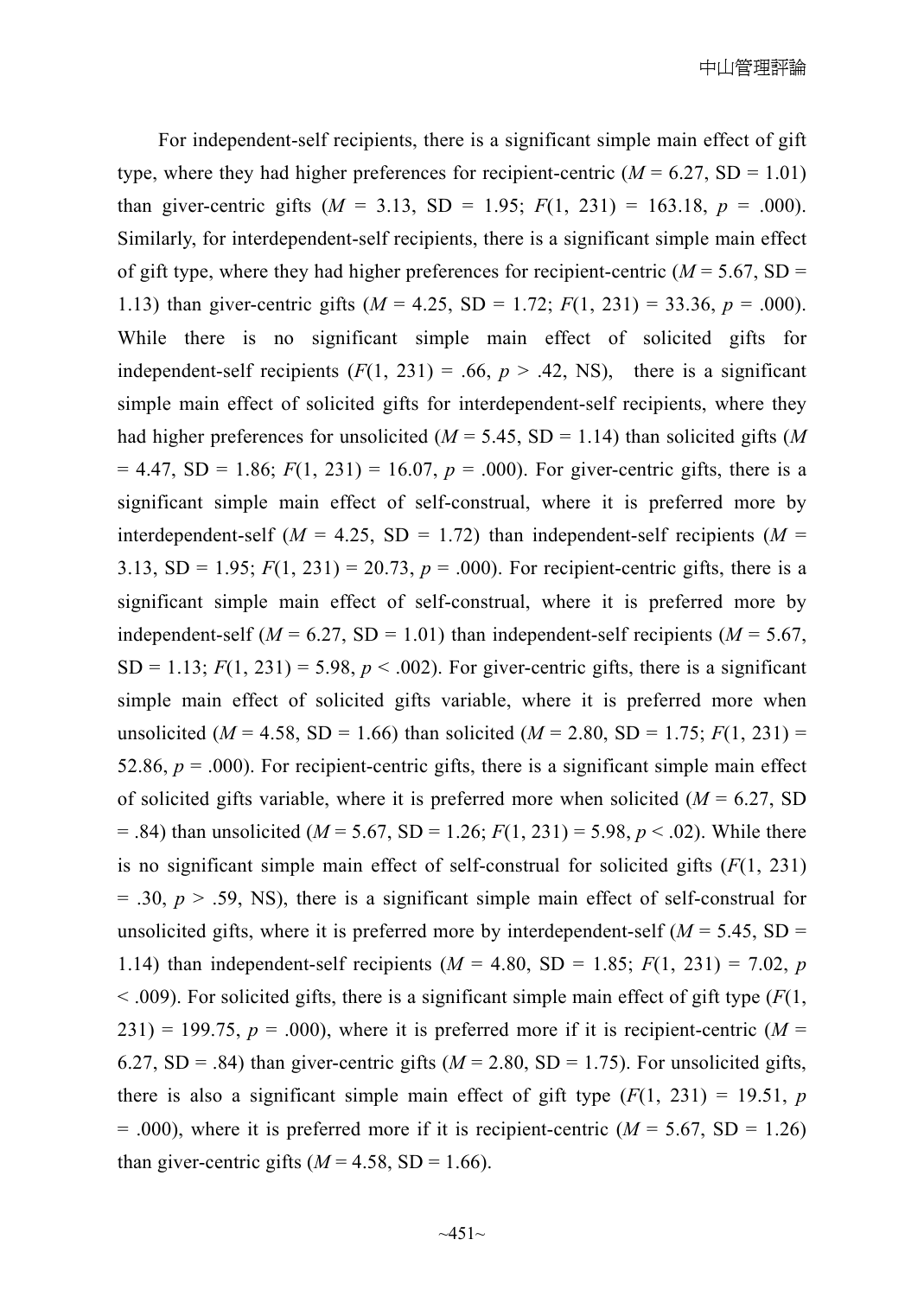For independent-self recipients, there is a significant simple main effect of gift type, where they had higher preferences for recipient-centric  $(M = 6.27, SD = 1.01)$ than giver-centric gifts  $(M = 3.13, SD = 1.95; F(1, 231) = 163.18, p = .000)$ . Similarly, for interdependent-self recipients, there is a significant simple main effect of gift type, where they had higher preferences for recipient-centric  $(M = 5.67, SD =$ 1.13) than giver-centric gifts (*M* = 4.25, SD = 1.72; *F*(1, 231) = 33.36, *p* = .000). While there is no significant simple main effect of solicited gifts for independent-self recipients  $(F(1, 231) = .66, p > .42, NS)$ , there is a significant simple main effect of solicited gifts for interdependent-self recipients, where they had higher preferences for unsolicited  $(M = 5.45, SD = 1.14)$  than solicited gifts  $(M)$  $= 4.47$ , SD  $= 1.86$ ;  $F(1, 231) = 16.07$ ,  $p = .000$ ). For giver-centric gifts, there is a significant simple main effect of self-construal, where it is preferred more by interdependent-self ( $M = 4.25$ , SD = 1.72) than independent-self recipients ( $M =$ 3.13, SD = 1.95;  $F(1, 231) = 20.73$ ,  $p = .000$ ). For recipient-centric gifts, there is a significant simple main effect of self-construal, where it is preferred more by independent-self ( $M = 6.27$ , SD = 1.01) than independent-self recipients ( $M = 5.67$ ,  $SD = 1.13$ ;  $F(1, 231) = 5.98$ ,  $p < .002$ ). For giver-centric gifts, there is a significant simple main effect of solicited gifts variable, where it is preferred more when unsolicited ( $M = 4.58$ , SD = 1.66) than solicited ( $M = 2.80$ , SD = 1.75;  $F(1, 231)$  = 52.86,  $p = .000$ ). For recipient-centric gifts, there is a significant simple main effect of solicited gifts variable, where it is preferred more when solicited  $(M = 6.27, SD)$  $=$  .84) than unsolicited ( $M = 5.67$ , SD = 1.26;  $F(1, 231) = 5.98$ ,  $p < .02$ ). While there is no significant simple main effect of self-construal for solicited gifts  $(F(1, 231))$  $= .30, p > .59, NS$ , there is a significant simple main effect of self-construal for unsolicited gifts, where it is preferred more by interdependent-self  $(M = 5.45, SD =$ 1.14) than independent-self recipients ( $M = 4.80$ , SD = 1.85;  $F(1, 231) = 7.02$ , *p*  $\leq$  0.009). For solicited gifts, there is a significant simple main effect of gift type ( $F(1)$ ,  $231$ ) = 199.75,  $p = .000$ ), where it is preferred more if it is recipient-centric ( $M =$ 6.27, SD = .84) than giver-centric gifts ( $M = 2.80$ , SD = 1.75). For unsolicited gifts, there is also a significant simple main effect of gift type  $(F(1, 231) = 19.51, p$  $= .000$ , where it is preferred more if it is recipient-centric ( $M = 5.67$ , SD  $= 1.26$ ) than giver-centric gifts  $(M = 4.58, SD = 1.66)$ .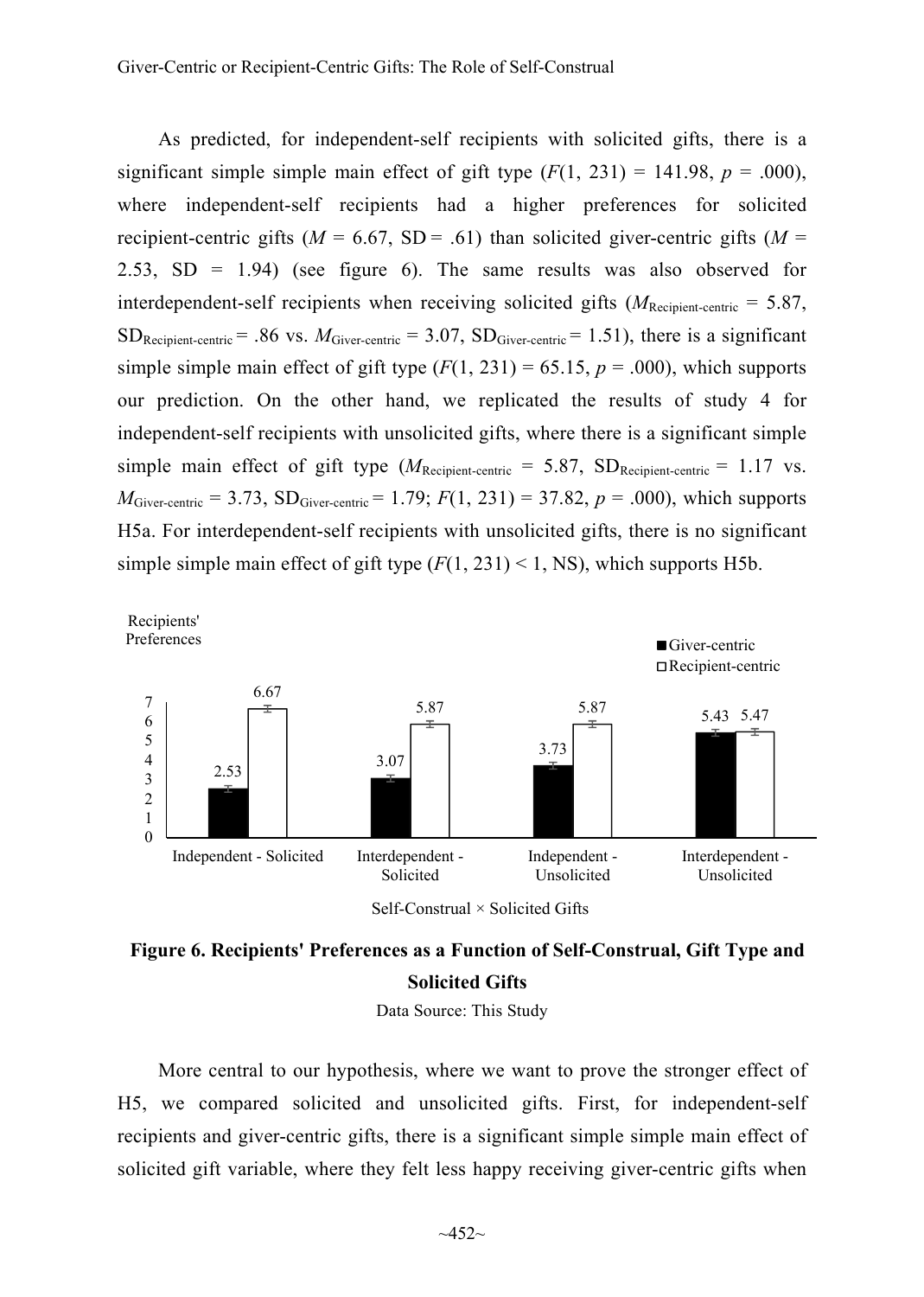As predicted, for independent-self recipients with solicited gifts, there is a significant simple simple main effect of gift type  $(F(1, 231) = 141.98$ ,  $p = .000$ ), where independent-self recipients had a higher preferences for solicited recipient-centric gifts ( $M = 6.67$ , SD = .61) than solicited giver-centric gifts ( $M =$ 2.53,  $SD = 1.94$ ) (see figure 6). The same results was also observed for interdependent-self recipients when receiving solicited gifts  $(M_{\text{Recipient-centric}} = 5.87)$ ,  $SD_{Recipient-centric}$  = .86 vs.  $M_{Giver-centric}$  = 3.07,  $SD_{Giver-centric}$  = 1.51), there is a significant simple simple main effect of gift type  $(F(1, 231) = 65.15, p = .000)$ , which supports our prediction. On the other hand, we replicated the results of study 4 for independent-self recipients with unsolicited gifts, where there is a significant simple simple main effect of gift type  $(M_{\text{Recipient-centric}} = 5.87, SD_{\text{Recipient-centric}} = 1.17 \text{ vs.}$  $M_{\text{Giver-centric}} = 3.73$ ,  $SD_{\text{Giver-centric}} = 1.79$ ;  $F(1, 231) = 37.82$ ,  $p = .000$ ), which supports H5a. For interdependent-self recipients with unsolicited gifts, there is no significant simple simple main effect of gift type  $(F(1, 231) < 1, NS)$ , which supports H5b.





Data Source: This Study

More central to our hypothesis, where we want to prove the stronger effect of H5, we compared solicited and unsolicited gifts. First, for independent-self recipients and giver-centric gifts, there is a significant simple simple main effect of solicited gift variable, where they felt less happy receiving giver-centric gifts when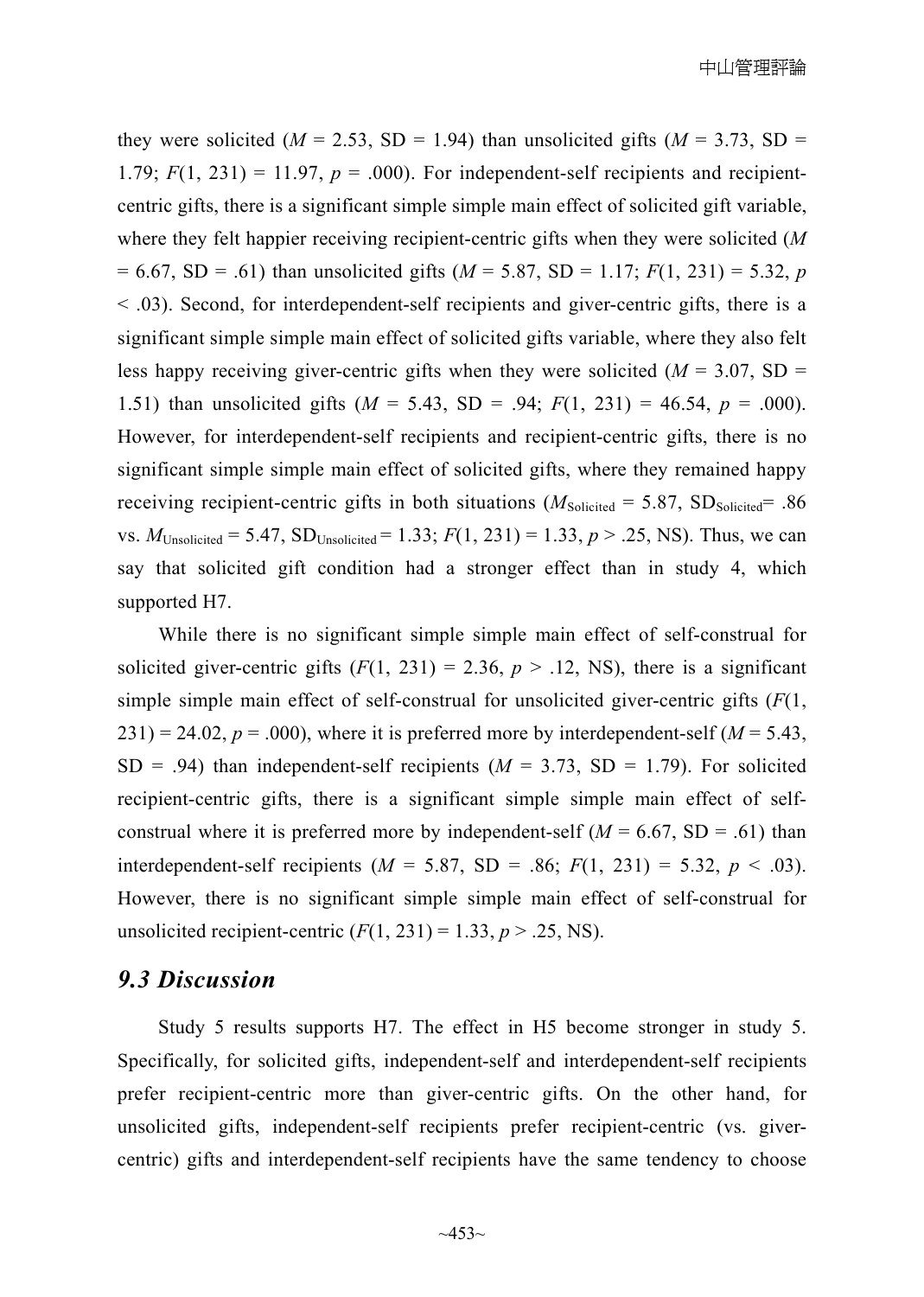they were solicited ( $M = 2.53$ , SD = 1.94) than unsolicited gifts ( $M = 3.73$ , SD = 1.79;  $F(1, 231) = 11.97$ ,  $p = .000$ ). For independent-self recipients and recipientcentric gifts, there is a significant simple simple main effect of solicited gift variable, where they felt happier receiving recipient-centric gifts when they were solicited (*M* = 6.67, SD = .61) than unsolicited gifts (*M* = 5.87, SD = 1.17; *F*(1, 231) = 5.32, *p* < .03). Second, for interdependent-self recipients and giver-centric gifts, there is a significant simple simple main effect of solicited gifts variable, where they also felt less happy receiving giver-centric gifts when they were solicited ( $M = 3.07$ , SD = 1.51) than unsolicited gifts (*M* = 5.43, SD = .94; *F*(1, 231) = 46.54, *p* = .000). However, for interdependent-self recipients and recipient-centric gifts, there is no significant simple simple main effect of solicited gifts, where they remained happy receiving recipient-centric gifts in both situations ( $M_{\text{Solicited}} = 5.87$ , SD<sub>Solicited</sub> = .86 vs.  $M_{\text{Unsolicted}} = 5.47$ ,  $SD_{\text{Unsolicted}} = 1.33$ ;  $F(1, 231) = 1.33$ ,  $p > .25$ , NS). Thus, we can say that solicited gift condition had a stronger effect than in study 4, which supported H7.

While there is no significant simple simple main effect of self-construal for solicited giver-centric gifts  $(F(1, 231) = 2.36, p > .12, NS)$ , there is a significant simple simple main effect of self-construal for unsolicited giver-centric gifts  $(F(1,$  $231$ ) = 24.02,  $p = .000$ ), where it is preferred more by interdependent-self ( $M = 5.43$ ,  $SD = .94$ ) than independent-self recipients ( $M = 3.73$ ,  $SD = 1.79$ ). For solicited recipient-centric gifts, there is a significant simple simple main effect of selfconstrual where it is preferred more by independent-self  $(M = 6.67, SD = .61)$  than interdependent-self recipients  $(M = 5.87, SD = .86; F(1, 231) = 5.32, p < .03)$ . However, there is no significant simple simple main effect of self-construal for unsolicited recipient-centric  $(F(1, 231) = 1.33, p > .25, NS)$ .

## *9.3 Discussion*

Study 5 results supports H7. The effect in H5 become stronger in study 5. Specifically, for solicited gifts, independent-self and interdependent-self recipients prefer recipient-centric more than giver-centric gifts. On the other hand, for unsolicited gifts, independent-self recipients prefer recipient-centric (vs. givercentric) gifts and interdependent-self recipients have the same tendency to choose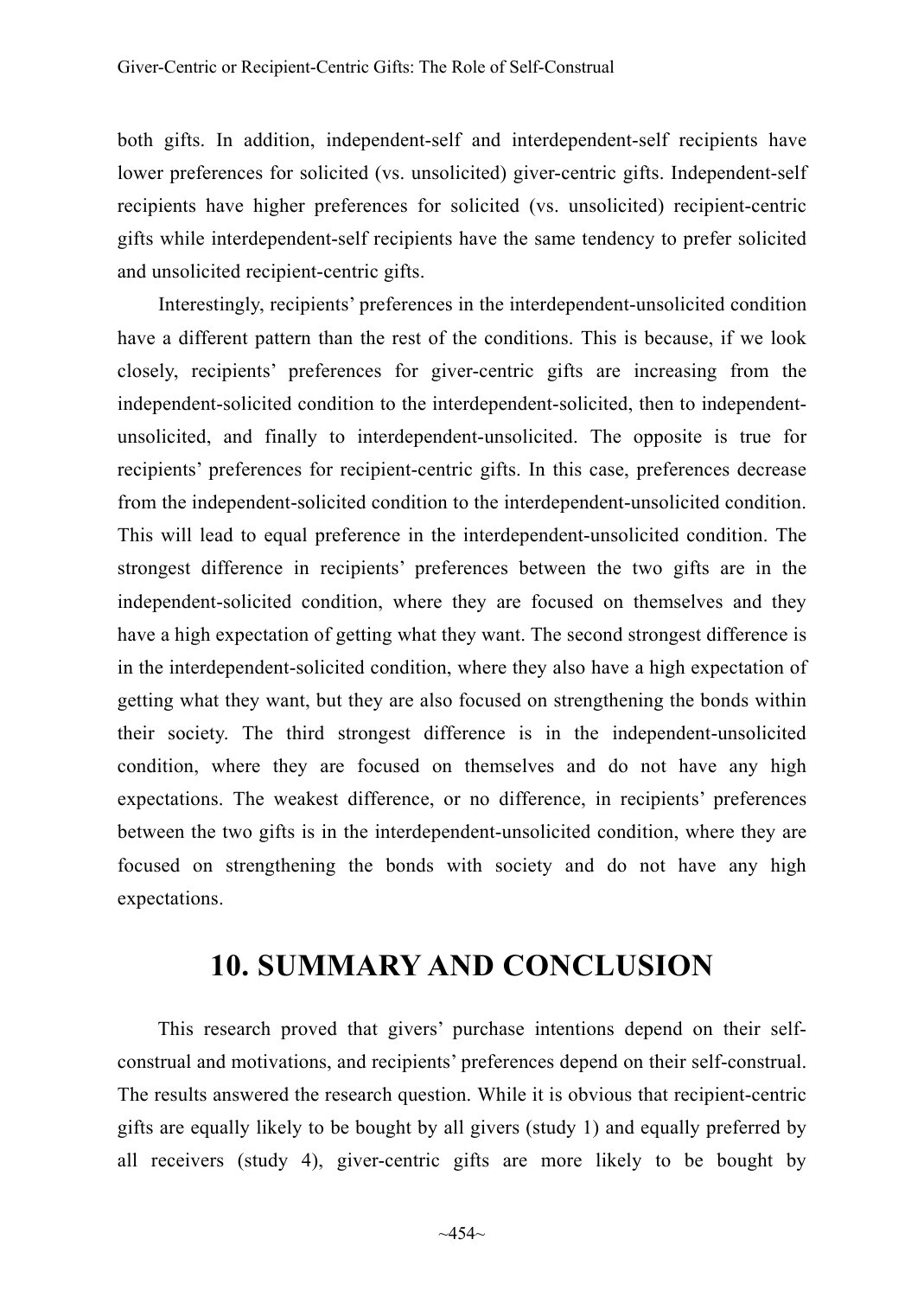both gifts. In addition, independent-self and interdependent-self recipients have lower preferences for solicited (vs. unsolicited) giver-centric gifts. Independent-self recipients have higher preferences for solicited (vs. unsolicited) recipient-centric gifts while interdependent-self recipients have the same tendency to prefer solicited and unsolicited recipient-centric gifts.

Interestingly, recipients' preferences in the interdependent-unsolicited condition have a different pattern than the rest of the conditions. This is because, if we look closely, recipients' preferences for giver-centric gifts are increasing from the independent-solicited condition to the interdependent-solicited, then to independentunsolicited, and finally to interdependent-unsolicited. The opposite is true for recipients' preferences for recipient-centric gifts. In this case, preferences decrease from the independent-solicited condition to the interdependent-unsolicited condition. This will lead to equal preference in the interdependent-unsolicited condition. The strongest difference in recipients' preferences between the two gifts are in the independent-solicited condition, where they are focused on themselves and they have a high expectation of getting what they want. The second strongest difference is in the interdependent-solicited condition, where they also have a high expectation of getting what they want, but they are also focused on strengthening the bonds within their society. The third strongest difference is in the independent-unsolicited condition, where they are focused on themselves and do not have any high expectations. The weakest difference, or no difference, in recipients' preferences between the two gifts is in the interdependent-unsolicited condition, where they are focused on strengthening the bonds with society and do not have any high expectations.

# **10. SUMMARY AND CONCLUSION**

This research proved that givers' purchase intentions depend on their selfconstrual and motivations, and recipients' preferences depend on their self-construal. The results answered the research question. While it is obvious that recipient-centric gifts are equally likely to be bought by all givers (study 1) and equally preferred by all receivers (study 4), giver-centric gifts are more likely to be bought by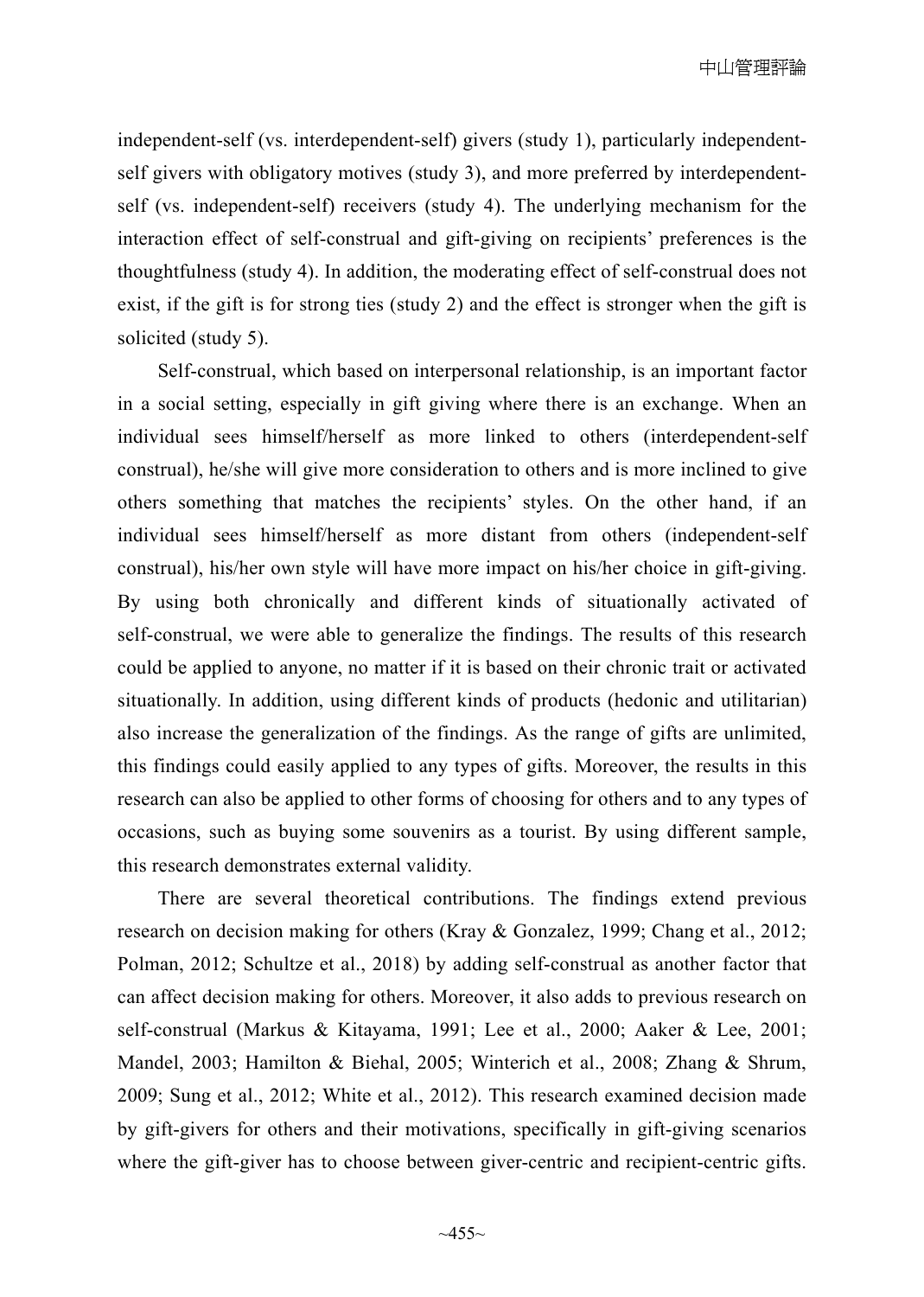independent-self (vs. interdependent-self) givers (study 1), particularly independentself givers with obligatory motives (study 3), and more preferred by interdependentself (vs. independent-self) receivers (study 4). The underlying mechanism for the interaction effect of self-construal and gift-giving on recipients' preferences is the thoughtfulness (study 4). In addition, the moderating effect of self-construal does not exist, if the gift is for strong ties (study 2) and the effect is stronger when the gift is solicited (study 5).

Self-construal, which based on interpersonal relationship, is an important factor in a social setting, especially in gift giving where there is an exchange. When an individual sees himself/herself as more linked to others (interdependent-self construal), he/she will give more consideration to others and is more inclined to give others something that matches the recipients' styles. On the other hand, if an individual sees himself/herself as more distant from others (independent-self construal), his/her own style will have more impact on his/her choice in gift-giving. By using both chronically and different kinds of situationally activated of self-construal, we were able to generalize the findings. The results of this research could be applied to anyone, no matter if it is based on their chronic trait or activated situationally. In addition, using different kinds of products (hedonic and utilitarian) also increase the generalization of the findings. As the range of gifts are unlimited, this findings could easily applied to any types of gifts. Moreover, the results in this research can also be applied to other forms of choosing for others and to any types of occasions, such as buying some souvenirs as a tourist. By using different sample, this research demonstrates external validity.

There are several theoretical contributions. The findings extend previous research on decision making for others (Kray & Gonzalez, 1999; Chang et al., 2012; Polman, 2012; Schultze et al., 2018) by adding self-construal as another factor that can affect decision making for others. Moreover, it also adds to previous research on self-construal (Markus & Kitayama, 1991; Lee et al., 2000; Aaker & Lee, 2001; Mandel, 2003; Hamilton & Biehal, 2005; Winterich et al., 2008; Zhang & Shrum, 2009; Sung et al., 2012; White et al., 2012). This research examined decision made by gift-givers for others and their motivations, specifically in gift-giving scenarios where the gift-giver has to choose between giver-centric and recipient-centric gifts.

 $~1.455~$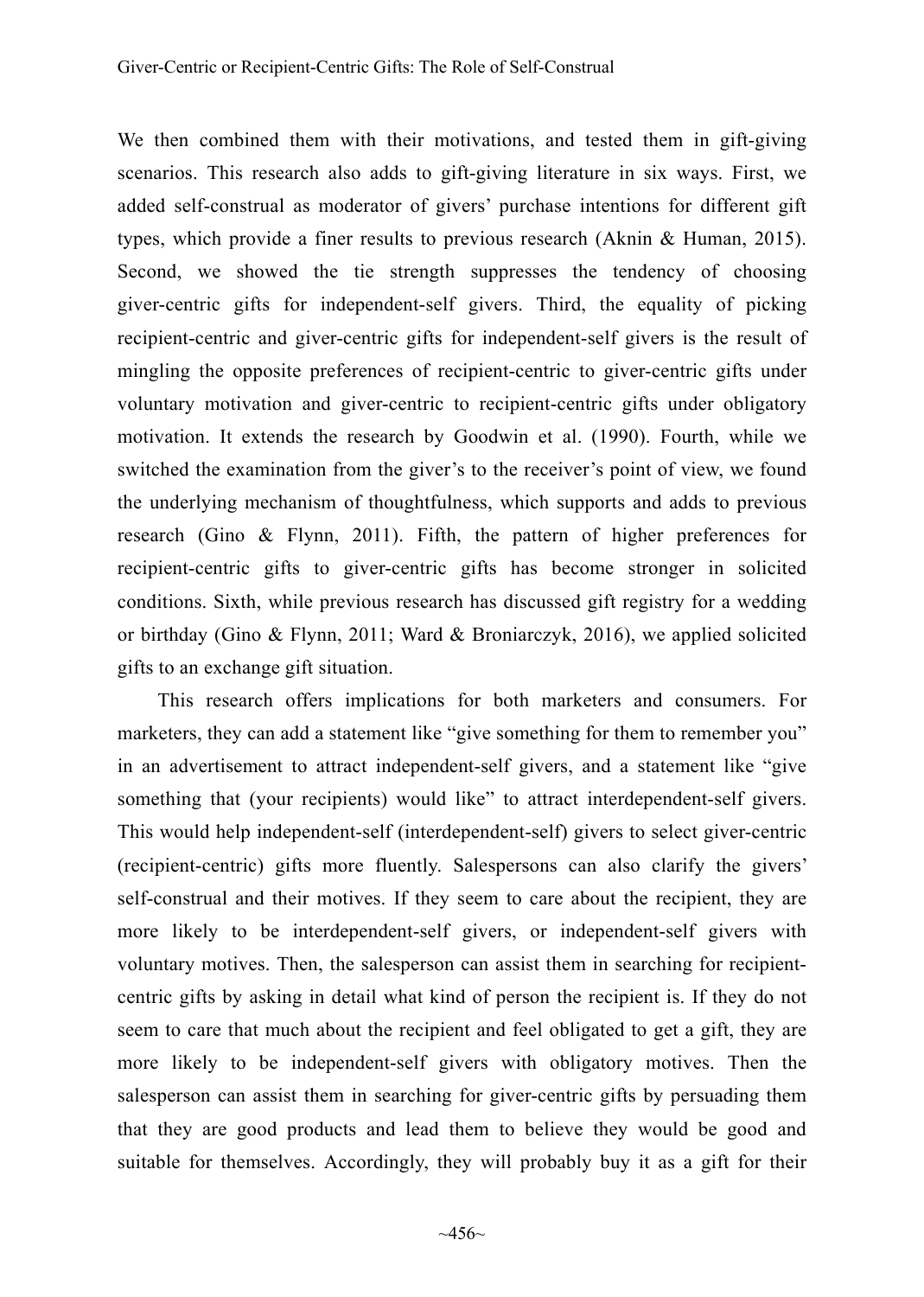We then combined them with their motivations, and tested them in gift-giving scenarios. This research also adds to gift-giving literature in six ways. First, we added self-construal as moderator of givers' purchase intentions for different gift types, which provide a finer results to previous research (Aknin & Human, 2015). Second, we showed the tie strength suppresses the tendency of choosing giver-centric gifts for independent-self givers. Third, the equality of picking recipient-centric and giver-centric gifts for independent-self givers is the result of mingling the opposite preferences of recipient-centric to giver-centric gifts under voluntary motivation and giver-centric to recipient-centric gifts under obligatory motivation. It extends the research by Goodwin et al. (1990). Fourth, while we switched the examination from the giver's to the receiver's point of view, we found the underlying mechanism of thoughtfulness, which supports and adds to previous research (Gino & Flynn, 2011). Fifth, the pattern of higher preferences for recipient-centric gifts to giver-centric gifts has become stronger in solicited conditions. Sixth, while previous research has discussed gift registry for a wedding or birthday (Gino & Flynn, 2011; Ward & Broniarczyk, 2016), we applied solicited gifts to an exchange gift situation.

This research offers implications for both marketers and consumers. For marketers, they can add a statement like "give something for them to remember you" in an advertisement to attract independent-self givers, and a statement like "give something that (your recipients) would like" to attract interdependent-self givers. This would help independent-self (interdependent-self) givers to select giver-centric (recipient-centric) gifts more fluently. Salespersons can also clarify the givers' self-construal and their motives. If they seem to care about the recipient, they are more likely to be interdependent-self givers, or independent-self givers with voluntary motives. Then, the salesperson can assist them in searching for recipientcentric gifts by asking in detail what kind of person the recipient is. If they do not seem to care that much about the recipient and feel obligated to get a gift, they are more likely to be independent-self givers with obligatory motives. Then the salesperson can assist them in searching for giver-centric gifts by persuading them that they are good products and lead them to believe they would be good and suitable for themselves. Accordingly, they will probably buy it as a gift for their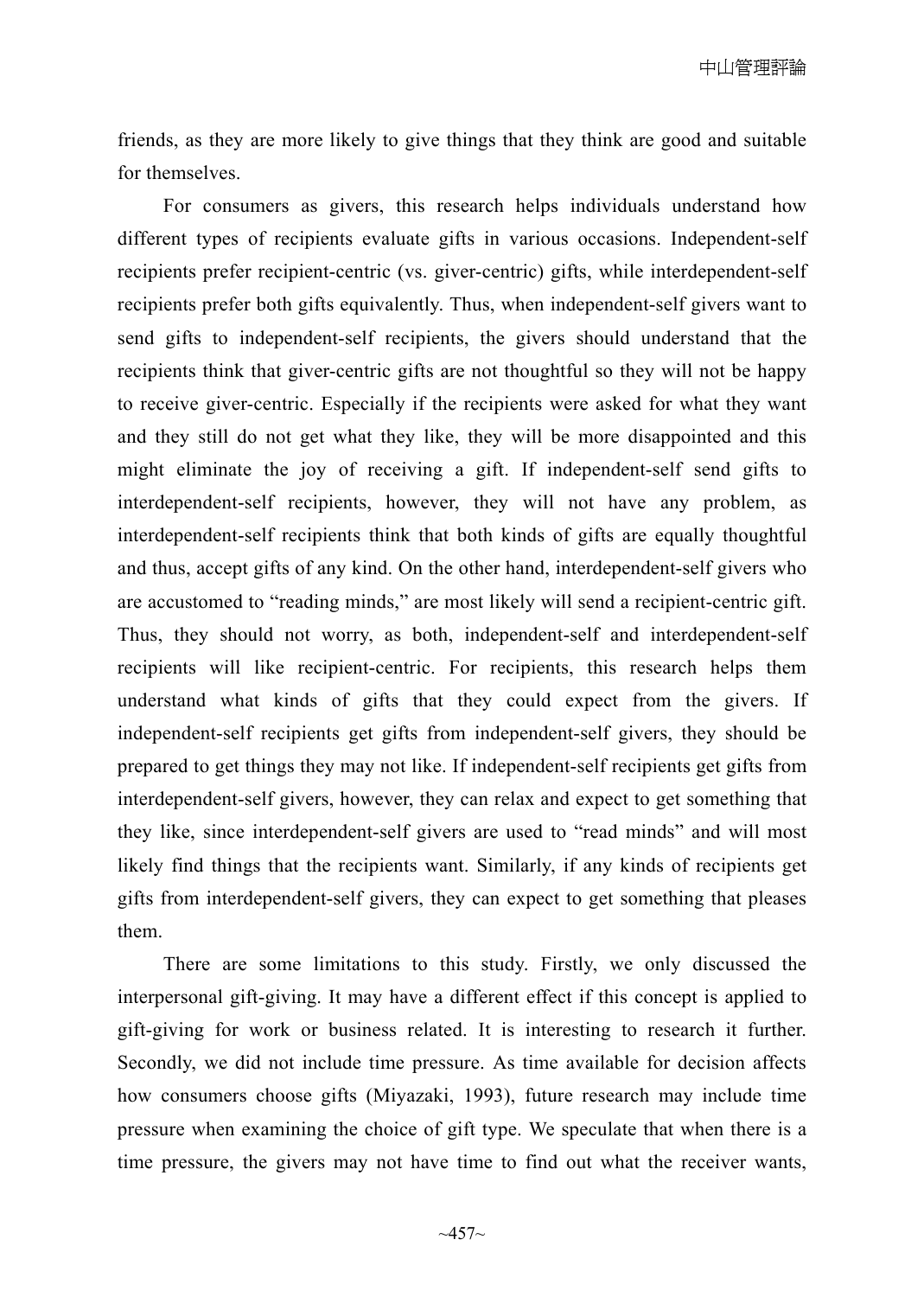friends, as they are more likely to give things that they think are good and suitable for themselves.

For consumers as givers, this research helps individuals understand how different types of recipients evaluate gifts in various occasions. Independent-self recipients prefer recipient-centric (vs. giver-centric) gifts, while interdependent-self recipients prefer both gifts equivalently. Thus, when independent-self givers want to send gifts to independent-self recipients, the givers should understand that the recipients think that giver-centric gifts are not thoughtful so they will not be happy to receive giver-centric. Especially if the recipients were asked for what they want and they still do not get what they like, they will be more disappointed and this might eliminate the joy of receiving a gift. If independent-self send gifts to interdependent-self recipients, however, they will not have any problem, as interdependent-self recipients think that both kinds of gifts are equally thoughtful and thus, accept gifts of any kind. On the other hand, interdependent-self givers who are accustomed to "reading minds," are most likely will send a recipient-centric gift. Thus, they should not worry, as both, independent-self and interdependent-self recipients will like recipient-centric. For recipients, this research helps them understand what kinds of gifts that they could expect from the givers. If independent-self recipients get gifts from independent-self givers, they should be prepared to get things they may not like. If independent-self recipients get gifts from interdependent-self givers, however, they can relax and expect to get something that they like, since interdependent-self givers are used to "read minds" and will most likely find things that the recipients want. Similarly, if any kinds of recipients get gifts from interdependent-self givers, they can expect to get something that pleases them.

There are some limitations to this study. Firstly, we only discussed the interpersonal gift-giving. It may have a different effect if this concept is applied to gift-giving for work or business related. It is interesting to research it further. Secondly, we did not include time pressure. As time available for decision affects how consumers choose gifts (Miyazaki, 1993), future research may include time pressure when examining the choice of gift type. We speculate that when there is a time pressure, the givers may not have time to find out what the receiver wants,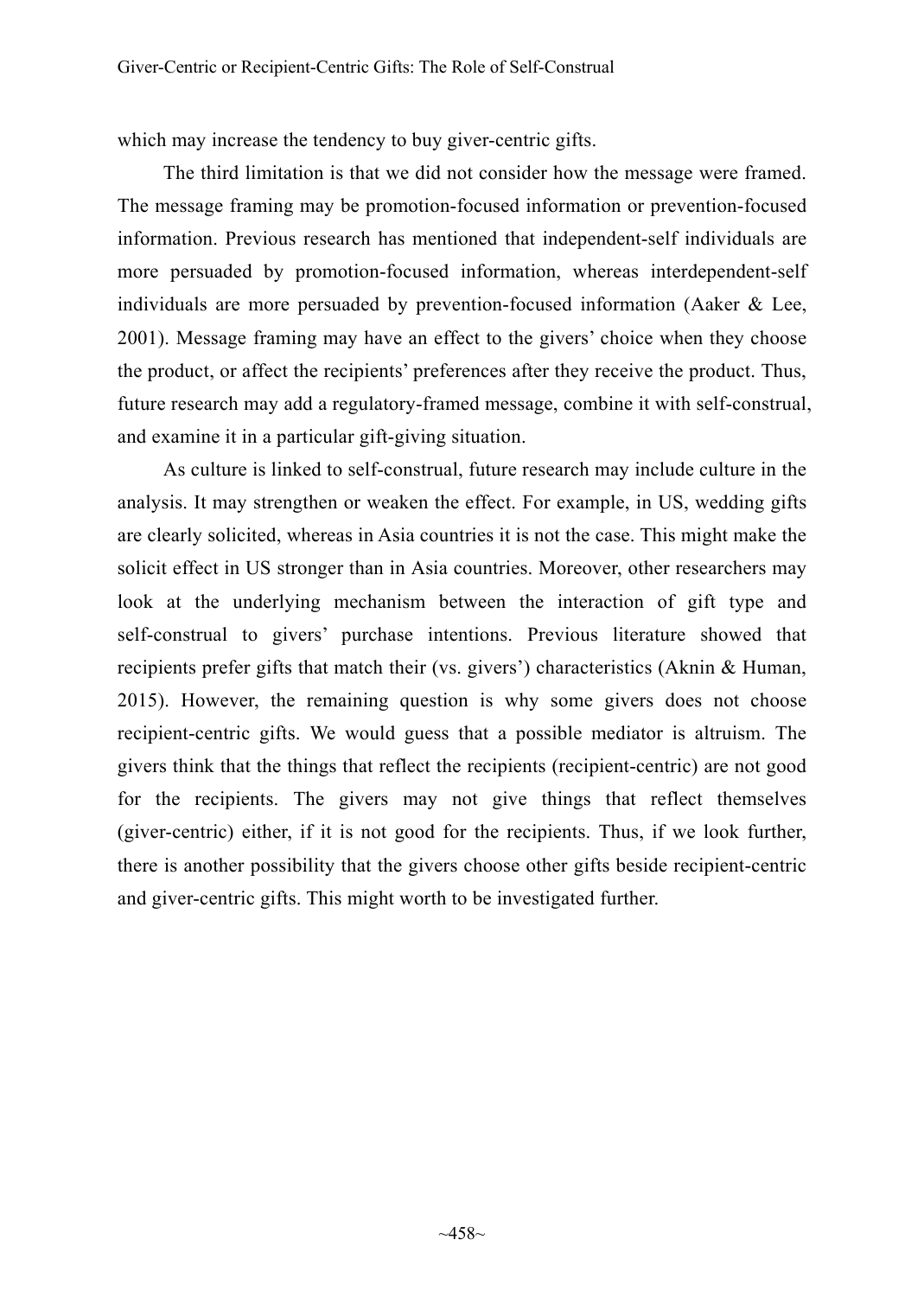which may increase the tendency to buy giver-centric gifts.

The third limitation is that we did not consider how the message were framed. The message framing may be promotion-focused information or prevention-focused information. Previous research has mentioned that independent-self individuals are more persuaded by promotion-focused information, whereas interdependent-self individuals are more persuaded by prevention-focused information (Aaker & Lee, 2001). Message framing may have an effect to the givers' choice when they choose the product, or affect the recipients' preferences after they receive the product. Thus, future research may add a regulatory-framed message, combine it with self-construal, and examine it in a particular gift-giving situation.

As culture is linked to self-construal, future research may include culture in the analysis. It may strengthen or weaken the effect. For example, in US, wedding gifts are clearly solicited, whereas in Asia countries it is not the case. This might make the solicit effect in US stronger than in Asia countries. Moreover, other researchers may look at the underlying mechanism between the interaction of gift type and self-construal to givers' purchase intentions. Previous literature showed that recipients prefer gifts that match their (vs. givers') characteristics (Aknin & Human, 2015). However, the remaining question is why some givers does not choose recipient-centric gifts. We would guess that a possible mediator is altruism. The givers think that the things that reflect the recipients (recipient-centric) are not good for the recipients. The givers may not give things that reflect themselves (giver-centric) either, if it is not good for the recipients. Thus, if we look further, there is another possibility that the givers choose other gifts beside recipient-centric and giver-centric gifts. This might worth to be investigated further.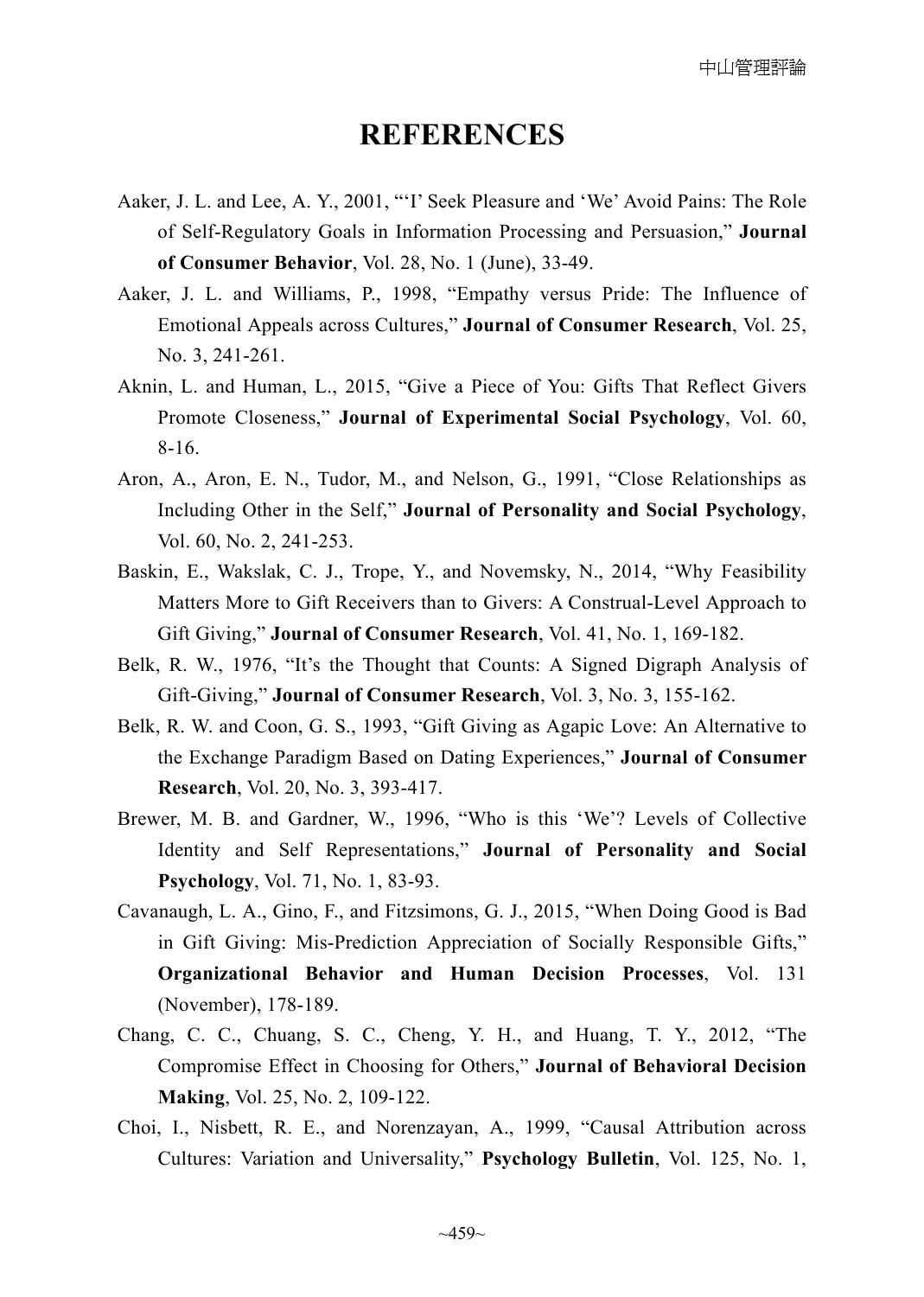# **REFERENCES**

- Aaker, J. L. and Lee, A. Y., 2001, "'I' Seek Pleasure and 'We' Avoid Pains: The Role of Self-Regulatory Goals in Information Processing and Persuasion," **Journal of Consumer Behavior**, Vol. 28, No. 1 (June), 33-49.
- Aaker, J. L. and Williams, P., 1998, "Empathy versus Pride: The Influence of Emotional Appeals across Cultures," **Journal of Consumer Research**, Vol. 25, No. 3, 241-261.
- Aknin, L. and Human, L., 2015, "Give a Piece of You: Gifts That Reflect Givers Promote Closeness," **Journal of Experimental Social Psychology**, Vol. 60, 8-16.
- Aron, A., Aron, E. N., Tudor, M., and Nelson, G., 1991, "Close Relationships as Including Other in the Self," **Journal of Personality and Social Psychology**, Vol. 60, No. 2, 241-253.
- Baskin, E., Wakslak, C. J., Trope, Y., and Novemsky, N., 2014, "Why Feasibility Matters More to Gift Receivers than to Givers: A Construal-Level Approach to Gift Giving," **Journal of Consumer Research**, Vol. 41, No. 1, 169-182.
- Belk, R. W., 1976, "It's the Thought that Counts: A Signed Digraph Analysis of Gift-Giving," **Journal of Consumer Research**, Vol. 3, No. 3, 155-162.
- Belk, R. W. and Coon, G. S., 1993, "Gift Giving as Agapic Love: An Alternative to the Exchange Paradigm Based on Dating Experiences," **Journal of Consumer Research**, Vol. 20, No. 3, 393-417.
- Brewer, M. B. and Gardner, W., 1996, "Who is this 'We'? Levels of Collective Identity and Self Representations," **Journal of Personality and Social Psychology**, Vol. 71, No. 1, 83-93.
- Cavanaugh, L. A., Gino, F., and Fitzsimons, G. J., 2015, "When Doing Good is Bad in Gift Giving: Mis-Prediction Appreciation of Socially Responsible Gifts," **Organizational Behavior and Human Decision Processes**, Vol. 131 (November), 178-189.
- Chang, C. C., Chuang, S. C., Cheng, Y. H., and Huang, T. Y., 2012, "The Compromise Effect in Choosing for Others," **Journal of Behavioral Decision Making**, Vol. 25, No. 2, 109-122.
- Choi, I., Nisbett, R. E., and Norenzayan, A., 1999, "Causal Attribution across Cultures: Variation and Universality," **Psychology Bulletin**, Vol. 125, No. 1,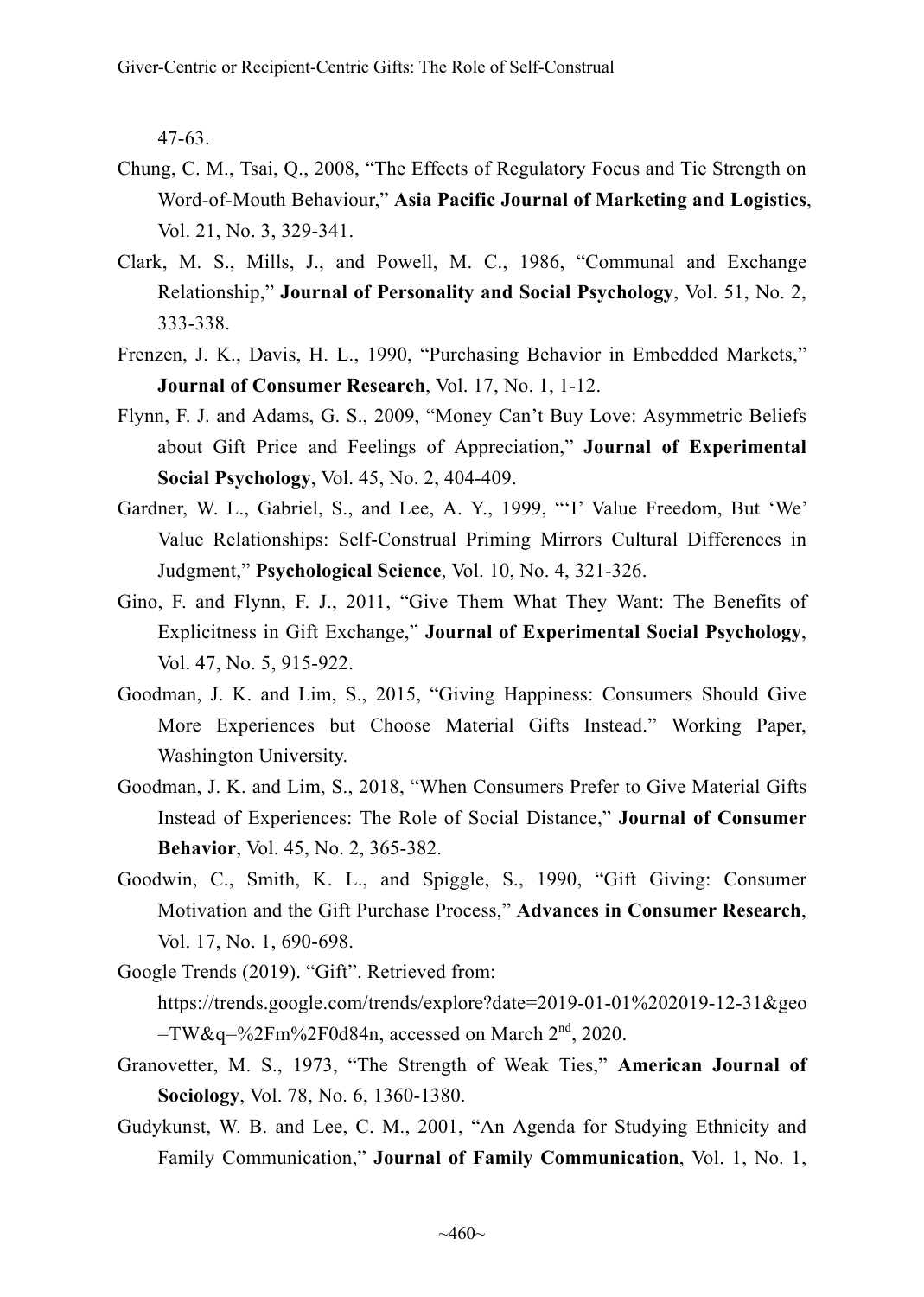47-63.

- Chung, C. M., Tsai, Q., 2008, "The Effects of Regulatory Focus and Tie Strength on Word-of-Mouth Behaviour," **Asia Pacific Journal of Marketing and Logistics**, Vol. 21, No. 3, 329-341.
- Clark, M. S., Mills, J., and Powell, M. C., 1986, "Communal and Exchange Relationship," **Journal of Personality and Social Psychology**, Vol. 51, No. 2, 333-338.
- Frenzen, J. K., Davis, H. L., 1990, "Purchasing Behavior in Embedded Markets," **Journal of Consumer Research**, Vol. 17, No. 1, 1-12.
- Flynn, F. J. and Adams, G. S., 2009, "Money Can't Buy Love: Asymmetric Beliefs about Gift Price and Feelings of Appreciation," **Journal of Experimental Social Psychology**, Vol. 45, No. 2, 404-409.
- Gardner, W. L., Gabriel, S., and Lee, A. Y., 1999, "'I' Value Freedom, But 'We' Value Relationships: Self-Construal Priming Mirrors Cultural Differences in Judgment," **Psychological Science**, Vol. 10, No. 4, 321-326.
- Gino, F. and Flynn, F. J., 2011, "Give Them What They Want: The Benefits of Explicitness in Gift Exchange," **Journal of Experimental Social Psychology**, Vol. 47, No. 5, 915-922.
- Goodman, J. K. and Lim, S., 2015, "Giving Happiness: Consumers Should Give More Experiences but Choose Material Gifts Instead." Working Paper, Washington University.
- Goodman, J. K. and Lim, S., 2018, "When Consumers Prefer to Give Material Gifts Instead of Experiences: The Role of Social Distance," **Journal of Consumer Behavior**, Vol. 45, No. 2, 365-382.
- Goodwin, C., Smith, K. L., and Spiggle, S., 1990, "Gift Giving: Consumer Motivation and the Gift Purchase Process," **Advances in Consumer Research**, Vol. 17, No. 1, 690-698.
- Google Trends (2019). "Gift". Retrieved from: https://trends.google.com/trends/explore?date=2019-01-01%202019-12-31&geo
	- $=$ TW&q=%2Fm%2F0d84n, accessed on March  $2<sup>nd</sup>$ , 2020.
- Granovetter, M. S., 1973, "The Strength of Weak Ties," **American Journal of Sociology**, Vol. 78, No. 6, 1360-1380.
- Gudykunst, W. B. and Lee, C. M., 2001, "An Agenda for Studying Ethnicity and Family Communication," **Journal of Family Communication**, Vol. 1, No. 1,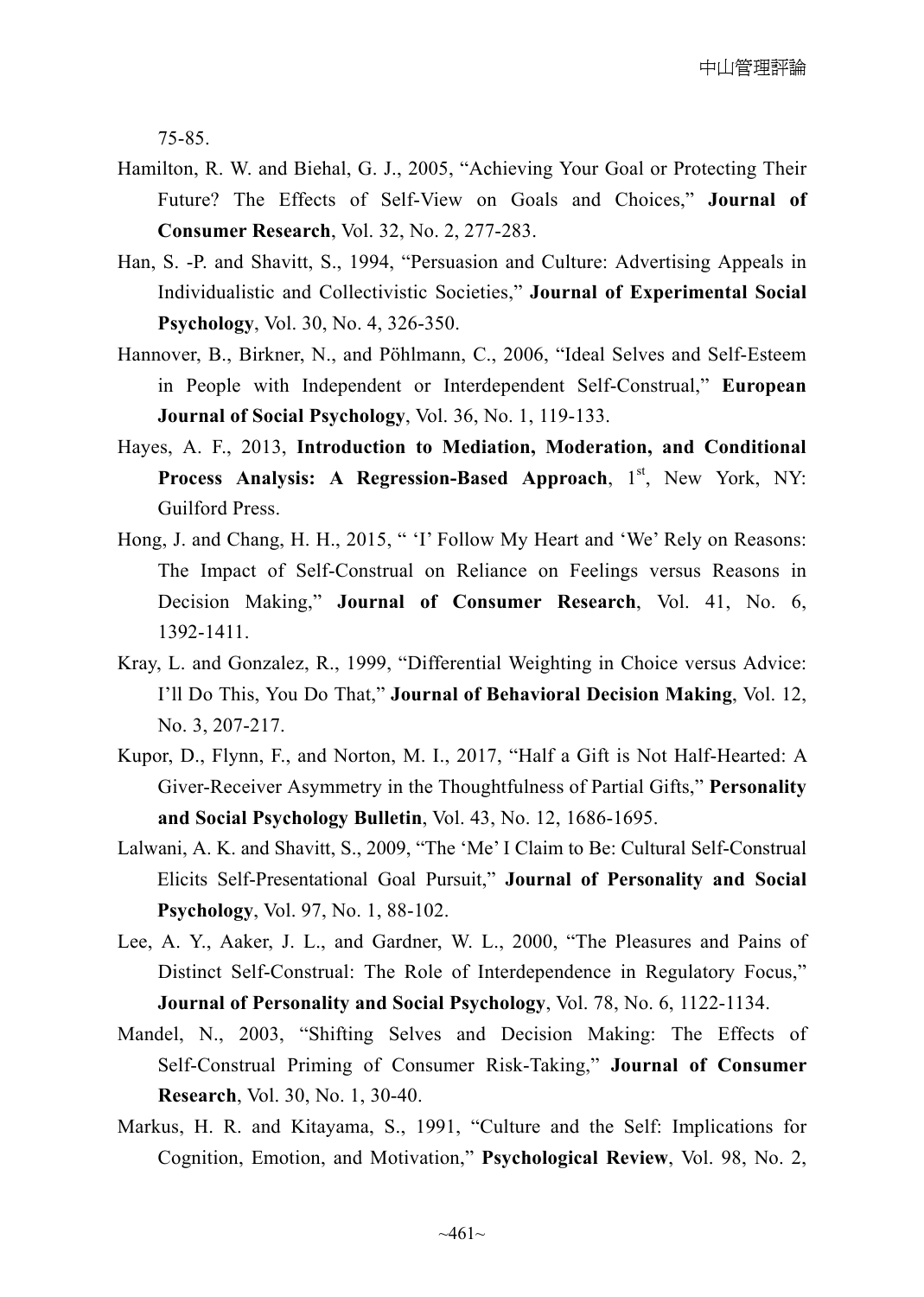75-85.

- Hamilton, R. W. and Biehal, G. J., 2005, "Achieving Your Goal or Protecting Their Future? The Effects of Self-View on Goals and Choices," **Journal of Consumer Research**, Vol. 32, No. 2, 277-283.
- Han, S. -P. and Shavitt, S., 1994, "Persuasion and Culture: Advertising Appeals in Individualistic and Collectivistic Societies," **Journal of Experimental Social Psychology**, Vol. 30, No. 4, 326-350.
- Hannover, B., Birkner, N., and Pöhlmann, C., 2006, "Ideal Selves and Self-Esteem in People with Independent or Interdependent Self-Construal," **European Journal of Social Psychology**, Vol. 36, No. 1, 119-133.
- Hayes, A. F., 2013, **Introduction to Mediation, Moderation, and Conditional Process Analysis: A Regression-Based Approach, 1<sup>st</sup>, New York, NY:** Guilford Press.
- Hong, J. and Chang, H. H., 2015, " 'I' Follow My Heart and 'We' Rely on Reasons: The Impact of Self-Construal on Reliance on Feelings versus Reasons in Decision Making," **Journal of Consumer Research**, Vol. 41, No. 6, 1392-1411.
- Kray, L. and Gonzalez, R., 1999, "Differential Weighting in Choice versus Advice: I'll Do This, You Do That," **Journal of Behavioral Decision Making**, Vol. 12, No. 3, 207-217.
- Kupor, D., Flynn, F., and Norton, M. I., 2017, "Half a Gift is Not Half-Hearted: A Giver-Receiver Asymmetry in the Thoughtfulness of Partial Gifts," **Personality and Social Psychology Bulletin**, Vol. 43, No. 12, 1686-1695.
- Lalwani, A. K. and Shavitt, S., 2009, "The 'Me' I Claim to Be: Cultural Self-Construal Elicits Self-Presentational Goal Pursuit," **Journal of Personality and Social Psychology**, Vol. 97, No. 1, 88-102.
- Lee, A. Y., Aaker, J. L., and Gardner, W. L., 2000, "The Pleasures and Pains of Distinct Self-Construal: The Role of Interdependence in Regulatory Focus," **Journal of Personality and Social Psychology**, Vol. 78, No. 6, 1122-1134.
- Mandel, N., 2003, "Shifting Selves and Decision Making: The Effects of Self-Construal Priming of Consumer Risk-Taking," **Journal of Consumer Research**, Vol. 30, No. 1, 30-40.
- Markus, H. R. and Kitayama, S., 1991, "Culture and the Self: Implications for Cognition, Emotion, and Motivation," **Psychological Review**, Vol. 98, No. 2,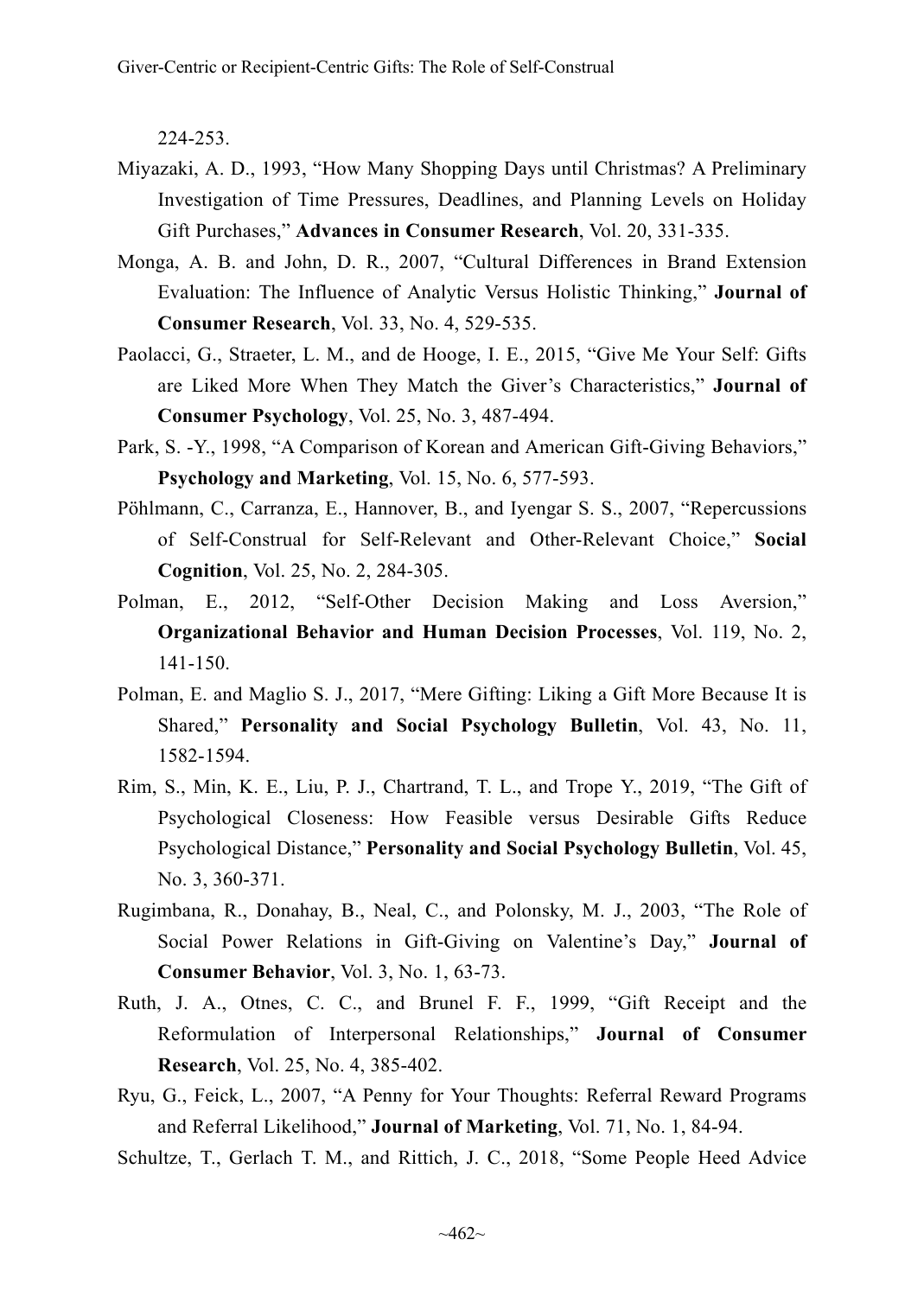224-253.

- Miyazaki, A. D., 1993, "How Many Shopping Days until Christmas? A Preliminary Investigation of Time Pressures, Deadlines, and Planning Levels on Holiday Gift Purchases," **Advances in Consumer Research**, Vol. 20, 331-335.
- Monga, A. B. and John, D. R., 2007, "Cultural Differences in Brand Extension Evaluation: The Influence of Analytic Versus Holistic Thinking," **Journal of Consumer Research**, Vol. 33, No. 4, 529-535.
- Paolacci, G., Straeter, L. M., and de Hooge, I. E., 2015, "Give Me Your Self: Gifts are Liked More When They Match the Giver's Characteristics," **Journal of Consumer Psychology**, Vol. 25, No. 3, 487-494.
- Park, S. -Y., 1998, "A Comparison of Korean and American Gift-Giving Behaviors," **Psychology and Marketing**, Vol. 15, No. 6, 577-593.
- Pöhlmann, C., Carranza, E., Hannover, B., and Iyengar S. S., 2007, "Repercussions of Self-Construal for Self-Relevant and Other-Relevant Choice," **Social Cognition**, Vol. 25, No. 2, 284-305.
- Polman, E., 2012, "Self-Other Decision Making and Loss Aversion," **Organizational Behavior and Human Decision Processes**, Vol. 119, No. 2, 141-150.
- Polman, E. and Maglio S. J., 2017, "Mere Gifting: Liking a Gift More Because It is Shared," **Personality and Social Psychology Bulletin**, Vol. 43, No. 11, 1582-1594.
- Rim, S., Min, K. E., Liu, P. J., Chartrand, T. L., and Trope Y., 2019, "The Gift of Psychological Closeness: How Feasible versus Desirable Gifts Reduce Psychological Distance," **Personality and Social Psychology Bulletin**, Vol. 45, No. 3, 360-371.
- Rugimbana, R., Donahay, B., Neal, C., and Polonsky, M. J., 2003, "The Role of Social Power Relations in Gift-Giving on Valentine's Day," **Journal of Consumer Behavior**, Vol. 3, No. 1, 63-73.
- Ruth, J. A., Otnes, C. C., and Brunel F. F., 1999, "Gift Receipt and the Reformulation of Interpersonal Relationships," **Journal of Consumer Research**, Vol. 25, No. 4, 385-402.
- Ryu, G., Feick, L., 2007, "A Penny for Your Thoughts: Referral Reward Programs and Referral Likelihood," **Journal of Marketing**, Vol. 71, No. 1, 84-94.
- Schultze, T., Gerlach T. M., and Rittich, J. C., 2018, "Some People Heed Advice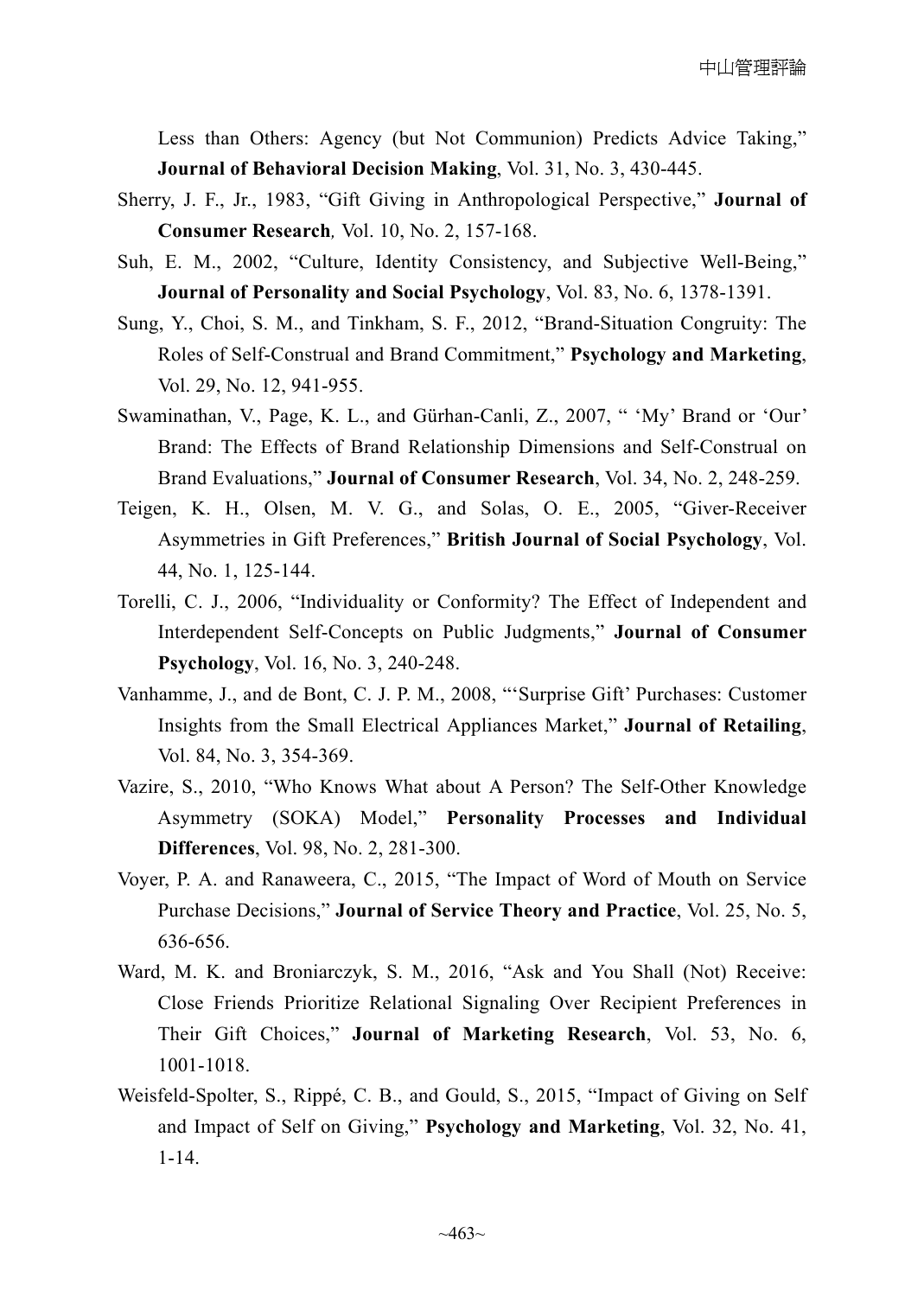Less than Others: Agency (but Not Communion) Predicts Advice Taking," **Journal of Behavioral Decision Making**, Vol. 31, No. 3, 430-445.

- Sherry, J. F., Jr., 1983, "Gift Giving in Anthropological Perspective," **Journal of Consumer Research***,* Vol. 10, No. 2, 157-168.
- Suh, E. M., 2002, "Culture, Identity Consistency, and Subjective Well-Being," **Journal of Personality and Social Psychology**, Vol. 83, No. 6, 1378-1391.
- Sung, Y., Choi, S. M., and Tinkham, S. F., 2012, "Brand-Situation Congruity: The Roles of Self-Construal and Brand Commitment," **Psychology and Marketing**, Vol. 29, No. 12, 941-955.
- Swaminathan, V., Page, K. L., and Gürhan-Canli, Z., 2007, " 'My' Brand or 'Our' Brand: The Effects of Brand Relationship Dimensions and Self-Construal on Brand Evaluations," **Journal of Consumer Research**, Vol. 34, No. 2, 248-259.
- Teigen, K. H., Olsen, M. V. G., and Solas, O. E., 2005, "Giver-Receiver Asymmetries in Gift Preferences," **British Journal of Social Psychology**, Vol. 44, No. 1, 125-144.
- Torelli, C. J., 2006, "Individuality or Conformity? The Effect of Independent and Interdependent Self-Concepts on Public Judgments," **Journal of Consumer Psychology**, Vol. 16, No. 3, 240-248.
- Vanhamme, J., and de Bont, C. J. P. M., 2008, "'Surprise Gift' Purchases: Customer Insights from the Small Electrical Appliances Market," **Journal of Retailing**, Vol. 84, No. 3, 354-369.
- Vazire, S., 2010, "Who Knows What about A Person? The Self-Other Knowledge Asymmetry (SOKA) Model," **Personality Processes and Individual Differences**, Vol. 98, No. 2, 281-300.
- Voyer, P. A. and Ranaweera, C., 2015, "The Impact of Word of Mouth on Service Purchase Decisions," **Journal of Service Theory and Practice**, Vol. 25, No. 5, 636-656.
- Ward, M. K. and Broniarczyk, S. M., 2016, "Ask and You Shall (Not) Receive: Close Friends Prioritize Relational Signaling Over Recipient Preferences in Their Gift Choices," **Journal of Marketing Research**, Vol. 53, No. 6, 1001-1018.
- Weisfeld-Spolter, S., Rippé, C. B., and Gould, S., 2015, "Impact of Giving on Self and Impact of Self on Giving," **Psychology and Marketing**, Vol. 32, No. 41, 1-14.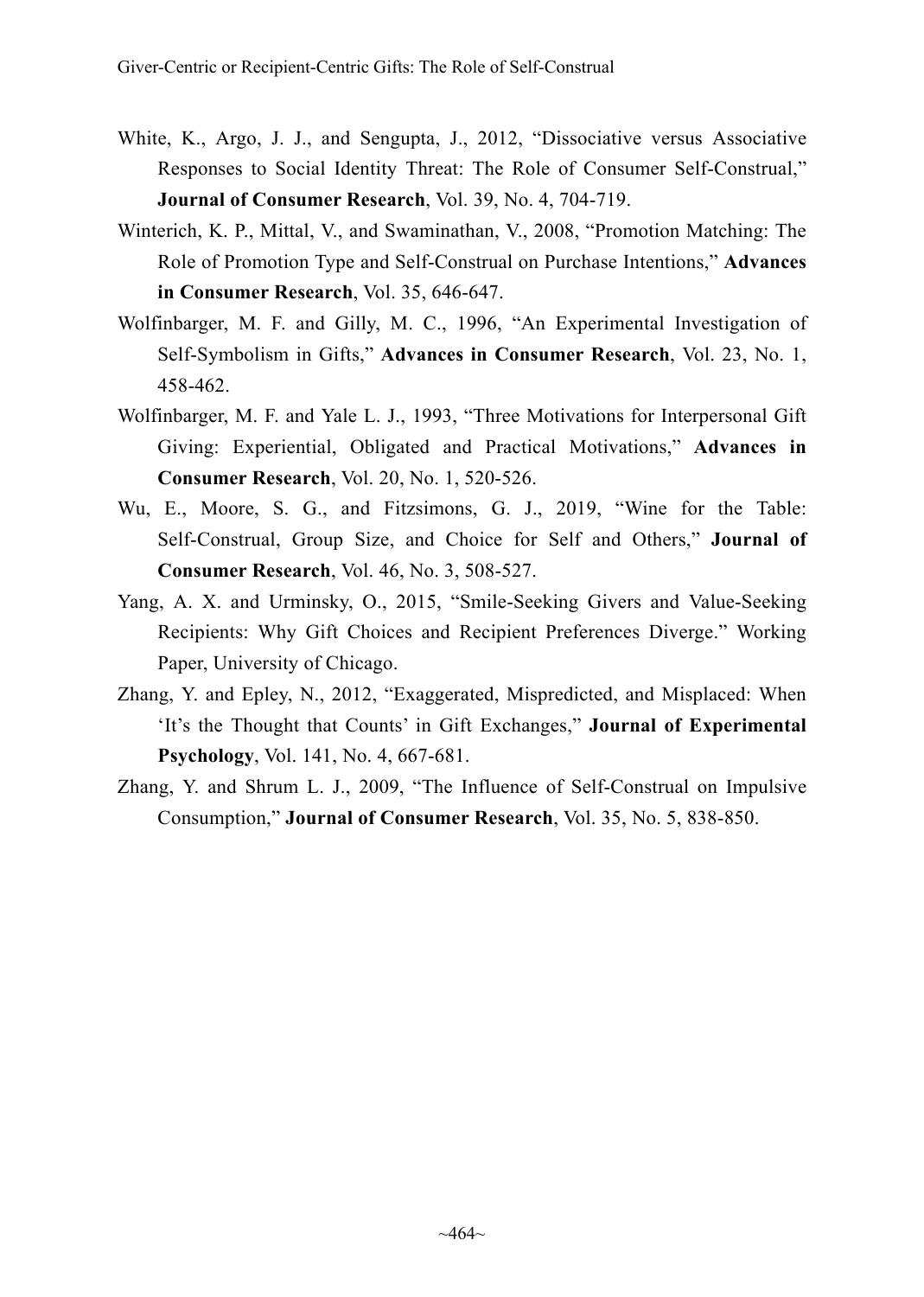- White, K., Argo, J. J., and Sengupta, J., 2012, "Dissociative versus Associative Responses to Social Identity Threat: The Role of Consumer Self-Construal," **Journal of Consumer Research**, Vol. 39, No. 4, 704-719.
- Winterich, K. P., Mittal, V., and Swaminathan, V., 2008, "Promotion Matching: The Role of Promotion Type and Self-Construal on Purchase Intentions," **Advances in Consumer Research**, Vol. 35, 646-647.
- Wolfinbarger, M. F. and Gilly, M. C., 1996, "An Experimental Investigation of Self-Symbolism in Gifts," **Advances in Consumer Research**, Vol. 23, No. 1, 458-462.
- Wolfinbarger, M. F. and Yale L. J., 1993, "Three Motivations for Interpersonal Gift Giving: Experiential, Obligated and Practical Motivations," **Advances in Consumer Research**, Vol. 20, No. 1, 520-526.
- Wu, E., Moore, S. G., and Fitzsimons, G. J., 2019, "Wine for the Table: Self-Construal, Group Size, and Choice for Self and Others," **Journal of Consumer Research**, Vol. 46, No. 3, 508-527.
- Yang, A. X. and Urminsky, O., 2015, "Smile-Seeking Givers and Value-Seeking Recipients: Why Gift Choices and Recipient Preferences Diverge." Working Paper, University of Chicago.
- Zhang, Y. and Epley, N., 2012, "Exaggerated, Mispredicted, and Misplaced: When 'It's the Thought that Counts' in Gift Exchanges," **Journal of Experimental Psychology**, Vol. 141, No. 4, 667-681.
- Zhang, Y. and Shrum L. J., 2009, "The Influence of Self-Construal on Impulsive Consumption," **Journal of Consumer Research**, Vol. 35, No. 5, 838-850.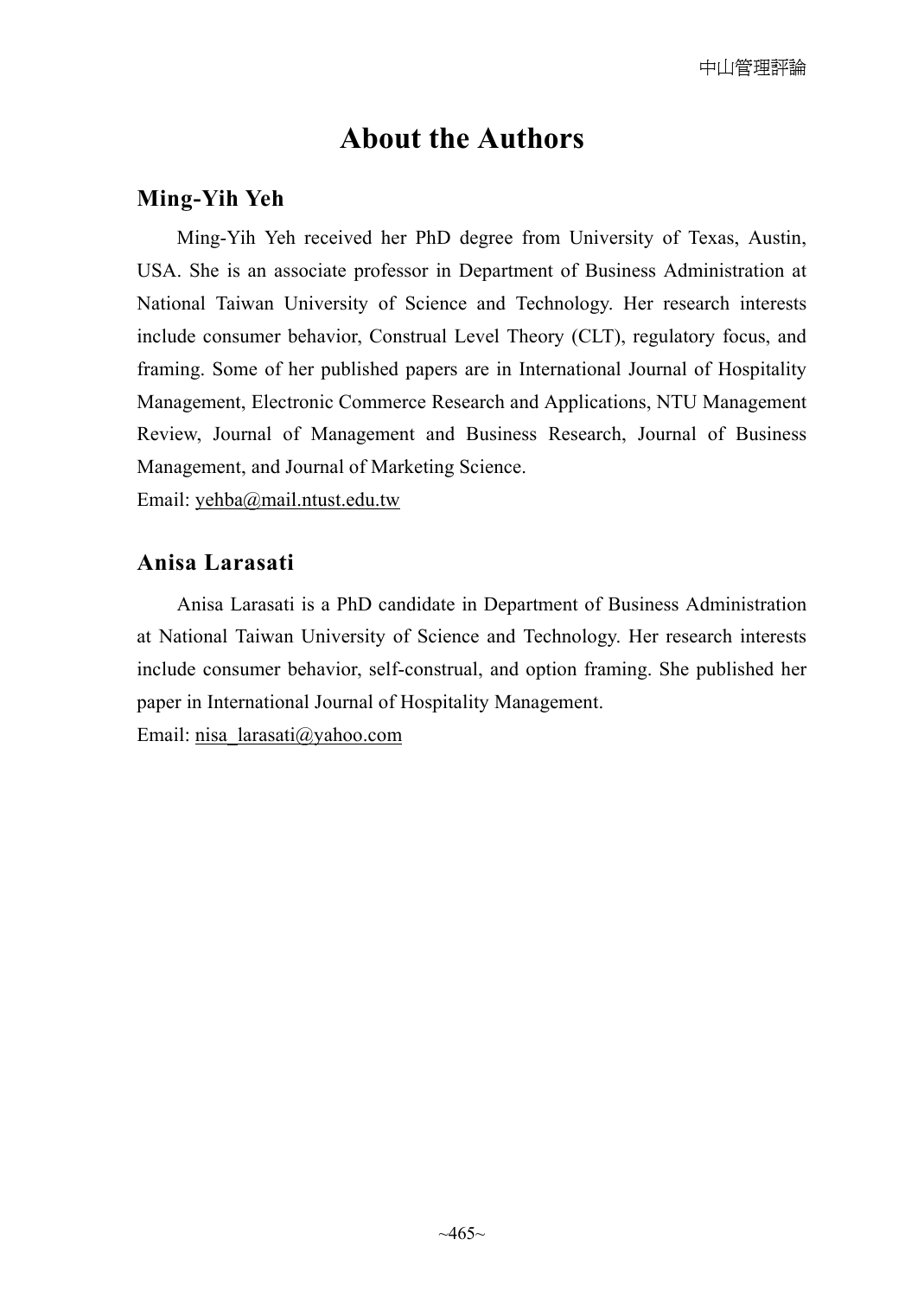# **About the Authors**

## **Ming-Yih Yeh**

Ming-Yih Yeh received her PhD degree from University of Texas, Austin, USA. She is an associate professor in Department of Business Administration at National Taiwan University of Science and Technology. Her research interests include consumer behavior, Construal Level Theory (CLT), regulatory focus, and framing. Some of her published papers are in International Journal of Hospitality Management, Electronic Commerce Research and Applications, NTU Management Review, Journal of Management and Business Research, Journal of Business Management, and Journal of Marketing Science.

Email: yehba@mail.ntust.edu.tw

### **Anisa Larasati**

Anisa Larasati is a PhD candidate in Department of Business Administration at National Taiwan University of Science and Technology. Her research interests include consumer behavior, self-construal, and option framing. She published her paper in International Journal of Hospitality Management.

Email: nisa\_larasati@yahoo.com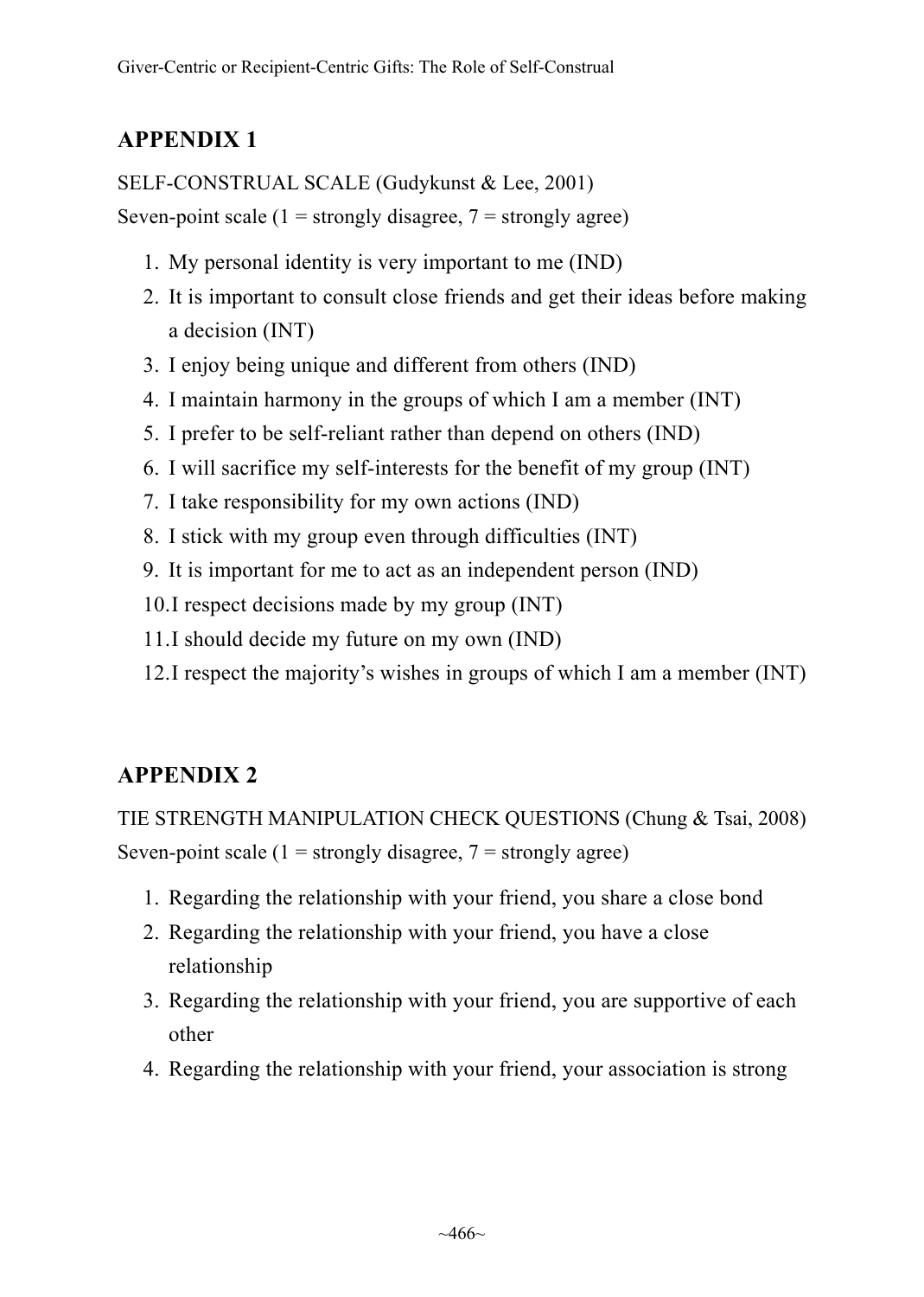# **APPENDIX 1**

SELF-CONSTRUAL SCALE (Gudykunst & Lee, 2001)

Seven-point scale ( $1 =$  strongly disagree,  $7 =$  strongly agree)

- 1. My personal identity is very important to me (IND)
- 2. It is important to consult close friends and get their ideas before making a decision (INT)
- 3. I enjoy being unique and different from others (IND)
- 4. I maintain harmony in the groups of which I am a member (INT)
- 5. I prefer to be self-reliant rather than depend on others (IND)
- 6. I will sacrifice my self-interests for the benefit of my group (INT)
- 7. I take responsibility for my own actions (IND)
- 8. I stick with my group even through difficulties (INT)
- 9. It is important for me to act as an independent person (IND)
- 10.I respect decisions made by my group (INT)
- 11.I should decide my future on my own (IND)
- 12.I respect the majority's wishes in groups of which I am a member (INT)

# **APPENDIX 2**

TIE STRENGTH MANIPULATION CHECK QUESTIONS (Chung & Tsai, 2008) Seven-point scale ( $1 =$  strongly disagree,  $7 =$  strongly agree)

- 1. Regarding the relationship with your friend, you share a close bond
- 2. Regarding the relationship with your friend, you have a close relationship
- 3. Regarding the relationship with your friend, you are supportive of each other
- 4. Regarding the relationship with your friend, your association is strong